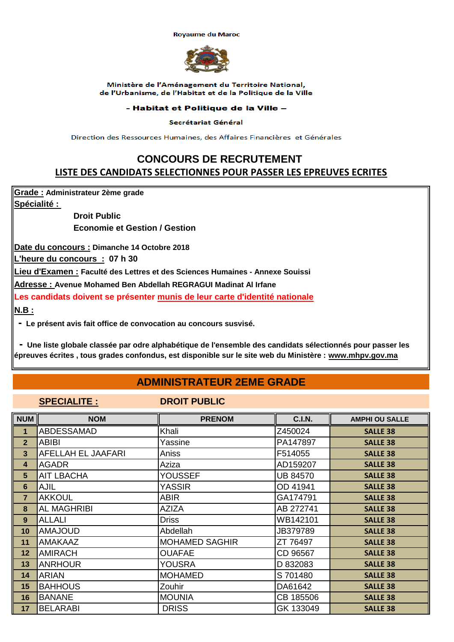#### **Royaume du Maroc**



### Ministère de l'Aménagement du Territoire National, de l'Urbanisme, de l'Habitat et de la Politique de la Ville

## - Habitat et Politique de la Ville -

## Secrétariat Général

Direction des Ressources Humaines, des Affaires Financières et Générales

# **CONCOURS DE RECRUTEMENT LISTE DES CANDIDATS SELECTIONNES POUR PASSER LES EPREUVES ECRITES**

**Grade : Administrateur 2ème grade**

**Spécialité :** 

**Droit Public Economie et Gestion / Gestion**

**Date du concours : Dimanche 14 Octobre 2018**

**L'heure du concours : 07 h 30**

**Lieu d'Examen : Faculté des Lettres et des Sciences Humaines - Annexe Souissi**

**Adresse : Avenue Mohamed Ben Abdellah REGRAGUI Madinat Al Irfane**

**Les candidats doivent se présenter munis de leur carte d'identité nationale**

**N.B :**

 **- Le présent avis fait office de convocation au concours susvisé.**

 **- Une liste globale classée par odre alphabétique de l'ensemble des candidats sélectionnés pour passer les épreuves écrites , tous grades confondus, est disponible sur le site web du Ministère : www.mhpv.gov.ma**

## **ADMINISTRATEUR 2EME GRADE**

## **SPECIALITE : DROIT PUBLIC**

| <b>NUM</b>     | <b>NOM</b>         | <b>PRENOM</b>         | <b>C.I.N.</b>   | <b>AMPHI OU SALLE</b> |
|----------------|--------------------|-----------------------|-----------------|-----------------------|
| 1              | <b>ABDESSAMAD</b>  | Khali                 | Z450024         | <b>SALLE 38</b>       |
| $\mathbf{2}$   | <b>ABIBI</b>       | Yassine               | PA147897        | <b>SALLE 38</b>       |
| 3              | AFELLAH EL JAAFARI | Aniss                 | F514055         | <b>SALLE 38</b>       |
| 4              | <b>AGADR</b>       | Aziza                 | AD159207        | <b>SALLE 38</b>       |
| 5              | <b>AIT LBACHA</b>  | <b>YOUSSEF</b>        | <b>UB 84570</b> | <b>SALLE 38</b>       |
| 6              | <b>AJIL</b>        | <b>YASSIR</b>         | OD 41941        | <b>SALLE 38</b>       |
| $\overline{7}$ | <b>AKKOUL</b>      | <b>ABIR</b>           | GA174791        | <b>SALLE 38</b>       |
| 8              | <b>AL MAGHRIBI</b> | <b>AZIZA</b>          | AB 272741       | <b>SALLE 38</b>       |
| 9              | <b>ALLALI</b>      | <b>Driss</b>          | WB142101        | <b>SALLE 38</b>       |
| 10             | <b>AMAJOUD</b>     | Abdellah              | JB379789        | <b>SALLE 38</b>       |
| 11             | <b>AMAKAAZ</b>     | <b>MOHAMED SAGHIR</b> | ZT 76497        | <b>SALLE 38</b>       |
| 12             | <b>AMIRACH</b>     | <b>OUAFAE</b>         | CD 96567        | <b>SALLE 38</b>       |
| 13             | <b>ANRHOUR</b>     | YOUSRA                | D 832083        | <b>SALLE 38</b>       |
| 14             | <b>ARIAN</b>       | <b>MOHAMED</b>        | S 701480        | <b>SALLE 38</b>       |
| 15             | <b>BAHHOUS</b>     | Zouhir                | DA61642         | <b>SALLE 38</b>       |
| 16             | <b>BANANE</b>      | <b>MOUNIA</b>         | CB 185506       | <b>SALLE 38</b>       |
| 17             | <b>BELARABI</b>    | <b>DRISS</b>          | GK 133049       | <b>SALLE 38</b>       |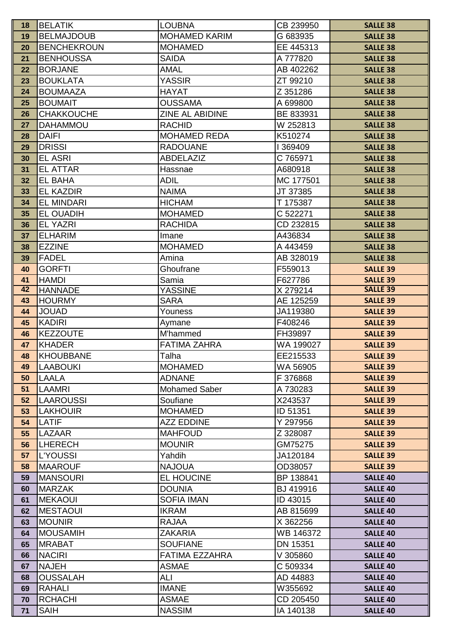| 18       | <b>BELATIK</b>                    | <b>LOUBNA</b>                      | CB 239950             | <b>SALLE 38</b>                    |
|----------|-----------------------------------|------------------------------------|-----------------------|------------------------------------|
| 19       | <b>BELMAJDOUB</b>                 | <b>MOHAMED KARIM</b>               | G 683935              | <b>SALLE 38</b>                    |
| 20       | <b>BENCHEKROUN</b>                | <b>MOHAMED</b>                     | EE 445313             | <b>SALLE 38</b>                    |
| 21       | <b>BENHOUSSA</b>                  | <b>SAIDA</b>                       | A 777820              | <b>SALLE 38</b>                    |
| 22       | <b>BORJANE</b>                    | <b>AMAL</b>                        | AB 402262             | <b>SALLE 38</b>                    |
| 23       | <b>BOUKLATA</b>                   | YASSIR                             | ZT 99210              | <b>SALLE 38</b>                    |
| 24       | <b>BOUMAAZA</b>                   | <b>HAYAT</b>                       | Z 351286              | <b>SALLE 38</b>                    |
| 25       | <b>BOUMAIT</b>                    | <b>OUSSAMA</b>                     | A 699800              | <b>SALLE 38</b>                    |
| 26       | <b>CHAKKOUCHE</b>                 | ZINE AL ABIDINE                    | BE 833931             | <b>SALLE 38</b>                    |
| 27       | <b>DAHAMMOU</b>                   | <b>RACHID</b>                      | W 252813              | <b>SALLE 38</b>                    |
| 28       | <b>DAIFI</b>                      | <b>MOHAMED REDA</b>                | K510274               | <b>SALLE 38</b>                    |
| 29       | <b>DRISSI</b>                     | <b>RADOUANE</b>                    | 1369409               | <b>SALLE 38</b>                    |
| 30       | <b>EL ASRI</b>                    | <b>ABDELAZIZ</b>                   | C 765971              | <b>SALLE 38</b>                    |
| 31       | <b>EL ATTAR</b>                   | Hassnae                            | A680918               | <b>SALLE 38</b>                    |
| 32       | <b>EL BAHA</b>                    | <b>ADIL</b>                        | MC 177501             | <b>SALLE 38</b>                    |
| 33       | <b>EL KAZDIR</b>                  | <b>NAIMA</b>                       | JT 37385              | <b>SALLE 38</b>                    |
| 34       | <b>EL MINDARI</b>                 | <b>HICHAM</b>                      | T 175387              | <b>SALLE 38</b>                    |
| 35       | <b>EL OUADIH</b>                  | <b>MOHAMED</b>                     | C 522271              | <b>SALLE 38</b>                    |
| 36       | <b>EL YAZRI</b>                   | <b>RACHIDA</b>                     | CD 232815             | <b>SALLE 38</b>                    |
| 37       | <b>ELHARIM</b>                    | Imane                              | A436834               | <b>SALLE 38</b>                    |
| 38       | <b>EZZINE</b>                     | <b>MOHAMED</b>                     | A 443459              | <b>SALLE 38</b>                    |
| 39       | <b>FADEL</b>                      | Amina                              | AB 328019             | <b>SALLE 38</b>                    |
| 40       | <b>GORFTI</b>                     | Ghoufrane                          | F559013               | <b>SALLE 39</b>                    |
| 41       | <b>HAMDI</b>                      | Samia                              | F627786               | <b>SALLE 39</b>                    |
| 42       | <b>HANNADE</b>                    | <b>YASSINE</b>                     | X 279214              | <b>SALLE 39</b>                    |
| 43       | <b>HOURMY</b>                     | SARA                               | AE 125259             | <b>SALLE 39</b>                    |
| 44       | <b>JOUAD</b>                      | Youness                            | JA119380              | <b>SALLE 39</b>                    |
| 45       | <b>KADIRI</b>                     | Aymane                             | F408246               | <b>SALLE 39</b>                    |
| 46       | <b>KEZZOUTE</b>                   | M'hammed                           | FH39897               | <b>SALLE 39</b>                    |
| 47       | <b>KHADER</b>                     | <b>FATIMA ZAHRA</b>                | WA 199027             | <b>SALLE 39</b>                    |
| 48       | <b>KHOUBBANE</b>                  | Talha                              | EE215533              | <b>SALLE 39</b>                    |
| 49       | <b>LAABOUKI</b>                   | <b>MOHAMED</b>                     | WA 56905              | <b>SALLE 39</b>                    |
| 50       | <b>LAALA</b>                      | <b>ADNANE</b>                      | F 376868              | <b>SALLE 39</b>                    |
| 51       | LAAMRI                            | <b>Mohamed Saber</b>               | A 730283              | <b>SALLE 39</b>                    |
| 52       | <b>LAAROUSSI</b>                  | Soufiane                           | X243537               | <b>SALLE 39</b>                    |
| 53       | <b>LAKHOUIR</b>                   | <b>MOHAMED</b>                     | ID 51351              | <b>SALLE 39</b>                    |
| 54       | LATIF                             | <b>AZZ EDDINE</b>                  | Y 297956              | <b>SALLE 39</b>                    |
| 55       | LAZAAR                            | <b>MAHFOUD</b>                     | Z 328087              | <b>SALLE 39</b>                    |
| 56       | <b>LHERECH</b>                    | <b>MOUNIR</b>                      | GM75275               | <b>SALLE 39</b>                    |
| 57       | <b>L'YOUSSI</b><br><b>MAAROUF</b> | Yahdih<br><b>NAJOUA</b>            | JA120184              | <b>SALLE 39</b>                    |
| 58       |                                   |                                    | OD38057               | <b>SALLE 39</b>                    |
| 59       | <b>MANSOURI</b>                   | EL HOUCINE                         | BP 138841             | <b>SALLE 40</b>                    |
| 60       | <b>MARZAK</b>                     | <b>DOUNIA</b><br><b>SOFIA IMAN</b> | BJ 419916             | <b>SALLE 40</b>                    |
| 61<br>62 | <b>MEKAOUI</b><br><b>MESTAOUI</b> | <b>IKRAM</b>                       | ID 43015<br>AB 815699 | <b>SALLE 40</b><br><b>SALLE 40</b> |
|          | <b>MOUNIR</b>                     | <b>RAJAA</b>                       |                       |                                    |
| 63<br>64 | <b>MOUSAMIH</b>                   | <b>ZAKARIA</b>                     | X 362256<br>WB 146372 | <b>SALLE 40</b><br><b>SALLE 40</b> |
| 65       | <b>MRABAT</b>                     | <b>SOUFIANE</b>                    | DN 15351              | <b>SALLE 40</b>                    |
| 66       | <b>NACIRI</b>                     | <b>FATIMA EZZAHRA</b>              | V 305860              | <b>SALLE 40</b>                    |
| 67       | <b>NAJEH</b>                      | <b>ASMAE</b>                       | C 509334              | <b>SALLE 40</b>                    |
| 68       | <b>OUSSALAH</b>                   | ALI                                | AD 44883              | <b>SALLE 40</b>                    |
| 69       | <b>RAHALI</b>                     | <b>IMANE</b>                       | W355692               | <b>SALLE 40</b>                    |
| 70       | <b>RCHACHI</b>                    | <b>ASMAE</b>                       | CD 205450             | <b>SALLE 40</b>                    |
| 71       | <b>SAIH</b>                       | <b>NASSIM</b>                      | IA 140138             | <b>SALLE 40</b>                    |
|          |                                   |                                    |                       |                                    |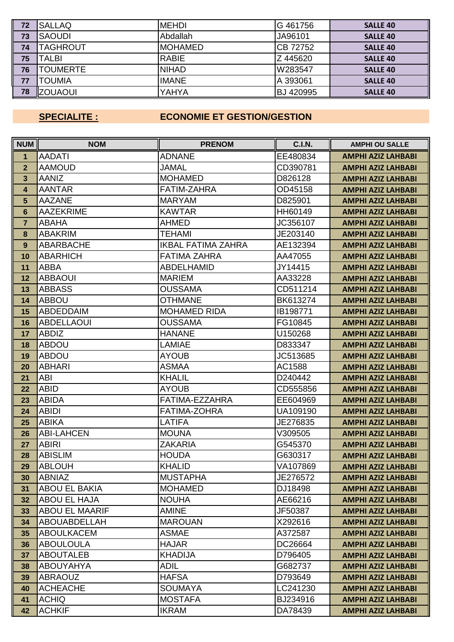| 72 | <b>SALLAQ</b>   | <b>MEHDI</b>   | G 461756         | <b>SALLE 40</b> |
|----|-----------------|----------------|------------------|-----------------|
| 73 | <b>SAOUDI</b>   | Abdallah       | JA96101          | <b>SALLE 40</b> |
| 74 | TAGHROUT        | <b>MOHAMED</b> | CB 72752         | <b>SALLE 40</b> |
| 75 | TALBI           | <b>RABIE</b>   | Z 445620         | <b>SALLE 40</b> |
| 76 | TOUMERTE        | <b>NIHAD</b>   | W283547          | <b>SALLE 40</b> |
| 77 | <b>TOUMIA</b>   | <b>IMANE</b>   | A 393061         | <b>SALLE 40</b> |
| 78 | <b>IZOUAOUI</b> | <b>YAHYA</b>   | <b>BJ 420995</b> | <b>SALLE 40</b> |

# **SPECIALITE : ECONOMIE ET GESTION/GESTION**

| NUM             | <b>NOM</b>            | <b>PRENOM</b>             | <b>C.I.N.</b> | <b>AMPHI OU SALLE</b>     |
|-----------------|-----------------------|---------------------------|---------------|---------------------------|
| $\mathbf{1}$    | <b>AADATI</b>         | <b>ADNANE</b>             | EE480834      | <b>AMPHI AZIZ LAHBABI</b> |
| $\mathbf{2}$    | <b>AAMOUD</b>         | <b>JAMAL</b>              | CD390781      | <b>AMPHI AZIZ LAHBABI</b> |
| 3               | <b>AANIZ</b>          | <b>MOHAMED</b>            | D826128       | <b>AMPHI AZIZ LAHBABI</b> |
| 4               | <b>AANTAR</b>         | <b>FATIM-ZAHRA</b>        | OD45158       | <b>AMPHI AZIZ LAHBABI</b> |
| $5\phantom{1}$  | <b>AAZANE</b>         | <b>MARYAM</b>             | D825901       | <b>AMPHI AZIZ LAHBABI</b> |
| $6\phantom{1}6$ | <b>AAZEKRIME</b>      | <b>KAWTAR</b>             | HH60149       | <b>AMPHI AZIZ LAHBABI</b> |
| $\overline{7}$  | <b>ABAHA</b>          | <b>AHMED</b>              | JC356107      | <b>AMPHI AZIZ LAHBABI</b> |
| 8               | <b>ABAKRIM</b>        | <b>TEHAMI</b>             | JE203140      | <b>AMPHI AZIZ LAHBABI</b> |
| 9               | <b>ABARBACHE</b>      | <b>IKBAL FATIMA ZAHRA</b> | AE132394      | <b>AMPHI AZIZ LAHBABI</b> |
| 10              | <b>ABARHICH</b>       | <b>FATIMA ZAHRA</b>       | AA47055       | <b>AMPHI AZIZ LAHBABI</b> |
| 11              | <b>ABBA</b>           | <b>ABDELHAMID</b>         | JY14415       | <b>AMPHI AZIZ LAHBABI</b> |
| 12              | <b>ABBAOUI</b>        | <b>MARIEM</b>             | AA33228       | <b>AMPHI AZIZ LAHBABI</b> |
| 13              | <b>ABBASS</b>         | <b>OUSSAMA</b>            | CD511214      | <b>AMPHI AZIZ LAHBABI</b> |
| 14              | <b>ABBOU</b>          | <b>OTHMANE</b>            | BK613274      | <b>AMPHI AZIZ LAHBABI</b> |
| 15              | <b>ABDEDDAIM</b>      | <b>MOHAMED RIDA</b>       | IB198771      | <b>AMPHI AZIZ LAHBABI</b> |
| 16              | <b>ABDELLAOUI</b>     | <b>OUSSAMA</b>            | FG10845       | <b>AMPHI AZIZ LAHBABI</b> |
| 17              | <b>ABDIZ</b>          | <b>HANANE</b>             | U150268       | <b>AMPHI AZIZ LAHBABI</b> |
| 18              | <b>ABDOU</b>          | LAMIAE                    | D833347       | <b>AMPHI AZIZ LAHBABI</b> |
| 19              | <b>ABDOU</b>          | <b>AYOUB</b>              | JC513685      | <b>AMPHI AZIZ LAHBABI</b> |
| 20              | <b>ABHARI</b>         | <b>ASMAA</b>              | AC1588        | <b>AMPHI AZIZ LAHBABI</b> |
| 21              | <b>ABI</b>            | <b>KHALIL</b>             | D240442       | <b>AMPHI AZIZ LAHBABI</b> |
| 22              | <b>ABID</b>           | <b>AYOUB</b>              | CD555856      | <b>AMPHI AZIZ LAHBABI</b> |
| 23              | <b>ABIDA</b>          | FATIMA-EZZAHRA            | EE604969      | <b>AMPHI AZIZ LAHBABI</b> |
| 24              | <b>ABIDI</b>          | <b>FATIMA-ZOHRA</b>       | UA109190      | <b>AMPHI AZIZ LAHBABI</b> |
| 25              | <b>ABIKA</b>          | <b>LATIFA</b>             | JE276835      | <b>AMPHI AZIZ LAHBABI</b> |
| 26              | <b>ABI-LAHCEN</b>     | <b>MOUNA</b>              | V309505       | <b>AMPHI AZIZ LAHBABI</b> |
| 27              | <b>ABIRI</b>          | <b>ZAKARIA</b>            | G545370       | <b>AMPHI AZIZ LAHBABI</b> |
| 28              | <b>ABISLIM</b>        | <b>HOUDA</b>              | G630317       | <b>AMPHI AZIZ LAHBABI</b> |
| 29              | <b>ABLOUH</b>         | <b>KHALID</b>             | VA107869      | <b>AMPHI AZIZ LAHBABI</b> |
| 30              | <b>ABNIAZ</b>         | <b>MUSTAPHA</b>           | JE276572      | <b>AMPHI AZIZ LAHBABI</b> |
| 31              | <b>ABOU EL BAKIA</b>  | <b>MOHAMED</b>            | DJ18498       | <b>AMPHI AZIZ LAHBABI</b> |
| 32              | <b>ABOU EL HAJA</b>   | <b>NOUHA</b>              | AE66216       | <b>AMPHI AZIZ LAHBABI</b> |
| 33              | <b>ABOU EL MAARIF</b> | <b>AMINE</b>              | JF50387       | <b>AMPHI AZIZ LAHBABI</b> |
| 34              | ABOUABDELLAH          | <b>MAROUAN</b>            | X292616       | <b>AMPHI AZIZ LAHBABI</b> |
| 35              | <b>ABOULKACEM</b>     | <b>ASMAE</b>              | A372587       | <b>AMPHI AZIZ LAHBABI</b> |
| 36              | <b>ABOULOULA</b>      | <b>HAJAR</b>              | DC26664       | <b>AMPHI AZIZ LAHBABI</b> |
| 37              | <b>ABOUTALEB</b>      | <b>KHADIJA</b>            | D796405       | <b>AMPHI AZIZ LAHBABI</b> |
| 38              | <b>ABOUYAHYA</b>      | <b>ADIL</b>               | G682737       | <b>AMPHI AZIZ LAHBABI</b> |
| 39              | <b>ABRAOUZ</b>        | <b>HAFSA</b>              | D793649       | <b>AMPHI AZIZ LAHBABI</b> |
| 40              | <b>ACHEACHE</b>       | <b>SOUMAYA</b>            | LC241230      | <b>AMPHI AZIZ LAHBABI</b> |
| 41              | <b>ACHIQ</b>          | <b>MOSTAFA</b>            | BJ234916      | <b>AMPHI AZIZ LAHBABI</b> |
| 42              | <b>ACHKIF</b>         | <b>IKRAM</b>              | DA78439       | <b>AMPHI AZIZ LAHBABI</b> |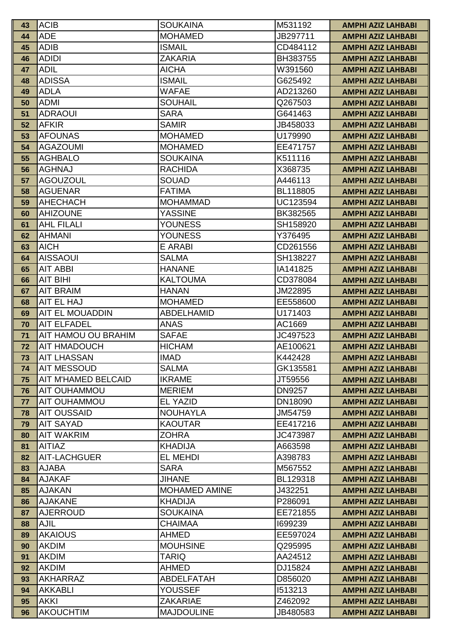| 43       | <b>ACIB</b>                    | <b>SOUKAINA</b>                       | M531192            | AMPHI AZIZ LAHBABI                                     |
|----------|--------------------------------|---------------------------------------|--------------------|--------------------------------------------------------|
| 44       | <b>ADE</b>                     | <b>MOHAMED</b>                        | JB297711           | <b>AMPHI AZIZ LAHBABI</b>                              |
| 45       | <b>ADIB</b>                    | <b>ISMAIL</b>                         | CD484112           | <b>AMPHI AZIZ LAHBABI</b>                              |
| 46       | <b>ADIDI</b>                   | <b>ZAKARIA</b>                        | BH383755           | <b>AMPHI AZIZ LAHBABI</b>                              |
| 47       | <b>ADIL</b>                    | <b>AICHA</b>                          | W391560            | <b>AMPHI AZIZ LAHBABI</b>                              |
| 48       | <b>ADISSA</b>                  | <b>ISMAIL</b>                         | G625492            | <b>AMPHI AZIZ LAHBABI</b>                              |
| 49       | <b>ADLA</b>                    | <b>WAFAE</b>                          | AD213260           | <b>AMPHI AZIZ LAHBABI</b>                              |
| 50       | <b>ADMI</b>                    | <b>SOUHAIL</b>                        | Q267503            | <b>AMPHI AZIZ LAHBABI</b>                              |
| 51       | <b>ADRAOUI</b>                 | <b>SARA</b>                           | G641463            | <b>AMPHI AZIZ LAHBABI</b>                              |
| 52       | <b>AFKIR</b>                   | <b>SAMIR</b>                          | JB458033           | <b>AMPHI AZIZ LAHBABI</b>                              |
| 53       | <b>AFOUNAS</b>                 | <b>MOHAMED</b>                        | U179990            | <b>AMPHI AZIZ LAHBABI</b>                              |
| 54       | <b>AGAZOUMI</b>                | <b>MOHAMED</b>                        | EE471757           | <b>AMPHI AZIZ LAHBABI</b>                              |
| 55       | <b>AGHBALO</b>                 | <b>SOUKAINA</b>                       | K511116            | <b>AMPHI AZIZ LAHBABI</b>                              |
| 56       | <b>AGHNAJ</b>                  | <b>RACHIDA</b>                        | X368735            | <b>AMPHI AZIZ LAHBABI</b>                              |
| 57       | <b>AGOUZOUL</b>                | <b>SOUAD</b>                          | A446113            | <b>AMPHI AZIZ LAHBABI</b>                              |
| 58       | <b>AGUENAR</b>                 | <b>FATIMA</b>                         | BL118805           | <b>AMPHI AZIZ LAHBABI</b>                              |
| 59       | <b>AHECHACH</b>                | <b>MOHAMMAD</b>                       | UC123594           | <b>AMPHI AZIZ LAHBABI</b>                              |
| 60       | <b>AHIZOUNE</b>                | <b>YASSINE</b>                        | BK382565           | <b>AMPHI AZIZ LAHBABI</b>                              |
| 61       | <b>AHL FILALI</b>              | <b>YOUNESS</b>                        | SH158920           | <b>AMPHI AZIZ LAHBABI</b>                              |
| 62       | <b>AHMANI</b>                  | <b>YOUNESS</b>                        | Y376495            | <b>AMPHI AZIZ LAHBABI</b>                              |
| 63       | <b>AICH</b>                    | E ARABI                               | CD261556           | <b>AMPHI AZIZ LAHBABI</b>                              |
| 64       | <b>AISSAOUI</b>                | <b>SALMA</b>                          | SH138227           | <b>AMPHI AZIZ LAHBABI</b>                              |
| 65       | <b>AIT ABBI</b>                | <b>HANANE</b>                         | IA141825           | <b>AMPHI AZIZ LAHBABI</b>                              |
| 66       | <b>AIT BIHI</b>                | <b>KALTOUMA</b>                       | CD378084           | <b>AMPHI AZIZ LAHBABI</b>                              |
| 67       | <b>AIT BRAIM</b>               | <b>HANAN</b>                          | JM22895            | <b>AMPHI AZIZ LAHBABI</b>                              |
| 68       | AIT EL HAJ                     | <b>MOHAMED</b>                        | EE558600           | <b>AMPHI AZIZ LAHBABI</b>                              |
| 69       | AIT EL MOUADDIN                | <b>ABDELHAMID</b>                     | U171403            | <b>AMPHI AZIZ LAHBABI</b>                              |
| 70       | <b>AIT ELFADEL</b>             | <b>ANAS</b>                           | AC1669             | <b>AMPHI AZIZ LAHBABI</b>                              |
| 71       | AIT HAMOU OU BRAHIM            | <b>SAFAE</b>                          | JC497523           | <b>AMPHI AZIZ LAHBABI</b>                              |
| 72       | <b>AIT HMADOUCH</b>            | <b>HICHAM</b>                         | AE100621           | <b>AMPHI AZIZ LAHBABI</b>                              |
| 73       | <b>AIT LHASSAN</b>             | <b>IMAD</b>                           | K442428            | <b>AMPHI AZIZ LAHBABI</b>                              |
| 74       | <b>AIT MESSOUD</b>             | <b>SALMA</b>                          | GK135581           | <b>AMPHI AZIZ LAHBABI</b>                              |
| 75       | <b>AIT M'HAMED BELCAID</b>     | <b>IKRAME</b>                         | JT59556            | <b>AMPHI AZIZ LAHBABI</b>                              |
| 76       | <b>AIT OUHAMMOU</b>            | <b>MERIEM</b>                         | <b>DN9257</b>      | <b>AMPHI AZIZ LAHBABI</b>                              |
| 77       | <b>AIT OUHAMMOU</b>            | <b>EL YAZID</b>                       | DN18090            | <b>AMPHI AZIZ LAHBABI</b>                              |
| 78       | <b>AIT OUSSAID</b>             | <b>NOUHAYLA</b>                       | JM54759            | <b>AMPHI AZIZ LAHBABI</b>                              |
| 79       | <b>AIT SAYAD</b>               | <b>KAOUTAR</b>                        | EE417216           | <b>AMPHI AZIZ LAHBABI</b>                              |
| 80       | <b>AIT WAKRIM</b>              | <b>ZOHRA</b>                          | JC473987           | <b>AMPHI AZIZ LAHBABI</b>                              |
| 81       | <b>AITIAZ</b>                  | <b>KHADIJA</b>                        | A663598            | <b>AMPHI AZIZ LAHBABI</b>                              |
| 82       | AIT-LACHGUER                   | <b>EL MEHDI</b>                       | A398783            | <b>AMPHI AZIZ LAHBABI</b>                              |
| 83       | <b>AJABA</b>                   | <b>SARA</b>                           | M567552            | <b>AMPHI AZIZ LAHBABI</b>                              |
| 84       | <b>AJAKAF</b><br><b>AJAKAN</b> | <b>JIHANE</b><br><b>MOHAMED AMINE</b> | BL129318           | <b>AMPHI AZIZ LAHBABI</b>                              |
| 85<br>86 | <b>AJAKANE</b>                 | <b>KHADIJA</b>                        | J432251<br>P286091 | <b>AMPHI AZIZ LAHBABI</b><br><b>AMPHI AZIZ LAHBABI</b> |
| 87       | <b>AJERROUD</b>                | <b>SOUKAINA</b>                       | EE721855           | <b>AMPHI AZIZ LAHBABI</b>                              |
| 88       | <b>AJIL</b>                    | <b>CHAIMAA</b>                        | 1699239            |                                                        |
| 89       | <b>AKAIOUS</b>                 | <b>AHMED</b>                          | EE597024           | <b>AMPHI AZIZ LAHBABI</b><br><b>AMPHI AZIZ LAHBABI</b> |
| 90       | <b>AKDIM</b>                   | <b>MOUHSINE</b>                       | Q295995            | <b>AMPHI AZIZ LAHBABI</b>                              |
| 91       | <b>AKDIM</b>                   | <b>TARIQ</b>                          | AA24512            | <b>AMPHI AZIZ LAHBABI</b>                              |
| 92       | <b>AKDIM</b>                   | <b>AHMED</b>                          | DJ15824            | <b>AMPHI AZIZ LAHBABI</b>                              |
| 93       | <b>AKHARRAZ</b>                | ABDELFATAH                            | D856020            | <b>AMPHI AZIZ LAHBABI</b>                              |
| 94       | <b>AKKABLI</b>                 | <b>YOUSSEF</b>                        | 1513213            | <b>AMPHI AZIZ LAHBABI</b>                              |
| 95       | <b>AKKI</b>                    | <b>ZAKARIAE</b>                       | Z462092            | <b>AMPHI AZIZ LAHBABI</b>                              |
| 96       | <b>AKOUCHTIM</b>               | <b>MAJDOULINE</b>                     | JB480583           | <b>AMPHI AZIZ LAHBABI</b>                              |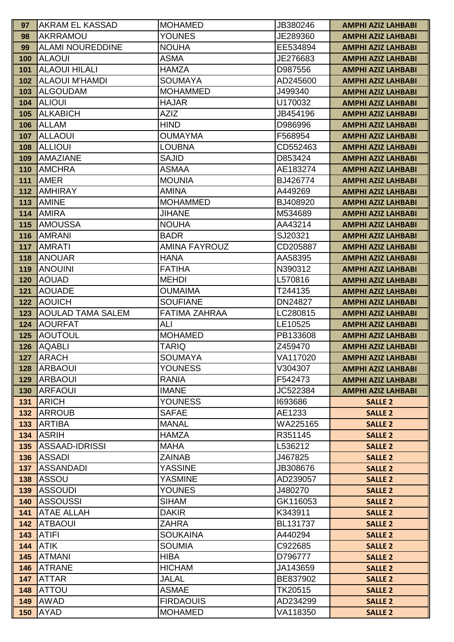| 97         | AKRAM EL KASSAD                | <b>MOHAMED</b>                     | JB380246             | <b>AMPHI AZIZ LAHBABI</b>        |
|------------|--------------------------------|------------------------------------|----------------------|----------------------------------|
| 98         | <b>AKRRAMOU</b>                | <b>YOUNES</b>                      | JE289360             | <b>AMPHI AZIZ LAHBABI</b>        |
| 99         | <b>ALAMI NOUREDDINE</b>        | <b>NOUHA</b>                       | EE534894             | <b>AMPHI AZIZ LAHBABI</b>        |
| 100        | <b>ALAOUI</b>                  | <b>ASMA</b>                        | JE276683             | <b>AMPHI AZIZ LAHBABI</b>        |
| 101        | <b>ALAOUI HILALI</b>           | <b>HAMZA</b>                       | D987556              | <b>AMPHI AZIZ LAHBABI</b>        |
| 102        | <b>ALAOUI M'HAMDI</b>          | <b>SOUMAYA</b>                     | AD245600             | <b>AMPHI AZIZ LAHBABI</b>        |
| 103        | <b>ALGOUDAM</b>                | <b>MOHAMMED</b>                    | J499340              | <b>AMPHI AZIZ LAHBABI</b>        |
| 104        | <b>ALIOUI</b>                  | <b>HAJAR</b>                       | U170032              | <b>AMPHI AZIZ LAHBABI</b>        |
| 105        | <b>ALKABICH</b>                | <b>AZIZ</b>                        | JB454196             | <b>AMPHI AZIZ LAHBABI</b>        |
| 106        | <b>ALLAM</b>                   | <b>HIND</b>                        | D986996              | <b>AMPHI AZIZ LAHBABI</b>        |
| 107        | <b>ALLAOUI</b>                 | <b>OUMAYMA</b>                     | F568954              | <b>AMPHI AZIZ LAHBABI</b>        |
| 108        | <b>ALLIOUI</b>                 | <b>LOUBNA</b>                      | CD552463             | <b>AMPHI AZIZ LAHBABI</b>        |
| 109        | <b>AMAZIANE</b>                | <b>SAJID</b>                       | D853424              | <b>AMPHI AZIZ LAHBABI</b>        |
| 110        | <b>AMCHRA</b>                  | <b>ASMAA</b>                       | AE183274             | <b>AMPHI AZIZ LAHBABI</b>        |
| 111        | <b>AMER</b>                    | <b>MOUNIA</b>                      | BJ426774             | <b>AMPHI AZIZ LAHBABI</b>        |
| 112        | <b>AMHIRAY</b>                 | <b>AMINA</b>                       | A449269              | <b>AMPHI AZIZ LAHBABI</b>        |
| 113        | <b>AMINE</b>                   | <b>MOHAMMED</b>                    | BJ408920             | <b>AMPHI AZIZ LAHBABI</b>        |
| 114        | <b>AMIRA</b>                   | <b>JIHANE</b>                      | M534689              | <b>AMPHI AZIZ LAHBABI</b>        |
| 115        | <b>AMOUSSA</b>                 | <b>NOUHA</b>                       | AA43214              | <b>AMPHI AZIZ LAHBABI</b>        |
| 116        | <b>AMRANI</b>                  | <b>BADR</b>                        | SJ20321              | <b>AMPHI AZIZ LAHBABI</b>        |
| 117        | <b>AMRATI</b>                  | <b>AMINA FAYROUZ</b>               | CD205887             | <b>AMPHI AZIZ LAHBABI</b>        |
| 118        | <b>ANOUAR</b>                  | <b>HANA</b>                        | AA58395              | <b>AMPHI AZIZ LAHBABI</b>        |
| 119        | <b>ANOUINI</b>                 | <b>FATIHA</b>                      | N390312              | <b>AMPHI AZIZ LAHBABI</b>        |
| 120        | <b>AOUAD</b>                   | <b>MEHDI</b>                       | L570816              | <b>AMPHI AZIZ LAHBABI</b>        |
| 121        | <b>AOUADE</b>                  | <b>OUMAIMA</b>                     | T244135              | <b>AMPHI AZIZ LAHBABI</b>        |
| 122        | <b>AOUICH</b>                  | <b>SOUFIANE</b>                    | DN24827              | <b>AMPHI AZIZ LAHBABI</b>        |
| 123        | <b>AOULAD TAMA SALEM</b>       | <b>FATIMA ZAHRAA</b>               | LC280815             | <b>AMPHI AZIZ LAHBABI</b>        |
| 124        | <b>AOURFAT</b>                 | ALI                                | LE10525              | <b>AMPHI AZIZ LAHBABI</b>        |
| 125        | <b>AOUTOUL</b>                 | <b>MOHAMED</b>                     | PB133608             | <b>AMPHI AZIZ LAHBABI</b>        |
| 126        | <b>AQABLI</b>                  | <b>TARIQ</b>                       | Z459470              | <b>AMPHI AZIZ LAHBABI</b>        |
| 127        | ARACH                          | <b>SOUMAYA</b>                     | VA117020             | <b>AMPHI AZIZ LAHBABI</b>        |
| 128        | <b>ARBAOUI</b>                 | <b>YOUNESS</b>                     | V304307              | <b>AMPHI AZIZ LAHBABI</b>        |
| 129        | <b>ARBAOUI</b>                 | <b>RANIA</b>                       | F542473              | <b>AMPHI AZIZ LAHBABI</b>        |
| 130        | <b>ARFAOUI</b>                 | <b>IMANE</b>                       | JC522384             | <b>AMPHI AZIZ LAHBABI</b>        |
| 131        | <b>ARICH</b>                   | <b>YOUNESS</b>                     | 1693686              | <b>SALLE 2</b>                   |
| 132        | <b>ARROUB</b>                  | <b>SAFAE</b>                       | AE1233               | <b>SALLE 2</b>                   |
| 133        | <b>ARTIBA</b>                  | <b>MANAL</b>                       | WA225165             | <b>SALLE 2</b>                   |
| 134        | ASRIH                          | <b>HAMZA</b>                       | R351145              | <b>SALLE 2</b>                   |
| 135        | <b>IASSAAD-IDRISSI</b>         | <b>MAHA</b>                        | L536212              | <b>SALLE 2</b>                   |
| 136        | <b>ASSADI</b>                  | <b>ZAINAB</b>                      | J467825              | <b>SALLE 2</b>                   |
| 137        | ASSANDADI                      | <b>YASSINE</b>                     | JB308676             | <b>SALLE 2</b>                   |
| 138        | ASSOU                          | <b>YASMINE</b>                     | AD239057             | <b>SALLE 2</b>                   |
| 139        | <b>ASSOUDI</b>                 | <b>YOUNES</b>                      | J480270              | <b>SALLE 2</b>                   |
| 140        | <b>ASSOUSSI</b>                | <b>SIHAM</b><br><b>DAKIR</b>       | GK116053             | <b>SALLE 2</b>                   |
| 141        | <b>ATAE ALLAH</b>              |                                    | K343911              | <b>SALLE 2</b>                   |
| 142        | <b>ATBAOUI</b><br>ATIFI        | <b>ZAHRA</b><br><b>SOUKAINA</b>    | BL131737             | <b>SALLE 2</b>                   |
| 143        |                                |                                    | A440294              | <b>SALLE 2</b>                   |
| 144        | <b>ATIK</b>                    | <b>SOUMIA</b>                      | C922685              | <b>SALLE 2</b>                   |
| 145        | <b>ATMANI</b><br><b>ATRANE</b> | <b>HIBA</b><br><b>HICHAM</b>       | D796777<br>JA143659  | <b>SALLE 2</b>                   |
| 146<br>147 |                                |                                    |                      | <b>SALLE 2</b>                   |
|            |                                |                                    |                      |                                  |
|            | <b>ATTAR</b>                   | <b>JALAL</b>                       | BE837902             | <b>SALLE 2</b>                   |
| 148        | ATTOU                          | <b>ASMAE</b>                       | TK20515              | <b>SALLE 2</b>                   |
| 149<br>150 | AWAD<br>AYAD                   | <b>FIRDAOUIS</b><br><b>MOHAMED</b> | AD234299<br>VA118350 | <b>SALLE 2</b><br><b>SALLE 2</b> |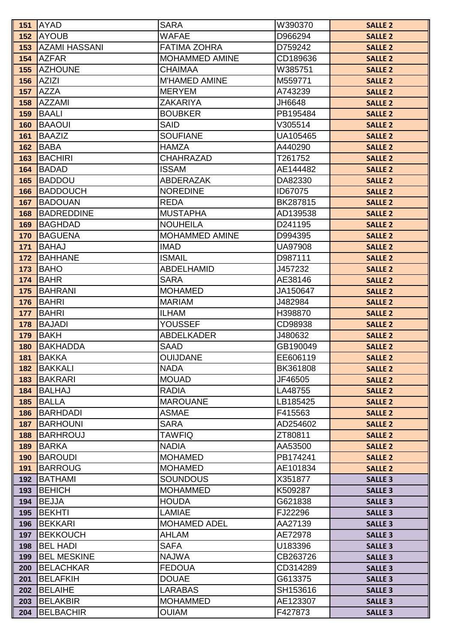| 151        | <b>AYAD</b>                            | <b>SARA</b>                   | W390370              | <b>SALLE 2</b>                   |
|------------|----------------------------------------|-------------------------------|----------------------|----------------------------------|
| 152        | <b>AYOUB</b>                           | <b>WAFAE</b>                  | D966294              | <b>SALLE 2</b>                   |
| 153        | <b>AZAMI HASSANI</b>                   | <b>FATIMA ZOHRA</b>           | D759242              | <b>SALLE 2</b>                   |
| 154        | <b>AZFAR</b>                           | MOHAMMED AMINE                | CD189636             | <b>SALLE 2</b>                   |
| 155        | <b>AZHOUNE</b>                         | <b>CHAIMAA</b>                | W385751              | <b>SALLE 2</b>                   |
| 156        | <b>AZIZI</b>                           | <b>M'HAMED AMINE</b>          | M559771              | <b>SALLE 2</b>                   |
| 157        | AZZA                                   | <b>MERYEM</b>                 | A743239              | <b>SALLE 2</b>                   |
| 158        | <b>AZZAMI</b>                          | <b>ZAKARIYA</b>               | JH6648               | <b>SALLE 2</b>                   |
| 159        | BAALI                                  | <b>BOUBKER</b>                | PB195484             | <b>SALLE 2</b>                   |
| 160        | BAAOUI                                 | <b>SAID</b>                   | V305514              | <b>SALLE 2</b>                   |
| 161        | BAAZIZ                                 | <b>SOUFIANE</b>               | UA105465             | <b>SALLE 2</b>                   |
| 162        | BABA                                   | <b>HAMZA</b>                  | A440290              | <b>SALLE 2</b>                   |
| 163        | <b>BACHIRI</b>                         | CHAHRAZAD                     | T261752              | <b>SALLE 2</b>                   |
| 164        | BADAD                                  | <b>ISSAM</b>                  | AE144482             | <b>SALLE 2</b>                   |
| 165        | <b>BADDOU</b>                          | <b>ABDERAZAK</b>              | DA82330              | <b>SALLE 2</b>                   |
| 166        | BADDOUCH                               | <b>NOREDINE</b>               | ID67075              | <b>SALLE 2</b>                   |
| 167        | BADOUAN                                | <b>REDA</b>                   | BK287815             | <b>SALLE 2</b>                   |
| 168        | <b>BADREDDINE</b>                      | <b>MUSTAPHA</b>               | AD139538             | <b>SALLE 2</b>                   |
| 169        | BAGHDAD                                | <b>NOUHEILA</b>               | D241195              | <b>SALLE 2</b>                   |
| 170        | BAGUENA                                | MOHAMMED AMINE                | D994395              | <b>SALLE 2</b>                   |
| 171        | BAHAJ                                  | <b>IMAD</b>                   | <b>UA97908</b>       | <b>SALLE 2</b>                   |
| 172        | <b>BAHHANE</b>                         | <b>ISMAIL</b>                 | D987111              | <b>SALLE 2</b>                   |
| 173        | <b>BAHO</b>                            | ABDELHAMID                    | J457232              | <b>SALLE 2</b>                   |
| 174        | BAHR                                   | <b>SARA</b>                   | AE38146              | <b>SALLE 2</b>                   |
| 175        | BAHRANI                                | <b>MOHAMED</b>                | JA150647             | <b>SALLE 2</b>                   |
| 176        | BAHRI                                  | <b>MARIAM</b>                 | J482984              | <b>SALLE 2</b>                   |
| 177        | BAHRI                                  | <b>ILHAM</b>                  | H398870              | <b>SALLE 2</b>                   |
| 178        | <b>BAJADI</b>                          | <b>YOUSSEF</b>                | CD98938              | <b>SALLE 2</b>                   |
| 179        | BAKH                                   | <b>ABDELKADER</b>             | J480632              | <b>SALLE 2</b>                   |
| 180        | <b>BAKHADDA</b>                        | <b>SAAD</b>                   | GB190049             | <b>SALLE 2</b>                   |
| 181        | BAKKA                                  | <b>OUIJDANE</b>               | EE606119             | <b>SALLE 2</b>                   |
| 182        | BAKKALI                                | <b>NADA</b>                   | BK361808             | <b>SALLE 2</b>                   |
| 183        | BAKRARI                                | <b>MOUAD</b>                  | JF46505              | <b>SALLE 2</b>                   |
| 184        | <b>BALHAJ</b>                          | <b>RADIA</b>                  | LA48755              | <b>SALLE 2</b>                   |
| 185        | BALLA                                  | <b>MAROUANE</b>               | LB185425             | <b>SALLE 2</b>                   |
| 186        | BARHDADI                               | <b>ASMAE</b>                  | F415563              | <b>SALLE 2</b>                   |
| 187        | BARHOUNI                               | <b>SARA</b>                   | AD254602             | <b>SALLE 2</b>                   |
| 188        | <b>BARHROUJ</b>                        | <b>TAWFIQ</b>                 | ZT80811              | <b>SALLE 2</b>                   |
| 189        | BARKA                                  | <b>NADIA</b>                  | AA53500              | <b>SALLE 2</b>                   |
| 190        | BAROUDI                                | <b>MOHAMED</b>                | PB174241             | <b>SALLE 2</b>                   |
| 191        | <b>BARROUG</b>                         | <b>MOHAMED</b>                | AE101834             | <b>SALLE 2</b>                   |
| 192        | <b>BATHAMI</b>                         | <b>SOUNDOUS</b>               | X351877              | <b>SALLE 3</b>                   |
| 193        | <b>BEHICH</b>                          | <b>MOHAMMED</b>               | K509287              | <b>SALLE 3</b>                   |
| 194        | <b>BEJJA</b>                           | <b>HOUDA</b><br><b>LAMIAE</b> | G621838              | <b>SALLE 3</b>                   |
| 195        | <b>BEKHTI</b>                          | <b>MOHAMED ADEL</b>           | FJ22296              | <b>SALLE 3</b>                   |
| 196        | <b>BEKKARI</b><br><b>BEKKOUCH</b>      | AHLAM                         | AA27139<br>AE72978   | <b>SALLE 3</b>                   |
| 197        |                                        |                               |                      | <b>SALLE 3</b>                   |
| 198        | <b>BEL HADI</b>                        | <b>SAFA</b>                   | U183396              | <b>SALLE 3</b>                   |
| 199<br>200 | <b>BEL MESKINE</b><br><b>BELACHKAR</b> | <b>NAJWA</b><br><b>FEDOUA</b> | CB263726<br>CD314289 | <b>SALLE 3</b>                   |
| 201        | <b>BELAFKIH</b>                        | <b>DOUAE</b>                  | G613375              | <b>SALLE 3</b><br><b>SALLE 3</b> |
| 202        | <b>BELAIHE</b>                         | <b>LARABAS</b>                | SH153616             | <b>SALLE 3</b>                   |
| 203        | <b>BELAKBIR</b>                        | <b>MOHAMMED</b>               | AE123307             | <b>SALLE 3</b>                   |
| 204        | <b>BELBACHIR</b>                       | <b>OUIAM</b>                  | F427873              | <b>SALLE 3</b>                   |
|            |                                        |                               |                      |                                  |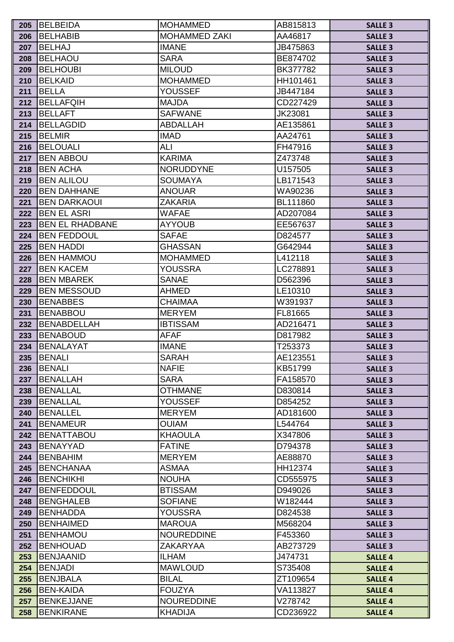| 205        | <b>BELBEIDA</b>                       | <b>MOHAMMED</b>                | AB815813           | <b>SALLE 3</b>                   |
|------------|---------------------------------------|--------------------------------|--------------------|----------------------------------|
| 206        | BELHABIB                              | <b>MOHAMMED ZAKI</b>           | AA46817            | <b>SALLE 3</b>                   |
| 207        | <b>BELHAJ</b>                         | <b>IMANE</b>                   | JB475863           | <b>SALLE 3</b>                   |
| 208        | <b>BELHAOU</b>                        | <b>SARA</b>                    | BE874702           | <b>SALLE 3</b>                   |
| 209        | <b>BELHOUBI</b>                       | <b>MILOUD</b>                  | BK377782           | <b>SALLE 3</b>                   |
| 210        | BELKAID                               | <b>MOHAMMED</b>                | HH101461           | <b>SALLE 3</b>                   |
| 211        | <b>BELLA</b>                          | <b>YOUSSEF</b>                 | JB447184           | <b>SALLE 3</b>                   |
| 212        | <b>BELLAFQIH</b>                      | <b>MAJDA</b>                   | CD227429           | <b>SALLE 3</b>                   |
| 213        | <b>BELLAFT</b>                        | <b>SAFWANE</b>                 | JK23081            | <b>SALLE 3</b>                   |
| 214        | <b>BELLAGDID</b>                      | ABDALLAH                       | AE135861           | <b>SALLE 3</b>                   |
| 215        | BELMIR                                | <b>IMAD</b>                    | AA24761            | <b>SALLE 3</b>                   |
| 216        | <b>BELOUALI</b>                       | ALI                            | FH47916            | <b>SALLE 3</b>                   |
| 217        | <b>BEN ABBOU</b>                      | <b>KARIMA</b>                  | Z473748            | <b>SALLE 3</b>                   |
| 218        | <b>BEN ACHA</b>                       | <b>NORUDDYNE</b>               | U157505            | <b>SALLE 3</b>                   |
| 219        | <b>BEN ALILOU</b>                     | <b>SOUMAYA</b>                 | LB171543           | <b>SALLE 3</b>                   |
| 220        | <b>BEN DAHHANE</b>                    | <b>ANOUAR</b>                  | WA90236            | <b>SALLE 3</b>                   |
| 221        | <b>IBEN DARKAOUI</b>                  | <b>ZAKARIA</b>                 | BL111860           | <b>SALLE 3</b>                   |
| 222        | <b>BEN EL ASRI</b>                    | <b>WAFAE</b>                   | AD207084           | <b>SALLE 3</b>                   |
| 223        | <b>IBEN EL RHADBANE</b>               | <b>AYYOUB</b>                  | EE567637           | <b>SALLE 3</b>                   |
| 224        | <b>IBEN FEDDOUL</b>                   | <b>SAFAE</b>                   | D824577            | <b>SALLE 3</b>                   |
| 225        | <b>BEN HADDI</b>                      | <b>GHASSAN</b>                 | G642944            | <b>SALLE 3</b>                   |
| 226        | <b>IBEN HAMMOU</b>                    | <b>MOHAMMED</b>                | L412118            | <b>SALLE 3</b>                   |
| 227        | <b>BEN KACEM</b>                      | YOUSSRA                        | LC278891           | <b>SALLE 3</b>                   |
| 228        | <b>BEN MBAREK</b>                     | <b>SANAE</b>                   | D562396            | <b>SALLE 3</b>                   |
| 229        | <b>BEN MESSOUD</b>                    | <b>AHMED</b>                   | LE10310            | <b>SALLE 3</b>                   |
| 230        | <b>BENABBES</b>                       | <b>CHAIMAA</b>                 | W391937            | <b>SALLE 3</b>                   |
| 231        | <b>BENABBOU</b>                       | <b>MERYEM</b>                  | FL81665            | <b>SALLE 3</b>                   |
| 232        | <b>BENABDELLAH</b>                    | <b>IBTISSAM</b>                | AD216471           | <b>SALLE 3</b>                   |
| 233        | <b>BENABOUD</b>                       | <b>AFAF</b>                    | D817982            | <b>SALLE 3</b>                   |
| 234        | BENALAYAT                             | <b>IMANE</b>                   | T253373            | <b>SALLE 3</b>                   |
| 235        | BENALI                                | <b>SARAH</b>                   | AE123551           | <b>SALLE 3</b>                   |
| 236        | BENALI                                | <b>NAFIE</b>                   | KB51799            | <b>SALLE 3</b>                   |
| 237        | BENALLAH                              | <b>SARA</b>                    | FA158570           | <b>SALLE 3</b>                   |
| 238        | <b>BENALLAL</b>                       | <b>OTHMANE</b>                 | D830814            | <b>SALLE 3</b>                   |
| 239        | BENALLAL                              | <b>YOUSSEF</b>                 | D854252            | <b>SALLE 3</b>                   |
| 240        | <b>BENALLEL</b>                       | <b>MERYEM</b>                  | AD181600           | <b>SALLE 3</b>                   |
| 241        | <b>IBENAMEUR</b>                      | <b>OUIAM</b>                   | L544764            | <b>SALLE 3</b>                   |
| 242        | <b>BENATTABOU</b>                     | <b>KHAOULA</b>                 | X347806            | <b>SALLE 3</b>                   |
| 243        | <b>BENAYYAD</b>                       | <b>FATINE</b>                  | D794378            | <b>SALLE 3</b>                   |
| 244        | <b>BENBAHIM</b>                       | <b>MERYEM</b>                  | AE88870            | <b>SALLE 3</b>                   |
| 245        | <b>BENCHANAA</b>                      | <b>ASMAA</b>                   | HH12374            | <b>SALLE 3</b>                   |
| 246<br>247 | <b>BENCHIKHI</b><br><b>BENFEDDOUL</b> | <b>NOUHA</b><br><b>BTISSAM</b> | CD555975           | <b>SALLE 3</b>                   |
|            | <b>BENGHALEB</b>                      | <b>SOFIANE</b>                 | D949026<br>W182444 | <b>SALLE 3</b>                   |
| 248        | <b>BENHADDA</b>                       | <b>YOUSSRA</b>                 | D824538            | <b>SALLE 3</b>                   |
| 249        | <b>BENHAIMED</b>                      | <b>MAROUA</b>                  | M568204            | <b>SALLE 3</b>                   |
| 250<br>251 | <b>BENHAMOU</b>                       | <b>NOUREDDINE</b>              | F453360            | <b>SALLE 3</b><br><b>SALLE 3</b> |
| 252        | <b>BENHOUAD</b>                       | ZAKARYAA                       | AB273729           | <b>SALLE 3</b>                   |
| 253        | <b>BENJAANID</b>                      | <b>ILHAM</b>                   | J474731            | <b>SALLE 4</b>                   |
| 254        | <b>BENJADI</b>                        | <b>MAWLOUD</b>                 | S735408            | <b>SALLE 4</b>                   |
| 255        | <b>BENJBALA</b>                       | <b>BILAL</b>                   | ZT109654           | <b>SALLE 4</b>                   |
| 256        | <b>BEN-KAIDA</b>                      | <b>FOUZYA</b>                  | VA113827           | <b>SALLE 4</b>                   |
| 257        | BENKEJJANE                            | <b>NOUREDDINE</b>              | V278742            | <b>SALLE 4</b>                   |
| 258        | <b>BENKIRANE</b>                      | KHADIJA                        | CD236922           | <b>SALLE 4</b>                   |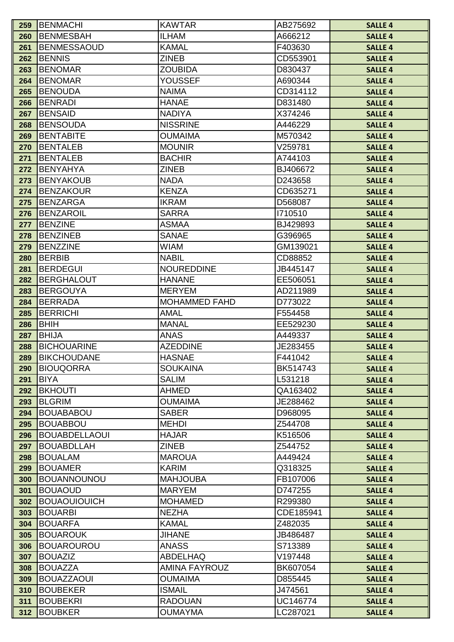| 259 | <b>BENMACHI</b>      | <b>KAWTAR</b>        | AB275692  | <b>SALLE 4</b> |
|-----|----------------------|----------------------|-----------|----------------|
| 260 | <b>BENMESBAH</b>     | <b>ILHAM</b>         | A666212   | <b>SALLE 4</b> |
| 261 | <b>BENMESSAOUD</b>   | <b>KAMAL</b>         | F403630   | <b>SALLE 4</b> |
| 262 | <b>BENNIS</b>        | <b>ZINEB</b>         | CD553901  | <b>SALLE 4</b> |
| 263 | <b>BENOMAR</b>       | <b>ZOUBIDA</b>       | D830437   | <b>SALLE 4</b> |
| 264 | <b>BENOMAR</b>       | <b>YOUSSEF</b>       | A690344   | <b>SALLE 4</b> |
| 265 | <b>BENOUDA</b>       | <b>NAIMA</b>         | CD314112  | <b>SALLE 4</b> |
| 266 | <b>BENRADI</b>       | <b>HANAE</b>         | D831480   | <b>SALLE 4</b> |
| 267 | <b>BENSAID</b>       | <b>NADIYA</b>        | X374246   | <b>SALLE 4</b> |
| 268 | <b>BENSOUDA</b>      | <b>NISSRINE</b>      | A446229   | <b>SALLE 4</b> |
| 269 | <b>BENTABITE</b>     | <b>OUMAIMA</b>       | M570342   | <b>SALLE 4</b> |
| 270 | <b>BENTALEB</b>      | <b>MOUNIR</b>        | V259781   | <b>SALLE 4</b> |
| 271 | <b>BENTALEB</b>      | <b>BACHIR</b>        | A744103   | <b>SALLE 4</b> |
| 272 | <b>BENYAHYA</b>      | <b>ZINEB</b>         | BJ406672  | <b>SALLE 4</b> |
| 273 | <b>BENYAKOUB</b>     | <b>NADA</b>          | D243658   | <b>SALLE 4</b> |
| 274 | <b>BENZAKOUR</b>     | <b>KENZA</b>         | CD635271  | <b>SALLE 4</b> |
| 275 | <b>BENZARGA</b>      | <b>IKRAM</b>         | D568087   | <b>SALLE 4</b> |
| 276 | <b>BENZAROIL</b>     | <b>SARRA</b>         | 1710510   | <b>SALLE 4</b> |
| 277 | <b>BENZINE</b>       | <b>ASMAA</b>         | BJ429893  | <b>SALLE 4</b> |
| 278 | <b>BENZINEB</b>      | <b>SANAE</b>         | G396965   | <b>SALLE 4</b> |
| 279 | <b>BENZZINE</b>      | <b>WIAM</b>          | GM139021  | <b>SALLE 4</b> |
| 280 | <b>BERBIB</b>        | <b>NABIL</b>         | CD88852   | <b>SALLE 4</b> |
| 281 | <b>BERDEGUI</b>      | <b>NOUREDDINE</b>    | JB445147  | <b>SALLE 4</b> |
| 282 | <b>BERGHALOUT</b>    | <b>HANANE</b>        | EE506051  | <b>SALLE 4</b> |
| 283 | <b>BERGOUYA</b>      | <b>MERYEM</b>        | AD211989  | <b>SALLE 4</b> |
| 284 | <b>BERRADA</b>       | <b>MOHAMMED FAHD</b> | D773022   | <b>SALLE 4</b> |
| 285 | <b>BERRICHI</b>      | <b>AMAL</b>          | F554458   | <b>SALLE 4</b> |
| 286 | <b>BHIH</b>          | <b>MANAL</b>         | EE529230  | <b>SALLE 4</b> |
| 287 | <b>BHIJA</b>         | <b>ANAS</b>          | A449337   | <b>SALLE 4</b> |
| 288 | <b>BICHOUARINE</b>   | <b>AZEDDINE</b>      | JE283455  | <b>SALLE 4</b> |
| 289 | <b>BIKCHOUDANE</b>   | <b>HASNAE</b>        | F441042   | <b>SALLE 4</b> |
| 290 | <b>BIOUQORRA</b>     | <b>SOUKAINA</b>      | BK514743  | <b>SALLE 4</b> |
| 291 | <b>BIYA</b>          | <b>SALIM</b>         | L531218   | <b>SALLE 4</b> |
| 292 | <b>BKHOUTI</b>       | <b>AHMED</b>         | QA163402  | <b>SALLE 4</b> |
| 293 | <b>BLGRIM</b>        | <b>OUMAIMA</b>       | JE288462  | <b>SALLE 4</b> |
| 294 | <b>BOUABABOU</b>     | <b>SABER</b>         | D968095   | <b>SALLE 4</b> |
| 295 | <b>BOUABBOU</b>      | <b>MEHDI</b>         | Z544708   | <b>SALLE 4</b> |
| 296 | <b>BOUABDELLAOUI</b> | <b>HAJAR</b>         | K516506   | <b>SALLE 4</b> |
| 297 | <b>BOUABDLLAH</b>    | <b>ZINEB</b>         | Z544752   | <b>SALLE 4</b> |
| 298 | <b>BOUALAM</b>       | <b>MAROUA</b>        | A449424   | <b>SALLE 4</b> |
| 299 | <b>BOUAMER</b>       | <b>KARIM</b>         | Q318325   | <b>SALLE 4</b> |
| 300 | <b>BOUANNOUNOU</b>   | <b>MAHJOUBA</b>      | FB107006  | <b>SALLE 4</b> |
| 301 | <b>BOUAOUD</b>       | <b>MARYEM</b>        | D747255   | <b>SALLE 4</b> |
| 302 | <b>BOUAOUIOUICH</b>  | <b>MOHAMED</b>       | R299380   | <b>SALLE 4</b> |
| 303 | <b>BOUARBI</b>       | <b>NEZHA</b>         | CDE185941 | <b>SALLE 4</b> |
| 304 | <b>BOUARFA</b>       | <b>KAMAL</b>         | Z482035   | <b>SALLE 4</b> |
| 305 | <b>BOUAROUK</b>      | <b>JIHANE</b>        | JB486487  | <b>SALLE 4</b> |
| 306 | <b>BOUAROUROU</b>    | <b>ANASS</b>         | S713389   | <b>SALLE 4</b> |
| 307 | <b>BOUAZIZ</b>       | ABDELHAQ             | V197448   | <b>SALLE 4</b> |
| 308 | <b>BOUAZZA</b>       | <b>AMINA FAYROUZ</b> | BK607054  | <b>SALLE 4</b> |
| 309 | <b>BOUAZZAOUI</b>    | <b>OUMAIMA</b>       | D855445   | <b>SALLE 4</b> |
| 310 | <b>BOUBEKER</b>      | <b>ISMAIL</b>        | J474561   | <b>SALLE 4</b> |
| 311 | <b>BOUBEKRI</b>      | <b>RADOUAN</b>       | UC146774  | <b>SALLE 4</b> |
| 312 | <b>BOUBKER</b>       | <b>OUMAYMA</b>       | LC287021  | <b>SALLE 4</b> |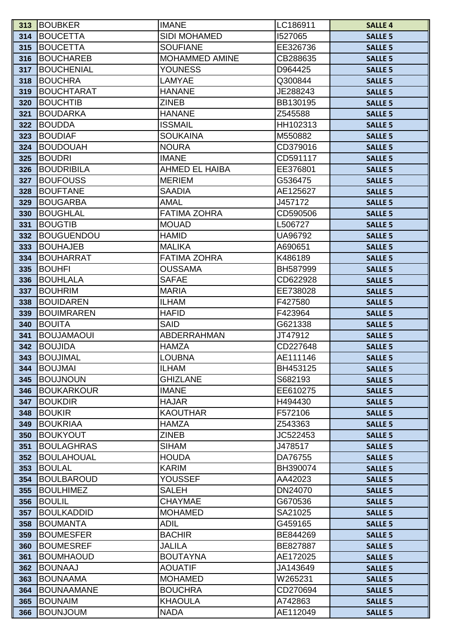| 313        | <b>BOUBKER</b>                         | <b>IMANE</b>                 | LC186911           | <b>SALLE 4</b>                   |
|------------|----------------------------------------|------------------------------|--------------------|----------------------------------|
| 314        | <b>BOUCETTA</b>                        | <b>SIDI MOHAMED</b>          | 1527065            | <b>SALLE 5</b>                   |
| 315        | <b>BOUCETTA</b>                        | <b>SOUFIANE</b>              | EE326736           | <b>SALLE 5</b>                   |
| 316        | <b>BOUCHAREB</b>                       | MOHAMMED AMINE               | CB288635           | <b>SALLE 5</b>                   |
| 317        | <b>BOUCHENIAL</b>                      | <b>YOUNESS</b>               | D964425            | <b>SALLE 5</b>                   |
| 318        | <b>BOUCHRA</b>                         | LAMYAE                       | Q300844            | <b>SALLE 5</b>                   |
| 319        | BOUCHTARAT                             | <b>HANANE</b>                | JE288243           | <b>SALLE 5</b>                   |
| 320        | <b>BOUCHTIB</b>                        | <b>ZINEB</b>                 | BB130195           | <b>SALLE 5</b>                   |
| 321        | <b>BOUDARKA</b>                        | <b>HANANE</b>                | Z545588            | <b>SALLE 5</b>                   |
| 322        | <b>BOUDDA</b>                          | <b>ISSMAIL</b>               | HH102313           | <b>SALLE 5</b>                   |
| 323        | <b>BOUDIAF</b>                         | <b>SOUKAINA</b>              | M550882            | <b>SALLE 5</b>                   |
| 324        | <b>BOUDOUAH</b>                        | <b>NOURA</b>                 | CD379016           | <b>SALLE 5</b>                   |
| 325        | <b>BOUDRI</b>                          | <b>IMANE</b>                 | CD591117           | <b>SALLE 5</b>                   |
| 326        | <b>BOUDRIBILA</b>                      | <b>AHMED EL HAIBA</b>        | EE376801           | <b>SALLE 5</b>                   |
| 327        | <b>BOUFOUSS</b>                        | <b>MERIEM</b>                | G536475            | <b>SALLE 5</b>                   |
| 328        | <b>BOUFTANE</b>                        | <b>SAADIA</b>                | AE125627           | <b>SALLE 5</b>                   |
| 329        | <b>BOUGARBA</b>                        | <b>AMAL</b>                  | J457172            | <b>SALLE 5</b>                   |
| 330        | <b>BOUGHLAL</b>                        | <b>FATIMA ZOHRA</b>          | CD590506           | <b>SALLE 5</b>                   |
| 331        | <b>BOUGTIB</b>                         | <b>MOUAD</b>                 | L506727            | <b>SALLE 5</b>                   |
| 332        | <b>BOUGUENDOU</b>                      | <b>HAMID</b>                 | UA96792            | <b>SALLE 5</b>                   |
| 333        | <b>BOUHAJEB</b>                        | <b>MALIKA</b>                | A690651            | <b>SALLE 5</b>                   |
| 334        | <b>BOUHARRAT</b>                       | <b>FATIMA ZOHRA</b>          | K486189            | <b>SALLE 5</b>                   |
| 335        | <b>BOUHFI</b>                          | <b>OUSSAMA</b>               | BH587999           | <b>SALLE 5</b>                   |
| 336        | <b>BOUHLALA</b>                        | <b>SAFAE</b>                 | CD622928           | <b>SALLE 5</b>                   |
| 337        | <b>BOUHRIM</b>                         | <b>MARIA</b>                 | EE738028           | <b>SALLE 5</b>                   |
| 338        | <b>BOUIDAREN</b>                       | <b>ILHAM</b>                 | F427580            | <b>SALLE 5</b>                   |
| 339        | <b>BOUIMRAREN</b>                      | <b>HAFID</b>                 | F423964            | <b>SALLE 5</b>                   |
| 340        | <b>BOUITA</b>                          | <b>SAID</b>                  | G621338            | <b>SALLE 5</b>                   |
| 341        | <b>BOUJAMAOUI</b>                      | <b>ABDERRAHMAN</b>           | JT47912            | <b>SALLE 5</b>                   |
| 342        | <b>BOUJIDA</b>                         | <b>HAMZA</b>                 | CD227648           | <b>SALLE 5</b>                   |
| 343        | <b>BOUJIMAL</b>                        | <b>LOUBNA</b>                | AE111146           | <b>SALLE 5</b>                   |
| 344        | <b>BOUJMAI</b>                         | <b>ILHAM</b>                 | BH453125           | <b>SALLE 5</b>                   |
| 345        | <b>BOUJNOUN</b>                        | <b>GHIZLANE</b>              | S682193            | <b>SALLE 5</b>                   |
| 346        | <b>BOUKARKOUR</b>                      | <b>IMANE</b>                 | EE610275           | <b>SALLE 5</b>                   |
| 347        | <b>BOUKDIR</b>                         | <b>HAJAR</b>                 | H494430            | <b>SALLE 5</b>                   |
| 348        | <b>BOUKIR</b>                          | <b>KAOUTHAR</b>              | F572106            | <b>SALLE 5</b>                   |
| 349        | <b>BOUKRIAA</b>                        | <b>HAMZA</b>                 | Z543363            | <b>SALLE 5</b>                   |
| 350        | <b>BOUKYOUT</b>                        | <b>ZINEB</b>                 | JC522453           | <b>SALLE 5</b>                   |
| 351        | <b>BOULAGHRAS</b><br><b>BOULAHOUAL</b> | <b>SIHAM</b><br><b>HOUDA</b> | J478517<br>DA76755 | <b>SALLE 5</b>                   |
| 352        | <b>BOULAL</b>                          |                              | BH390074           | <b>SALLE 5</b>                   |
| 353<br>354 | <b>BOULBAROUD</b>                      | <b>KARIM</b><br>YOUSSEF      | AA42023            | <b>SALLE 5</b><br><b>SALLE 5</b> |
| 355        | <b>BOULHIMEZ</b>                       | <b>SALEH</b>                 | DN24070            | <b>SALLE 5</b>                   |
| 356        | <b>BOULIL</b>                          | <b>CHAYMAE</b>               | G670536            | <b>SALLE 5</b>                   |
| 357        | <b>BOULKADDID</b>                      | <b>MOHAMED</b>               | SA21025            | <b>SALLE 5</b>                   |
| 358        | <b>BOUMANTA</b>                        | <b>ADIL</b>                  | G459165            | <b>SALLE 5</b>                   |
| 359        | <b>BOUMESFER</b>                       | <b>BACHIR</b>                | BE844269           | <b>SALLE 5</b>                   |
| 360        | <b>BOUMESREF</b>                       | <b>JALILA</b>                | BE827887           | <b>SALLE 5</b>                   |
| 361        | <b>BOUMHAOUD</b>                       | <b>BOUTAYNA</b>              | AE172025           | <b>SALLE 5</b>                   |
| 362        | <b>BOUNAAJ</b>                         | <b>AOUATIF</b>               | JA143649           | <b>SALLE 5</b>                   |
| 363        | <b>BOUNAAMA</b>                        | <b>MOHAMED</b>               | W265231            | <b>SALLE 5</b>                   |
| 364        | <b>BOUNAAMANE</b>                      | <b>BOUCHRA</b>               | CD270694           | <b>SALLE 5</b>                   |
| 365        | <b>BOUNAIM</b>                         | <b>KHAOULA</b>               | A742863            | <b>SALLE 5</b>                   |
| 366        | <b>BOUNJOUM</b>                        | <b>NADA</b>                  | AE112049           | <b>SALLE 5</b>                   |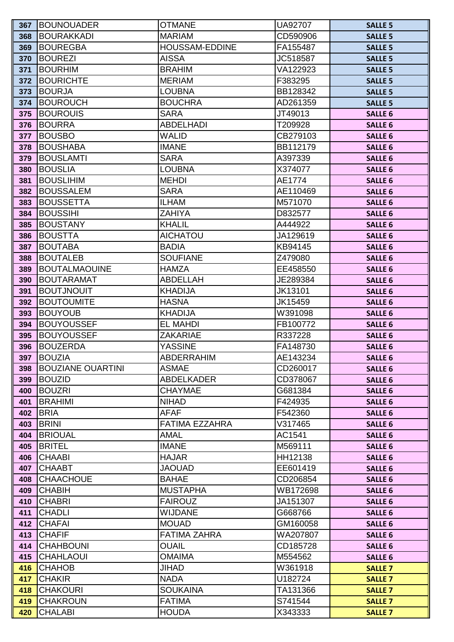| 367        | <b>BOUNOUADER</b>                 | <b>OTMANE</b>                     | UA92707              | <b>SALLE 5</b>                   |
|------------|-----------------------------------|-----------------------------------|----------------------|----------------------------------|
| 368        | <b>BOURAKKADI</b>                 | <b>MARIAM</b>                     | CD590906             | <b>SALLE 5</b>                   |
| 369        | <b>BOUREGBA</b>                   | <b>HOUSSAM-EDDINE</b>             | FA155487             | <b>SALLE 5</b>                   |
| 370        | <b>BOUREZI</b>                    | <b>AISSA</b>                      | JC518587             | <b>SALLE 5</b>                   |
| 371        | <b>BOURHIM</b>                    | <b>BRAHIM</b>                     | VA122923             | <b>SALLE 5</b>                   |
| 372        | <b>BOURICHTE</b>                  | <b>MERIAM</b>                     | F383295              | <b>SALLE 5</b>                   |
| 373        | <b>BOURJA</b>                     | <b>LOUBNA</b>                     | BB128342             | <b>SALLE 5</b>                   |
| 374        | <b>BOUROUCH</b>                   | <b>BOUCHRA</b>                    | AD261359             | <b>SALLE 5</b>                   |
| 375        | <b>BOUROUIS</b>                   | <b>SARA</b>                       | JT49013              | <b>SALLE 6</b>                   |
| 376        | <b>BOURRA</b>                     | <b>ABDELHADI</b>                  | T209928              | <b>SALLE 6</b>                   |
| 377        | <b>BOUSBO</b>                     | <b>WALID</b>                      | CB279103             | <b>SALLE 6</b>                   |
| 378        | <b>BOUSHABA</b>                   | <b>IMANE</b>                      | BB112179             | <b>SALLE 6</b>                   |
| 379        | <b>BOUSLAMTI</b>                  | <b>SARA</b>                       | A397339              | <b>SALLE 6</b>                   |
| 380        | <b>BOUSLIA</b>                    | <b>LOUBNA</b>                     | X374077              | <b>SALLE 6</b>                   |
| 381        | <b>BOUSLIHIM</b>                  | <b>MEHDI</b>                      | AE1774               | <b>SALLE 6</b>                   |
| 382        | <b>BOUSSALEM</b>                  | <b>SARA</b>                       | AE110469             | <b>SALLE 6</b>                   |
| 383        | <b>BOUSSETTA</b>                  | <b>ILHAM</b>                      | M571070              | <b>SALLE 6</b>                   |
| 384        | <b>BOUSSIHI</b>                   | <b>ZAHIYA</b>                     | D832577              | <b>SALLE 6</b>                   |
| 385        | <b>BOUSTANY</b>                   | <b>KHALIL</b>                     | A444922              | <b>SALLE 6</b>                   |
| 386        | <b>BOUSTTA</b>                    | <b>AICHATOU</b>                   | JA129619             | <b>SALLE 6</b>                   |
| 387        | <b>BOUTABA</b>                    | <b>BADIA</b>                      | KB94145              | <b>SALLE 6</b>                   |
| 388        | <b>BOUTALEB</b>                   | <b>SOUFIANE</b>                   | Z479080              | <b>SALLE 6</b>                   |
| 389        | <b>BOUTALMAOUINE</b>              | <b>HAMZA</b>                      | EE458550             | <b>SALLE 6</b>                   |
| 390        | <b>BOUTARAMAT</b>                 | <b>ABDELLAH</b>                   | JE289384             | <b>SALLE 6</b>                   |
| 391        | <b>BOUTJNOUIT</b>                 | <b>KHADIJA</b>                    | JK13101              | <b>SALLE 6</b>                   |
| 392        | <b>BOUTOUMITE</b>                 | <b>HASNA</b>                      | JK15459              | <b>SALLE 6</b>                   |
| 393        | <b>BOUYOUB</b>                    | <b>KHADIJA</b>                    | W391098              | <b>SALLE 6</b>                   |
| 394        | <b>BOUYOUSSEF</b>                 | <b>EL MAHDI</b>                   | FB100772             | <b>SALLE 6</b>                   |
| 395        | <b>BOUYOUSSEF</b>                 | <b>ZAKARIAE</b>                   | R337228              | <b>SALLE 6</b>                   |
| 396        | <b>BOUZERDA</b>                   | <b>YASSINE</b>                    | FA148730             | <b>SALLE 6</b>                   |
| 397        | <b>BOUZIA</b>                     | <b>ABDERRAHIM</b>                 | AE143234             | <b>SALLE 6</b>                   |
| 398        | <b>BOUZIANE OUARTINI</b>          | <b>ASMAE</b>                      | CD260017             | <b>SALLE 6</b>                   |
| 399        | <b>BOUZID</b>                     | <b>ABDELKADER</b>                 | CD378067             | <b>SALLE 6</b>                   |
| 400        | <b>BOUZRI</b>                     | <b>CHAYMAE</b>                    | G681384              | <b>SALLE 6</b>                   |
| 401        | <b>BRAHIMI</b>                    | <b>NIHAD</b>                      | F424935              | <b>SALLE 6</b>                   |
| 402        | <b>BRIA</b>                       | AFAF                              | F542360              | <b>SALLE 6</b>                   |
| 403        | <b>BRINI</b>                      | FATIMA EZZAHRA                    | V317465              | <b>SALLE 6</b>                   |
| 404        | <b>BRIOUAL</b>                    | <b>AMAL</b>                       | AC1541               | <b>SALLE 6</b>                   |
| 405        | <b>BRITEL</b>                     | <b>IMANE</b>                      | M569111              | <b>SALLE 6</b>                   |
| 406        | <b>CHAABI</b>                     | <b>HAJAR</b>                      | HH12138              | <b>SALLE 6</b>                   |
| 407        | <b>CHAABT</b>                     | <b>JAOUAD</b>                     | EE601419             | <b>SALLE 6</b>                   |
| 408        | <b>CHAACHOUE</b>                  | <b>BAHAE</b>                      | CD206854             | <b>SALLE 6</b>                   |
| 409        | <b>CHABIH</b>                     | <b>MUSTAPHA</b><br><b>FAIROUZ</b> | WB172698             | <b>SALLE 6</b>                   |
| 410<br>411 | <b>CHABRI</b><br><b>CHADLI</b>    | <b>WIJDANE</b>                    | JA151307<br>G668766  | <b>SALLE 6</b>                   |
| 412        | <b>CHAFAI</b>                     | <b>MOUAD</b>                      | GM160058             | <b>SALLE 6</b>                   |
|            |                                   | <b>FATIMA ZAHRA</b>               |                      | <b>SALLE 6</b>                   |
| 413<br>414 | <b>CHAFIF</b><br><b>CHAHBOUNI</b> | <b>OUAIL</b>                      | WA207807<br>CD185728 | <b>SALLE 6</b><br><b>SALLE 6</b> |
|            | <b>CHAHLAOUI</b>                  | <b>OMAIMA</b>                     | M554562              |                                  |
| 415<br>416 | <b>CHAHOB</b>                     | <b>JIHAD</b>                      | W361918              | <b>SALLE 6</b>                   |
| 417        | <b>CHAKIR</b>                     | <b>NADA</b>                       | U182724              | <b>SALLE 7</b><br><b>SALLE 7</b> |
| 418        | <b>CHAKOURI</b>                   | <b>SOUKAINA</b>                   | TA131366             | <b>SALLE 7</b>                   |
| 419        | <b>CHAKROUN</b>                   | <b>FATIMA</b>                     | S741544              | <b>SALLE 7</b>                   |
| 420        | <b>CHALABI</b>                    | <b>HOUDA</b>                      | X343333              | <b>SALLE 7</b>                   |
|            |                                   |                                   |                      |                                  |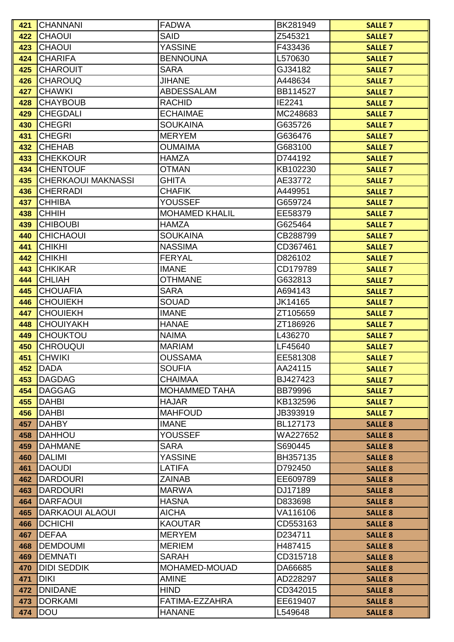| <b>CHAOUI</b><br><b>SAID</b><br>Z545321<br><b>SALLE 7</b><br>422<br><b>YASSINE</b><br><b>CHAOUI</b><br>F433436<br>423<br><b>SALLE 7</b><br><b>BENNOUNA</b><br><b>CHARIFA</b><br>L570630<br>424<br><b>SALLE 7</b><br><b>CHAROUIT</b><br><b>SARA</b><br>GJ34182<br>425<br><b>SALLE 7</b><br><b>CHAROUQ</b><br><b>JIHANE</b><br>A448634<br>426<br><b>SALLE 7</b><br><b>CHAWKI</b><br><b>ABDESSALAM</b><br>BB114527<br><b>SALLE 7</b><br>427<br><b>CHAYBOUB</b><br><b>RACHID</b><br>IE2241<br>428<br><b>SALLE 7</b><br><b>CHEGDALI</b><br><b>ECHAIMAE</b><br>MC248683<br>429<br><b>SALLE 7</b><br><b>CHEGRI</b><br><b>SOUKAINA</b><br>430<br>G635726<br><b>SALLE 7</b><br><b>CHEGRI</b><br><b>MERYEM</b><br>G636476<br>431<br><b>SALLE 7</b><br><b>CHEHAB</b><br><b>OUMAIMA</b><br>G683100<br>432<br><b>SALLE 7</b><br><b>CHEKKOUR</b><br><b>HAMZA</b><br>D744192<br>433<br><b>SALLE 7</b><br><b>CHENTOUF</b><br><b>OTMAN</b><br>KB102230<br>434<br><b>SALLE 7</b><br><b>CHERKAOUI MAKNASSI</b><br>GHITA<br>AE33772<br>435<br><b>SALLE 7</b><br><b>CHAFIK</b><br><b>CHERRADI</b><br>A449951<br>436<br><b>SALLE 7</b><br><b>CHHIBA</b><br><b>YOUSSEF</b><br>437<br>G659724<br><b>SALLE 7</b><br><b>CHHIH</b><br><b>MOHAMED KHALIL</b><br>EE58379<br>438<br><b>SALLE 7</b><br><b>CHIBOUBI</b><br><b>HAMZA</b><br>G625464<br>439<br><b>SALLE 7</b><br><b>CHICHAOUI</b><br><b>SOUKAINA</b><br>CB288799<br>440<br><b>SALLE 7</b><br><b>CHIKHI</b><br><b>NASSIMA</b><br>CD367461<br>441<br><b>SALLE 7</b><br><b>CHIKHI</b><br>442<br><b>FERYAL</b><br>D826102<br><b>SALLE 7</b><br><b>CHKIKAR</b><br><b>IMANE</b><br>CD179789<br>443<br><b>SALLE 7</b><br><b>CHLIAH</b><br><b>OTHMANE</b><br>G632813<br>444<br><b>SALLE 7</b><br><b>CHOUAFIA</b><br><b>SARA</b><br>445<br>A694143<br><b>SALLE 7</b><br><b>SOUAD</b><br><b>CHOUIEKH</b><br>JK14165<br><b>SALLE 7</b><br>446<br><b>CHOUIEKH</b><br><b>IMANE</b><br>ZT105659<br>447<br><b>SALLE 7</b><br><b>CHOUIYAKH</b><br><b>HANAE</b><br>448<br>ZT186926<br><b>SALLE 7</b><br><b>CHOUKTOU</b><br><b>NAIMA</b><br>L436270<br>449<br><b>SALLE 7</b><br><b>CHROUQUI</b><br><b>MARIAM</b><br>450<br>LF45640<br><b>SALLE 7</b><br><b>OUSSAMA</b><br><b>CHWIKI</b><br>EE581308<br>451<br><b>SALLE 7</b><br>AA24115<br>DADA<br><b>SOUFIA</b><br>452<br><b>SALLE 7</b><br><b>DAGDAG</b><br><b>CHAIMAA</b><br>453<br>BJ427423<br><b>SALLE 7</b><br>DAGGAG<br><b>MOHAMMED TAHA</b><br><b>BB79996</b><br>454<br><b>SALLE 7</b><br><b>DAHBI</b><br><b>HAJAR</b><br>KB132596<br>455<br><b>SALLE 7</b><br><b>DAHBI</b><br><b>MAHFOUD</b><br>456<br>JB393919<br><b>SALLE 7</b><br><b>DAHBY</b><br><b>IMANE</b><br>BL127173<br>457<br><b>SALLE 8</b><br><b>DAHHOU</b><br><b>YOUSSEF</b><br>WA227652<br>458<br><b>SALLE 8</b><br><b>DAHMANE</b><br><b>SARA</b><br>459<br>S690445<br><b>SALLE 8</b><br><b>YASSINE</b><br><b>DALIMI</b><br>BH357135<br>460<br><b>SALLE 8</b><br><b>DAOUDI</b><br><b>LATIFA</b><br>D792450<br>461<br><b>SALLE 8</b><br><b>DARDOURI</b><br><b>ZAINAB</b><br>462<br>EE609789<br><b>SALLE 8</b><br><b>DARDOURI</b><br><b>MARWA</b><br>DJ17189<br>463<br><b>SALLE 8</b><br><b>DARFAOUI</b><br><b>HASNA</b><br>D833698<br>464<br><b>SALLE 8</b><br><b>DARKAOUI ALAOUI</b><br><b>AICHA</b><br>VA116106<br>465<br><b>SALLE 8</b><br><b>DCHICHI</b><br><b>KAOUTAR</b><br>CD553163<br>466<br><b>SALLE 8</b><br><b>MERYEM</b><br>467<br><b>DEFAA</b><br>D234711<br><b>SALLE 8</b><br><b>DEMDOUMI</b><br><b>MERIEM</b><br>H487415<br>468<br><b>SALLE 8</b><br><b>DEMNATI</b><br><b>SARAH</b><br>CD315718<br>469<br><b>SALLE 8</b><br>MOHAMED-MOUAD<br><b>DIDI SEDDIK</b><br>DA66685<br>470<br><b>SALLE 8</b><br><b>DIKI</b><br><b>AMINE</b><br>AD228297<br>471<br><b>SALLE 8</b><br><b>DNIDANE</b><br><b>HIND</b><br>CD342015<br>472<br><b>SALLE 8</b><br><b>DORKAMI</b><br>FATIMA-EZZAHRA<br>473<br>EE619407<br><b>SALLE 8</b><br><b>DOU</b><br><b>HANANE</b><br>L549648<br>474<br><b>SALLE 8</b> | 421 | <b>CHANNANI</b> | <b>FADWA</b> | BK281949 | <b>SALLE 7</b> |
|--------------------------------------------------------------------------------------------------------------------------------------------------------------------------------------------------------------------------------------------------------------------------------------------------------------------------------------------------------------------------------------------------------------------------------------------------------------------------------------------------------------------------------------------------------------------------------------------------------------------------------------------------------------------------------------------------------------------------------------------------------------------------------------------------------------------------------------------------------------------------------------------------------------------------------------------------------------------------------------------------------------------------------------------------------------------------------------------------------------------------------------------------------------------------------------------------------------------------------------------------------------------------------------------------------------------------------------------------------------------------------------------------------------------------------------------------------------------------------------------------------------------------------------------------------------------------------------------------------------------------------------------------------------------------------------------------------------------------------------------------------------------------------------------------------------------------------------------------------------------------------------------------------------------------------------------------------------------------------------------------------------------------------------------------------------------------------------------------------------------------------------------------------------------------------------------------------------------------------------------------------------------------------------------------------------------------------------------------------------------------------------------------------------------------------------------------------------------------------------------------------------------------------------------------------------------------------------------------------------------------------------------------------------------------------------------------------------------------------------------------------------------------------------------------------------------------------------------------------------------------------------------------------------------------------------------------------------------------------------------------------------------------------------------------------------------------------------------------------------------------------------------------------------------------------------------------------------------------------------------------------------------------------------------------------------------------------------------------------------------------------------------------------------------------------------------------------------------------------------------------------------------------------------------------------------------------------------------------------------------------------------------------------------------------------------------------------------------------------------------------------------------------------------------------------------------------------------------------------------------------------------------------------------------------------------------|-----|-----------------|--------------|----------|----------------|
|                                                                                                                                                                                                                                                                                                                                                                                                                                                                                                                                                                                                                                                                                                                                                                                                                                                                                                                                                                                                                                                                                                                                                                                                                                                                                                                                                                                                                                                                                                                                                                                                                                                                                                                                                                                                                                                                                                                                                                                                                                                                                                                                                                                                                                                                                                                                                                                                                                                                                                                                                                                                                                                                                                                                                                                                                                                                                                                                                                                                                                                                                                                                                                                                                                                                                                                                                                                                                                                                                                                                                                                                                                                                                                                                                                                                                                                                                                                                            |     |                 |              |          |                |
|                                                                                                                                                                                                                                                                                                                                                                                                                                                                                                                                                                                                                                                                                                                                                                                                                                                                                                                                                                                                                                                                                                                                                                                                                                                                                                                                                                                                                                                                                                                                                                                                                                                                                                                                                                                                                                                                                                                                                                                                                                                                                                                                                                                                                                                                                                                                                                                                                                                                                                                                                                                                                                                                                                                                                                                                                                                                                                                                                                                                                                                                                                                                                                                                                                                                                                                                                                                                                                                                                                                                                                                                                                                                                                                                                                                                                                                                                                                                            |     |                 |              |          |                |
|                                                                                                                                                                                                                                                                                                                                                                                                                                                                                                                                                                                                                                                                                                                                                                                                                                                                                                                                                                                                                                                                                                                                                                                                                                                                                                                                                                                                                                                                                                                                                                                                                                                                                                                                                                                                                                                                                                                                                                                                                                                                                                                                                                                                                                                                                                                                                                                                                                                                                                                                                                                                                                                                                                                                                                                                                                                                                                                                                                                                                                                                                                                                                                                                                                                                                                                                                                                                                                                                                                                                                                                                                                                                                                                                                                                                                                                                                                                                            |     |                 |              |          |                |
|                                                                                                                                                                                                                                                                                                                                                                                                                                                                                                                                                                                                                                                                                                                                                                                                                                                                                                                                                                                                                                                                                                                                                                                                                                                                                                                                                                                                                                                                                                                                                                                                                                                                                                                                                                                                                                                                                                                                                                                                                                                                                                                                                                                                                                                                                                                                                                                                                                                                                                                                                                                                                                                                                                                                                                                                                                                                                                                                                                                                                                                                                                                                                                                                                                                                                                                                                                                                                                                                                                                                                                                                                                                                                                                                                                                                                                                                                                                                            |     |                 |              |          |                |
|                                                                                                                                                                                                                                                                                                                                                                                                                                                                                                                                                                                                                                                                                                                                                                                                                                                                                                                                                                                                                                                                                                                                                                                                                                                                                                                                                                                                                                                                                                                                                                                                                                                                                                                                                                                                                                                                                                                                                                                                                                                                                                                                                                                                                                                                                                                                                                                                                                                                                                                                                                                                                                                                                                                                                                                                                                                                                                                                                                                                                                                                                                                                                                                                                                                                                                                                                                                                                                                                                                                                                                                                                                                                                                                                                                                                                                                                                                                                            |     |                 |              |          |                |
|                                                                                                                                                                                                                                                                                                                                                                                                                                                                                                                                                                                                                                                                                                                                                                                                                                                                                                                                                                                                                                                                                                                                                                                                                                                                                                                                                                                                                                                                                                                                                                                                                                                                                                                                                                                                                                                                                                                                                                                                                                                                                                                                                                                                                                                                                                                                                                                                                                                                                                                                                                                                                                                                                                                                                                                                                                                                                                                                                                                                                                                                                                                                                                                                                                                                                                                                                                                                                                                                                                                                                                                                                                                                                                                                                                                                                                                                                                                                            |     |                 |              |          |                |
|                                                                                                                                                                                                                                                                                                                                                                                                                                                                                                                                                                                                                                                                                                                                                                                                                                                                                                                                                                                                                                                                                                                                                                                                                                                                                                                                                                                                                                                                                                                                                                                                                                                                                                                                                                                                                                                                                                                                                                                                                                                                                                                                                                                                                                                                                                                                                                                                                                                                                                                                                                                                                                                                                                                                                                                                                                                                                                                                                                                                                                                                                                                                                                                                                                                                                                                                                                                                                                                                                                                                                                                                                                                                                                                                                                                                                                                                                                                                            |     |                 |              |          |                |
|                                                                                                                                                                                                                                                                                                                                                                                                                                                                                                                                                                                                                                                                                                                                                                                                                                                                                                                                                                                                                                                                                                                                                                                                                                                                                                                                                                                                                                                                                                                                                                                                                                                                                                                                                                                                                                                                                                                                                                                                                                                                                                                                                                                                                                                                                                                                                                                                                                                                                                                                                                                                                                                                                                                                                                                                                                                                                                                                                                                                                                                                                                                                                                                                                                                                                                                                                                                                                                                                                                                                                                                                                                                                                                                                                                                                                                                                                                                                            |     |                 |              |          |                |
|                                                                                                                                                                                                                                                                                                                                                                                                                                                                                                                                                                                                                                                                                                                                                                                                                                                                                                                                                                                                                                                                                                                                                                                                                                                                                                                                                                                                                                                                                                                                                                                                                                                                                                                                                                                                                                                                                                                                                                                                                                                                                                                                                                                                                                                                                                                                                                                                                                                                                                                                                                                                                                                                                                                                                                                                                                                                                                                                                                                                                                                                                                                                                                                                                                                                                                                                                                                                                                                                                                                                                                                                                                                                                                                                                                                                                                                                                                                                            |     |                 |              |          |                |
|                                                                                                                                                                                                                                                                                                                                                                                                                                                                                                                                                                                                                                                                                                                                                                                                                                                                                                                                                                                                                                                                                                                                                                                                                                                                                                                                                                                                                                                                                                                                                                                                                                                                                                                                                                                                                                                                                                                                                                                                                                                                                                                                                                                                                                                                                                                                                                                                                                                                                                                                                                                                                                                                                                                                                                                                                                                                                                                                                                                                                                                                                                                                                                                                                                                                                                                                                                                                                                                                                                                                                                                                                                                                                                                                                                                                                                                                                                                                            |     |                 |              |          |                |
|                                                                                                                                                                                                                                                                                                                                                                                                                                                                                                                                                                                                                                                                                                                                                                                                                                                                                                                                                                                                                                                                                                                                                                                                                                                                                                                                                                                                                                                                                                                                                                                                                                                                                                                                                                                                                                                                                                                                                                                                                                                                                                                                                                                                                                                                                                                                                                                                                                                                                                                                                                                                                                                                                                                                                                                                                                                                                                                                                                                                                                                                                                                                                                                                                                                                                                                                                                                                                                                                                                                                                                                                                                                                                                                                                                                                                                                                                                                                            |     |                 |              |          |                |
|                                                                                                                                                                                                                                                                                                                                                                                                                                                                                                                                                                                                                                                                                                                                                                                                                                                                                                                                                                                                                                                                                                                                                                                                                                                                                                                                                                                                                                                                                                                                                                                                                                                                                                                                                                                                                                                                                                                                                                                                                                                                                                                                                                                                                                                                                                                                                                                                                                                                                                                                                                                                                                                                                                                                                                                                                                                                                                                                                                                                                                                                                                                                                                                                                                                                                                                                                                                                                                                                                                                                                                                                                                                                                                                                                                                                                                                                                                                                            |     |                 |              |          |                |
|                                                                                                                                                                                                                                                                                                                                                                                                                                                                                                                                                                                                                                                                                                                                                                                                                                                                                                                                                                                                                                                                                                                                                                                                                                                                                                                                                                                                                                                                                                                                                                                                                                                                                                                                                                                                                                                                                                                                                                                                                                                                                                                                                                                                                                                                                                                                                                                                                                                                                                                                                                                                                                                                                                                                                                                                                                                                                                                                                                                                                                                                                                                                                                                                                                                                                                                                                                                                                                                                                                                                                                                                                                                                                                                                                                                                                                                                                                                                            |     |                 |              |          |                |
|                                                                                                                                                                                                                                                                                                                                                                                                                                                                                                                                                                                                                                                                                                                                                                                                                                                                                                                                                                                                                                                                                                                                                                                                                                                                                                                                                                                                                                                                                                                                                                                                                                                                                                                                                                                                                                                                                                                                                                                                                                                                                                                                                                                                                                                                                                                                                                                                                                                                                                                                                                                                                                                                                                                                                                                                                                                                                                                                                                                                                                                                                                                                                                                                                                                                                                                                                                                                                                                                                                                                                                                                                                                                                                                                                                                                                                                                                                                                            |     |                 |              |          |                |
|                                                                                                                                                                                                                                                                                                                                                                                                                                                                                                                                                                                                                                                                                                                                                                                                                                                                                                                                                                                                                                                                                                                                                                                                                                                                                                                                                                                                                                                                                                                                                                                                                                                                                                                                                                                                                                                                                                                                                                                                                                                                                                                                                                                                                                                                                                                                                                                                                                                                                                                                                                                                                                                                                                                                                                                                                                                                                                                                                                                                                                                                                                                                                                                                                                                                                                                                                                                                                                                                                                                                                                                                                                                                                                                                                                                                                                                                                                                                            |     |                 |              |          |                |
|                                                                                                                                                                                                                                                                                                                                                                                                                                                                                                                                                                                                                                                                                                                                                                                                                                                                                                                                                                                                                                                                                                                                                                                                                                                                                                                                                                                                                                                                                                                                                                                                                                                                                                                                                                                                                                                                                                                                                                                                                                                                                                                                                                                                                                                                                                                                                                                                                                                                                                                                                                                                                                                                                                                                                                                                                                                                                                                                                                                                                                                                                                                                                                                                                                                                                                                                                                                                                                                                                                                                                                                                                                                                                                                                                                                                                                                                                                                                            |     |                 |              |          |                |
|                                                                                                                                                                                                                                                                                                                                                                                                                                                                                                                                                                                                                                                                                                                                                                                                                                                                                                                                                                                                                                                                                                                                                                                                                                                                                                                                                                                                                                                                                                                                                                                                                                                                                                                                                                                                                                                                                                                                                                                                                                                                                                                                                                                                                                                                                                                                                                                                                                                                                                                                                                                                                                                                                                                                                                                                                                                                                                                                                                                                                                                                                                                                                                                                                                                                                                                                                                                                                                                                                                                                                                                                                                                                                                                                                                                                                                                                                                                                            |     |                 |              |          |                |
|                                                                                                                                                                                                                                                                                                                                                                                                                                                                                                                                                                                                                                                                                                                                                                                                                                                                                                                                                                                                                                                                                                                                                                                                                                                                                                                                                                                                                                                                                                                                                                                                                                                                                                                                                                                                                                                                                                                                                                                                                                                                                                                                                                                                                                                                                                                                                                                                                                                                                                                                                                                                                                                                                                                                                                                                                                                                                                                                                                                                                                                                                                                                                                                                                                                                                                                                                                                                                                                                                                                                                                                                                                                                                                                                                                                                                                                                                                                                            |     |                 |              |          |                |
|                                                                                                                                                                                                                                                                                                                                                                                                                                                                                                                                                                                                                                                                                                                                                                                                                                                                                                                                                                                                                                                                                                                                                                                                                                                                                                                                                                                                                                                                                                                                                                                                                                                                                                                                                                                                                                                                                                                                                                                                                                                                                                                                                                                                                                                                                                                                                                                                                                                                                                                                                                                                                                                                                                                                                                                                                                                                                                                                                                                                                                                                                                                                                                                                                                                                                                                                                                                                                                                                                                                                                                                                                                                                                                                                                                                                                                                                                                                                            |     |                 |              |          |                |
|                                                                                                                                                                                                                                                                                                                                                                                                                                                                                                                                                                                                                                                                                                                                                                                                                                                                                                                                                                                                                                                                                                                                                                                                                                                                                                                                                                                                                                                                                                                                                                                                                                                                                                                                                                                                                                                                                                                                                                                                                                                                                                                                                                                                                                                                                                                                                                                                                                                                                                                                                                                                                                                                                                                                                                                                                                                                                                                                                                                                                                                                                                                                                                                                                                                                                                                                                                                                                                                                                                                                                                                                                                                                                                                                                                                                                                                                                                                                            |     |                 |              |          |                |
|                                                                                                                                                                                                                                                                                                                                                                                                                                                                                                                                                                                                                                                                                                                                                                                                                                                                                                                                                                                                                                                                                                                                                                                                                                                                                                                                                                                                                                                                                                                                                                                                                                                                                                                                                                                                                                                                                                                                                                                                                                                                                                                                                                                                                                                                                                                                                                                                                                                                                                                                                                                                                                                                                                                                                                                                                                                                                                                                                                                                                                                                                                                                                                                                                                                                                                                                                                                                                                                                                                                                                                                                                                                                                                                                                                                                                                                                                                                                            |     |                 |              |          |                |
|                                                                                                                                                                                                                                                                                                                                                                                                                                                                                                                                                                                                                                                                                                                                                                                                                                                                                                                                                                                                                                                                                                                                                                                                                                                                                                                                                                                                                                                                                                                                                                                                                                                                                                                                                                                                                                                                                                                                                                                                                                                                                                                                                                                                                                                                                                                                                                                                                                                                                                                                                                                                                                                                                                                                                                                                                                                                                                                                                                                                                                                                                                                                                                                                                                                                                                                                                                                                                                                                                                                                                                                                                                                                                                                                                                                                                                                                                                                                            |     |                 |              |          |                |
|                                                                                                                                                                                                                                                                                                                                                                                                                                                                                                                                                                                                                                                                                                                                                                                                                                                                                                                                                                                                                                                                                                                                                                                                                                                                                                                                                                                                                                                                                                                                                                                                                                                                                                                                                                                                                                                                                                                                                                                                                                                                                                                                                                                                                                                                                                                                                                                                                                                                                                                                                                                                                                                                                                                                                                                                                                                                                                                                                                                                                                                                                                                                                                                                                                                                                                                                                                                                                                                                                                                                                                                                                                                                                                                                                                                                                                                                                                                                            |     |                 |              |          |                |
|                                                                                                                                                                                                                                                                                                                                                                                                                                                                                                                                                                                                                                                                                                                                                                                                                                                                                                                                                                                                                                                                                                                                                                                                                                                                                                                                                                                                                                                                                                                                                                                                                                                                                                                                                                                                                                                                                                                                                                                                                                                                                                                                                                                                                                                                                                                                                                                                                                                                                                                                                                                                                                                                                                                                                                                                                                                                                                                                                                                                                                                                                                                                                                                                                                                                                                                                                                                                                                                                                                                                                                                                                                                                                                                                                                                                                                                                                                                                            |     |                 |              |          |                |
|                                                                                                                                                                                                                                                                                                                                                                                                                                                                                                                                                                                                                                                                                                                                                                                                                                                                                                                                                                                                                                                                                                                                                                                                                                                                                                                                                                                                                                                                                                                                                                                                                                                                                                                                                                                                                                                                                                                                                                                                                                                                                                                                                                                                                                                                                                                                                                                                                                                                                                                                                                                                                                                                                                                                                                                                                                                                                                                                                                                                                                                                                                                                                                                                                                                                                                                                                                                                                                                                                                                                                                                                                                                                                                                                                                                                                                                                                                                                            |     |                 |              |          |                |
|                                                                                                                                                                                                                                                                                                                                                                                                                                                                                                                                                                                                                                                                                                                                                                                                                                                                                                                                                                                                                                                                                                                                                                                                                                                                                                                                                                                                                                                                                                                                                                                                                                                                                                                                                                                                                                                                                                                                                                                                                                                                                                                                                                                                                                                                                                                                                                                                                                                                                                                                                                                                                                                                                                                                                                                                                                                                                                                                                                                                                                                                                                                                                                                                                                                                                                                                                                                                                                                                                                                                                                                                                                                                                                                                                                                                                                                                                                                                            |     |                 |              |          |                |
|                                                                                                                                                                                                                                                                                                                                                                                                                                                                                                                                                                                                                                                                                                                                                                                                                                                                                                                                                                                                                                                                                                                                                                                                                                                                                                                                                                                                                                                                                                                                                                                                                                                                                                                                                                                                                                                                                                                                                                                                                                                                                                                                                                                                                                                                                                                                                                                                                                                                                                                                                                                                                                                                                                                                                                                                                                                                                                                                                                                                                                                                                                                                                                                                                                                                                                                                                                                                                                                                                                                                                                                                                                                                                                                                                                                                                                                                                                                                            |     |                 |              |          |                |
|                                                                                                                                                                                                                                                                                                                                                                                                                                                                                                                                                                                                                                                                                                                                                                                                                                                                                                                                                                                                                                                                                                                                                                                                                                                                                                                                                                                                                                                                                                                                                                                                                                                                                                                                                                                                                                                                                                                                                                                                                                                                                                                                                                                                                                                                                                                                                                                                                                                                                                                                                                                                                                                                                                                                                                                                                                                                                                                                                                                                                                                                                                                                                                                                                                                                                                                                                                                                                                                                                                                                                                                                                                                                                                                                                                                                                                                                                                                                            |     |                 |              |          |                |
|                                                                                                                                                                                                                                                                                                                                                                                                                                                                                                                                                                                                                                                                                                                                                                                                                                                                                                                                                                                                                                                                                                                                                                                                                                                                                                                                                                                                                                                                                                                                                                                                                                                                                                                                                                                                                                                                                                                                                                                                                                                                                                                                                                                                                                                                                                                                                                                                                                                                                                                                                                                                                                                                                                                                                                                                                                                                                                                                                                                                                                                                                                                                                                                                                                                                                                                                                                                                                                                                                                                                                                                                                                                                                                                                                                                                                                                                                                                                            |     |                 |              |          |                |
|                                                                                                                                                                                                                                                                                                                                                                                                                                                                                                                                                                                                                                                                                                                                                                                                                                                                                                                                                                                                                                                                                                                                                                                                                                                                                                                                                                                                                                                                                                                                                                                                                                                                                                                                                                                                                                                                                                                                                                                                                                                                                                                                                                                                                                                                                                                                                                                                                                                                                                                                                                                                                                                                                                                                                                                                                                                                                                                                                                                                                                                                                                                                                                                                                                                                                                                                                                                                                                                                                                                                                                                                                                                                                                                                                                                                                                                                                                                                            |     |                 |              |          |                |
|                                                                                                                                                                                                                                                                                                                                                                                                                                                                                                                                                                                                                                                                                                                                                                                                                                                                                                                                                                                                                                                                                                                                                                                                                                                                                                                                                                                                                                                                                                                                                                                                                                                                                                                                                                                                                                                                                                                                                                                                                                                                                                                                                                                                                                                                                                                                                                                                                                                                                                                                                                                                                                                                                                                                                                                                                                                                                                                                                                                                                                                                                                                                                                                                                                                                                                                                                                                                                                                                                                                                                                                                                                                                                                                                                                                                                                                                                                                                            |     |                 |              |          |                |
|                                                                                                                                                                                                                                                                                                                                                                                                                                                                                                                                                                                                                                                                                                                                                                                                                                                                                                                                                                                                                                                                                                                                                                                                                                                                                                                                                                                                                                                                                                                                                                                                                                                                                                                                                                                                                                                                                                                                                                                                                                                                                                                                                                                                                                                                                                                                                                                                                                                                                                                                                                                                                                                                                                                                                                                                                                                                                                                                                                                                                                                                                                                                                                                                                                                                                                                                                                                                                                                                                                                                                                                                                                                                                                                                                                                                                                                                                                                                            |     |                 |              |          |                |
|                                                                                                                                                                                                                                                                                                                                                                                                                                                                                                                                                                                                                                                                                                                                                                                                                                                                                                                                                                                                                                                                                                                                                                                                                                                                                                                                                                                                                                                                                                                                                                                                                                                                                                                                                                                                                                                                                                                                                                                                                                                                                                                                                                                                                                                                                                                                                                                                                                                                                                                                                                                                                                                                                                                                                                                                                                                                                                                                                                                                                                                                                                                                                                                                                                                                                                                                                                                                                                                                                                                                                                                                                                                                                                                                                                                                                                                                                                                                            |     |                 |              |          |                |
|                                                                                                                                                                                                                                                                                                                                                                                                                                                                                                                                                                                                                                                                                                                                                                                                                                                                                                                                                                                                                                                                                                                                                                                                                                                                                                                                                                                                                                                                                                                                                                                                                                                                                                                                                                                                                                                                                                                                                                                                                                                                                                                                                                                                                                                                                                                                                                                                                                                                                                                                                                                                                                                                                                                                                                                                                                                                                                                                                                                                                                                                                                                                                                                                                                                                                                                                                                                                                                                                                                                                                                                                                                                                                                                                                                                                                                                                                                                                            |     |                 |              |          |                |
|                                                                                                                                                                                                                                                                                                                                                                                                                                                                                                                                                                                                                                                                                                                                                                                                                                                                                                                                                                                                                                                                                                                                                                                                                                                                                                                                                                                                                                                                                                                                                                                                                                                                                                                                                                                                                                                                                                                                                                                                                                                                                                                                                                                                                                                                                                                                                                                                                                                                                                                                                                                                                                                                                                                                                                                                                                                                                                                                                                                                                                                                                                                                                                                                                                                                                                                                                                                                                                                                                                                                                                                                                                                                                                                                                                                                                                                                                                                                            |     |                 |              |          |                |
|                                                                                                                                                                                                                                                                                                                                                                                                                                                                                                                                                                                                                                                                                                                                                                                                                                                                                                                                                                                                                                                                                                                                                                                                                                                                                                                                                                                                                                                                                                                                                                                                                                                                                                                                                                                                                                                                                                                                                                                                                                                                                                                                                                                                                                                                                                                                                                                                                                                                                                                                                                                                                                                                                                                                                                                                                                                                                                                                                                                                                                                                                                                                                                                                                                                                                                                                                                                                                                                                                                                                                                                                                                                                                                                                                                                                                                                                                                                                            |     |                 |              |          |                |
|                                                                                                                                                                                                                                                                                                                                                                                                                                                                                                                                                                                                                                                                                                                                                                                                                                                                                                                                                                                                                                                                                                                                                                                                                                                                                                                                                                                                                                                                                                                                                                                                                                                                                                                                                                                                                                                                                                                                                                                                                                                                                                                                                                                                                                                                                                                                                                                                                                                                                                                                                                                                                                                                                                                                                                                                                                                                                                                                                                                                                                                                                                                                                                                                                                                                                                                                                                                                                                                                                                                                                                                                                                                                                                                                                                                                                                                                                                                                            |     |                 |              |          |                |
|                                                                                                                                                                                                                                                                                                                                                                                                                                                                                                                                                                                                                                                                                                                                                                                                                                                                                                                                                                                                                                                                                                                                                                                                                                                                                                                                                                                                                                                                                                                                                                                                                                                                                                                                                                                                                                                                                                                                                                                                                                                                                                                                                                                                                                                                                                                                                                                                                                                                                                                                                                                                                                                                                                                                                                                                                                                                                                                                                                                                                                                                                                                                                                                                                                                                                                                                                                                                                                                                                                                                                                                                                                                                                                                                                                                                                                                                                                                                            |     |                 |              |          |                |
|                                                                                                                                                                                                                                                                                                                                                                                                                                                                                                                                                                                                                                                                                                                                                                                                                                                                                                                                                                                                                                                                                                                                                                                                                                                                                                                                                                                                                                                                                                                                                                                                                                                                                                                                                                                                                                                                                                                                                                                                                                                                                                                                                                                                                                                                                                                                                                                                                                                                                                                                                                                                                                                                                                                                                                                                                                                                                                                                                                                                                                                                                                                                                                                                                                                                                                                                                                                                                                                                                                                                                                                                                                                                                                                                                                                                                                                                                                                                            |     |                 |              |          |                |
|                                                                                                                                                                                                                                                                                                                                                                                                                                                                                                                                                                                                                                                                                                                                                                                                                                                                                                                                                                                                                                                                                                                                                                                                                                                                                                                                                                                                                                                                                                                                                                                                                                                                                                                                                                                                                                                                                                                                                                                                                                                                                                                                                                                                                                                                                                                                                                                                                                                                                                                                                                                                                                                                                                                                                                                                                                                                                                                                                                                                                                                                                                                                                                                                                                                                                                                                                                                                                                                                                                                                                                                                                                                                                                                                                                                                                                                                                                                                            |     |                 |              |          |                |
|                                                                                                                                                                                                                                                                                                                                                                                                                                                                                                                                                                                                                                                                                                                                                                                                                                                                                                                                                                                                                                                                                                                                                                                                                                                                                                                                                                                                                                                                                                                                                                                                                                                                                                                                                                                                                                                                                                                                                                                                                                                                                                                                                                                                                                                                                                                                                                                                                                                                                                                                                                                                                                                                                                                                                                                                                                                                                                                                                                                                                                                                                                                                                                                                                                                                                                                                                                                                                                                                                                                                                                                                                                                                                                                                                                                                                                                                                                                                            |     |                 |              |          |                |
|                                                                                                                                                                                                                                                                                                                                                                                                                                                                                                                                                                                                                                                                                                                                                                                                                                                                                                                                                                                                                                                                                                                                                                                                                                                                                                                                                                                                                                                                                                                                                                                                                                                                                                                                                                                                                                                                                                                                                                                                                                                                                                                                                                                                                                                                                                                                                                                                                                                                                                                                                                                                                                                                                                                                                                                                                                                                                                                                                                                                                                                                                                                                                                                                                                                                                                                                                                                                                                                                                                                                                                                                                                                                                                                                                                                                                                                                                                                                            |     |                 |              |          |                |
|                                                                                                                                                                                                                                                                                                                                                                                                                                                                                                                                                                                                                                                                                                                                                                                                                                                                                                                                                                                                                                                                                                                                                                                                                                                                                                                                                                                                                                                                                                                                                                                                                                                                                                                                                                                                                                                                                                                                                                                                                                                                                                                                                                                                                                                                                                                                                                                                                                                                                                                                                                                                                                                                                                                                                                                                                                                                                                                                                                                                                                                                                                                                                                                                                                                                                                                                                                                                                                                                                                                                                                                                                                                                                                                                                                                                                                                                                                                                            |     |                 |              |          |                |
|                                                                                                                                                                                                                                                                                                                                                                                                                                                                                                                                                                                                                                                                                                                                                                                                                                                                                                                                                                                                                                                                                                                                                                                                                                                                                                                                                                                                                                                                                                                                                                                                                                                                                                                                                                                                                                                                                                                                                                                                                                                                                                                                                                                                                                                                                                                                                                                                                                                                                                                                                                                                                                                                                                                                                                                                                                                                                                                                                                                                                                                                                                                                                                                                                                                                                                                                                                                                                                                                                                                                                                                                                                                                                                                                                                                                                                                                                                                                            |     |                 |              |          |                |
|                                                                                                                                                                                                                                                                                                                                                                                                                                                                                                                                                                                                                                                                                                                                                                                                                                                                                                                                                                                                                                                                                                                                                                                                                                                                                                                                                                                                                                                                                                                                                                                                                                                                                                                                                                                                                                                                                                                                                                                                                                                                                                                                                                                                                                                                                                                                                                                                                                                                                                                                                                                                                                                                                                                                                                                                                                                                                                                                                                                                                                                                                                                                                                                                                                                                                                                                                                                                                                                                                                                                                                                                                                                                                                                                                                                                                                                                                                                                            |     |                 |              |          |                |
|                                                                                                                                                                                                                                                                                                                                                                                                                                                                                                                                                                                                                                                                                                                                                                                                                                                                                                                                                                                                                                                                                                                                                                                                                                                                                                                                                                                                                                                                                                                                                                                                                                                                                                                                                                                                                                                                                                                                                                                                                                                                                                                                                                                                                                                                                                                                                                                                                                                                                                                                                                                                                                                                                                                                                                                                                                                                                                                                                                                                                                                                                                                                                                                                                                                                                                                                                                                                                                                                                                                                                                                                                                                                                                                                                                                                                                                                                                                                            |     |                 |              |          |                |
|                                                                                                                                                                                                                                                                                                                                                                                                                                                                                                                                                                                                                                                                                                                                                                                                                                                                                                                                                                                                                                                                                                                                                                                                                                                                                                                                                                                                                                                                                                                                                                                                                                                                                                                                                                                                                                                                                                                                                                                                                                                                                                                                                                                                                                                                                                                                                                                                                                                                                                                                                                                                                                                                                                                                                                                                                                                                                                                                                                                                                                                                                                                                                                                                                                                                                                                                                                                                                                                                                                                                                                                                                                                                                                                                                                                                                                                                                                                                            |     |                 |              |          |                |
|                                                                                                                                                                                                                                                                                                                                                                                                                                                                                                                                                                                                                                                                                                                                                                                                                                                                                                                                                                                                                                                                                                                                                                                                                                                                                                                                                                                                                                                                                                                                                                                                                                                                                                                                                                                                                                                                                                                                                                                                                                                                                                                                                                                                                                                                                                                                                                                                                                                                                                                                                                                                                                                                                                                                                                                                                                                                                                                                                                                                                                                                                                                                                                                                                                                                                                                                                                                                                                                                                                                                                                                                                                                                                                                                                                                                                                                                                                                                            |     |                 |              |          |                |
|                                                                                                                                                                                                                                                                                                                                                                                                                                                                                                                                                                                                                                                                                                                                                                                                                                                                                                                                                                                                                                                                                                                                                                                                                                                                                                                                                                                                                                                                                                                                                                                                                                                                                                                                                                                                                                                                                                                                                                                                                                                                                                                                                                                                                                                                                                                                                                                                                                                                                                                                                                                                                                                                                                                                                                                                                                                                                                                                                                                                                                                                                                                                                                                                                                                                                                                                                                                                                                                                                                                                                                                                                                                                                                                                                                                                                                                                                                                                            |     |                 |              |          |                |
|                                                                                                                                                                                                                                                                                                                                                                                                                                                                                                                                                                                                                                                                                                                                                                                                                                                                                                                                                                                                                                                                                                                                                                                                                                                                                                                                                                                                                                                                                                                                                                                                                                                                                                                                                                                                                                                                                                                                                                                                                                                                                                                                                                                                                                                                                                                                                                                                                                                                                                                                                                                                                                                                                                                                                                                                                                                                                                                                                                                                                                                                                                                                                                                                                                                                                                                                                                                                                                                                                                                                                                                                                                                                                                                                                                                                                                                                                                                                            |     |                 |              |          |                |
|                                                                                                                                                                                                                                                                                                                                                                                                                                                                                                                                                                                                                                                                                                                                                                                                                                                                                                                                                                                                                                                                                                                                                                                                                                                                                                                                                                                                                                                                                                                                                                                                                                                                                                                                                                                                                                                                                                                                                                                                                                                                                                                                                                                                                                                                                                                                                                                                                                                                                                                                                                                                                                                                                                                                                                                                                                                                                                                                                                                                                                                                                                                                                                                                                                                                                                                                                                                                                                                                                                                                                                                                                                                                                                                                                                                                                                                                                                                                            |     |                 |              |          |                |
|                                                                                                                                                                                                                                                                                                                                                                                                                                                                                                                                                                                                                                                                                                                                                                                                                                                                                                                                                                                                                                                                                                                                                                                                                                                                                                                                                                                                                                                                                                                                                                                                                                                                                                                                                                                                                                                                                                                                                                                                                                                                                                                                                                                                                                                                                                                                                                                                                                                                                                                                                                                                                                                                                                                                                                                                                                                                                                                                                                                                                                                                                                                                                                                                                                                                                                                                                                                                                                                                                                                                                                                                                                                                                                                                                                                                                                                                                                                                            |     |                 |              |          |                |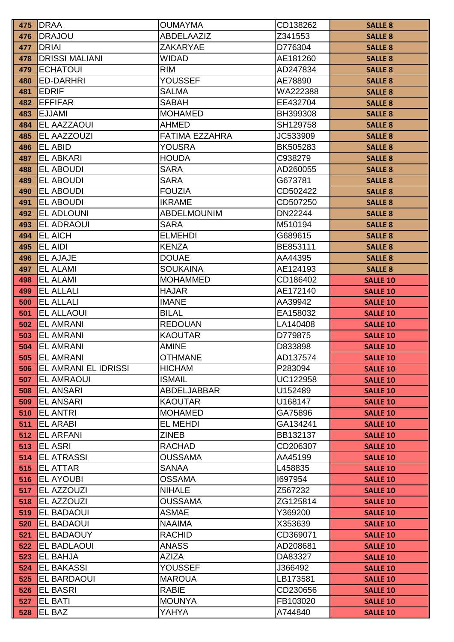| 475        | <b>IDRAA</b>                          | <b>OUMAYMA</b>                 | CD138262           | <b>SALLE 8</b>                     |
|------------|---------------------------------------|--------------------------------|--------------------|------------------------------------|
| 476        | DRAJOU                                | ABDELAAZIZ                     | Z341553            | <b>SALLE 8</b>                     |
| 477        | <b>DRIAI</b>                          | <b>ZAKARYAE</b>                | D776304            | <b>SALLE 8</b>                     |
| 478        | <b>DRISSI MALIANI</b>                 | <b>WIDAD</b>                   | AE181260           | <b>SALLE 8</b>                     |
| 479        | <b>ECHATOUI</b>                       | <b>RIM</b>                     | AD247834           | <b>SALLE 8</b>                     |
| 480        | <b>ED-DARHRI</b>                      | <b>YOUSSEF</b>                 | AE78890            | <b>SALLE 8</b>                     |
| 481        | <b>EDRIF</b>                          | <b>SALMA</b>                   | WA222388           | <b>SALLE 8</b>                     |
| 482        | <b>EFFIFAR</b>                        | <b>SABAH</b>                   | EE432704           | <b>SALLE 8</b>                     |
| 483        | <b>EJJAMI</b>                         | <b>MOHAMED</b>                 | BH399308           | <b>SALLE 8</b>                     |
| 484        | EL AAZZAOUI                           | <b>AHMED</b>                   | SH129758           | <b>SALLE 8</b>                     |
| 485        | EL AAZZOUZI                           | <b>FATIMA EZZAHRA</b>          | JC533909           | <b>SALLE 8</b>                     |
| 486        | EL ABID                               | <b>YOUSRA</b>                  | BK505283           | <b>SALLE 8</b>                     |
| 487        | <b>EL ABKARI</b>                      | <b>HOUDA</b>                   | C938279            | <b>SALLE 8</b>                     |
| 488        | <b>EL ABOUDI</b>                      | <b>SARA</b>                    | AD260055           | <b>SALLE 8</b>                     |
| 489        | <b>EL ABOUDI</b>                      | <b>SARA</b>                    | G673781            | <b>SALLE 8</b>                     |
| 490        | EL ABOUDI                             | <b>FOUZIA</b>                  | CD502422           | <b>SALLE 8</b>                     |
| 491        | <b>EL ABOUDI</b>                      | <b>IKRAME</b>                  | CD507250           | <b>SALLE 8</b>                     |
| 492        | <b>EL ADLOUNI</b>                     | <b>ABDELMOUNIM</b>             | DN22244            | <b>SALLE 8</b>                     |
| 493        | <b>EL ADRAOUI</b>                     | <b>SARA</b>                    | M510194            | <b>SALLE 8</b>                     |
| 494        | <b>EL AICH</b>                        | <b>ELMEHDI</b>                 | G689615            | <b>SALLE 8</b>                     |
| 495        | EL AIDI                               | <b>KENZA</b>                   | BE853111           | <b>SALLE 8</b>                     |
| 496        | <b>EL AJAJE</b>                       | <b>DOUAE</b>                   | AA44395            | <b>SALLE 8</b>                     |
| 497        | <b>EL ALAMI</b>                       | <b>SOUKAINA</b>                | AE124193           | <b>SALLE 8</b>                     |
| 498        | <b>EL ALAMI</b>                       | <b>MOHAMMED</b>                | CD186402           | <b>SALLE 10</b>                    |
| 499        | <b>EL ALLALI</b>                      | <b>HAJAR</b>                   | AE172140           | <b>SALLE 10</b>                    |
| 500        | <b>EL ALLALI</b>                      | <b>IMANE</b>                   | AA39942            | <b>SALLE 10</b>                    |
| 501        | <b>EL ALLAOUI</b>                     | <b>BILAL</b>                   | EA158032           | <b>SALLE 10</b>                    |
| 502        | <b>EL AMRANI</b>                      | <b>REDOUAN</b>                 | LA140408           | <b>SALLE 10</b>                    |
| 503        | <b>EL AMRANI</b>                      | <b>KAOUTAR</b>                 | D779875            | <b>SALLE 10</b>                    |
| 504        | <b>EL AMRANI</b>                      | <b>AMINE</b>                   | D833898            | <b>SALLE 10</b>                    |
| 505        | <b>EL AMRANI</b>                      | <b>OTHMANE</b>                 | AD137574           | <b>SALLE 10</b>                    |
| 506        | <b>EL AMRANI EL IDRISSI</b>           | <b>HICHAM</b>                  | P283094            | <b>SALLE 10</b>                    |
| 507        | <b>EL AMRAOUI</b>                     | <b>ISMAIL</b>                  | UC122958           | <b>SALLE 10</b>                    |
| 508        | <b>EL ANSARI</b>                      | ABDELJABBAR                    | U152489            | <b>SALLE 10</b>                    |
| 509        | <b>EL ANSARI</b>                      | <b>KAOUTAR</b>                 | U168147            | <b>SALLE 10</b>                    |
| 510        | <b>EL ANTRI</b>                       | <b>MOHAMED</b>                 | GA75896            | <b>SALLE 10</b>                    |
| 511        | <b>EL ARABI</b>                       | <b>EL MEHDI</b>                | GA134241           | <b>SALLE 10</b>                    |
| 512        | <b>EL ARFANI</b>                      | <b>ZINEB</b>                   | BB132137           | <b>SALLE 10</b>                    |
| 513        | <b>EL ASRI</b>                        | <b>RACHAD</b>                  | CD206307           | <b>SALLE 10</b>                    |
| 514        | <b>EL ATRASSI</b>                     | <b>OUSSAMA</b>                 | AA45199            | <b>SALLE 10</b>                    |
| 515        | <b>EL ATTAR</b>                       | <b>SANAA</b>                   | L458835            | <b>SALLE 10</b>                    |
| 516<br>517 | <b>EL AYOUBI</b><br><b>EL AZZOUZI</b> | <b>OSSAMA</b><br><b>NIHALE</b> | 1697954<br>Z567232 | <b>SALLE 10</b>                    |
| 518        | <b>EL AZZOUZI</b>                     | <b>OUSSAMA</b>                 | ZG125814           | <b>SALLE 10</b>                    |
| 519        | <b>EL BADAOUI</b>                     | <b>ASMAE</b>                   | Y369200            | <b>SALLE 10</b><br><b>SALLE 10</b> |
| 520        | <b>EL BADAOUI</b>                     | <b>NAAIMA</b>                  | X353639            |                                    |
| 521        | <b>EL BADAOUY</b>                     | <b>RACHID</b>                  | CD369071           | <b>SALLE 10</b><br><b>SALLE 10</b> |
| 522        | EL BADLAOUI                           | <b>ANASS</b>                   | AD208681           | <b>SALLE 10</b>                    |
| 523        | <b>EL BAHJA</b>                       | <b>AZIZA</b>                   | DA83327            | <b>SALLE 10</b>                    |
| 524        | <b>EL BAKASSI</b>                     | <b>YOUSSEF</b>                 | J366492            | <b>SALLE 10</b>                    |
| 525        | <b>EL BARDAOUI</b>                    | <b>MAROUA</b>                  | LB173581           | <b>SALLE 10</b>                    |
| 526        | <b>EL BASRI</b>                       | <b>RABIE</b>                   | CD230656           | <b>SALLE 10</b>                    |
| 527        | <b>EL BATI</b>                        | <b>MOUNYA</b>                  | FB103020           | <b>SALLE 10</b>                    |
| 528        | EL BAZ                                | <b>YAHYA</b>                   | A744840            | <b>SALLE 10</b>                    |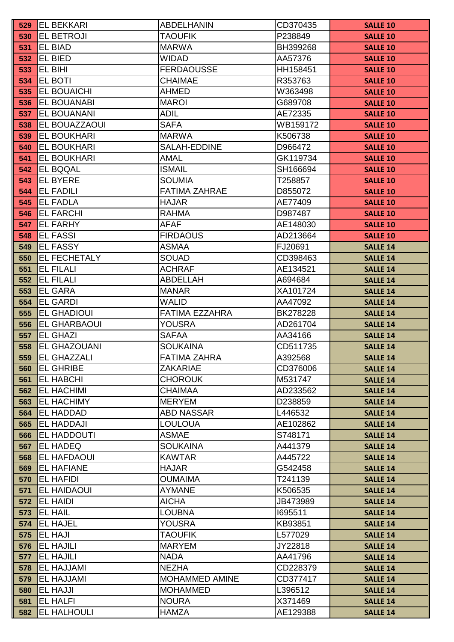| 529        | <b>EL BEKKARI</b>                      | <b>ABDELHANIN</b>               | CD370435            | <b>SALLE 10</b>                    |
|------------|----------------------------------------|---------------------------------|---------------------|------------------------------------|
| 530        | <b>EL BETROJI</b>                      | <b>TAOUFIK</b>                  | P238849             | <b>SALLE 10</b>                    |
| 531        | <b>EL BIAD</b>                         | <b>MARWA</b>                    | BH399268            | <b>SALLE 10</b>                    |
| 532        | EL BIED                                | <b>WIDAD</b>                    | AA57376             | <b>SALLE 10</b>                    |
| 533        | EL BIHI                                | <b>FERDAOUSSE</b>               | HH158451            | <b>SALLE 10</b>                    |
| 534        | <b>EL BOTI</b>                         | <b>CHAIMAE</b>                  | R353763             | <b>SALLE 10</b>                    |
| 535        | <b>EL BOUAICHI</b>                     | <b>AHMED</b>                    | W363498             | <b>SALLE 10</b>                    |
| 536        | <b>EL BOUANABI</b>                     | <b>MAROI</b>                    | G689708             | <b>SALLE 10</b>                    |
| 537        | EL BOUANANI                            | <b>ADIL</b>                     | AE72335             | <b>SALLE 10</b>                    |
| 538        | <b>EL BOUAZZAOUI</b>                   | <b>SAFA</b>                     | WB159172            | <b>SALLE 10</b>                    |
| 539        | <b>EL BOUKHARI</b>                     | <b>MARWA</b>                    | K506738             | <b>SALLE 10</b>                    |
| 540        | EL BOUKHARI                            | SALAH-EDDINE                    | D966472             | <b>SALLE 10</b>                    |
| 541        | <b>EL BOUKHARI</b>                     | <b>AMAL</b>                     | GK119734            | <b>SALLE 10</b>                    |
| 542        | <b>EL BQQAL</b>                        | <b>ISMAIL</b>                   | SH166694            | <b>SALLE 10</b>                    |
| 543        | <b>EL BYERE</b>                        | <b>SOUMIA</b>                   | T258857             | <b>SALLE 10</b>                    |
| 544        | <b>EL FADILI</b>                       | <b>FATIMA ZAHRAE</b>            | D855072             | <b>SALLE 10</b>                    |
| 545        | <b>EL FADLA</b>                        | <b>HAJAR</b>                    | AE77409             | <b>SALLE 10</b>                    |
| 546        | <b>EL FARCHI</b>                       | <b>RAHMA</b>                    | D987487             | <b>SALLE 10</b>                    |
| 547        | <b>EL FARHY</b>                        | <b>AFAF</b>                     | AE148030            | <b>SALLE 10</b>                    |
| 548        | <b>EL FASSI</b>                        | <b>FIRDAOUS</b>                 | AD213664            | <b>SALLE 10</b>                    |
| 549        | <b>EL FASSY</b>                        | <b>ASMAA</b>                    | FJ20691             | <b>SALLE 14</b>                    |
| 550        | <b>EL FECHETALY</b>                    | <b>SOUAD</b>                    | CD398463            | <b>SALLE 14</b>                    |
| 551        | <b>EL FILALI</b>                       | <b>ACHRAF</b>                   | AE134521            | <b>SALLE 14</b>                    |
| 552        | <b>EL FILALI</b>                       | <b>ABDELLAH</b>                 | A694684             | <b>SALLE 14</b>                    |
| 553        | <b>EL GARA</b>                         | <b>MANAR</b>                    | XA101724            | <b>SALLE 14</b>                    |
| 554        | <b>EL GARDI</b>                        | <b>WALID</b>                    | AA47092             | <b>SALLE 14</b>                    |
| 555        | <b>EL GHADIOUI</b>                     | <b>FATIMA EZZAHRA</b>           | BK278228            | <b>SALLE 14</b>                    |
| 556        | <b>EL GHARBAOUI</b>                    | <b>YOUSRA</b>                   | AD261704            | <b>SALLE 14</b>                    |
| 557        | <b>EL GHAZI</b>                        | <b>SAFAA</b>                    | AA34166             | <b>SALLE 14</b>                    |
| 558        | <b>EL GHAZOUANI</b>                    | <b>SOUKAINA</b>                 | CD511735            | <b>SALLE 14</b>                    |
| 559        | <b>EL GHAZZALI</b>                     | <b>FATIMA ZAHRA</b>             | A392568             | <b>SALLE 14</b>                    |
| 560        | <b>EL GHRIBE</b>                       | <b>ZAKARIAE</b>                 | CD376006            | <b>SALLE 14</b>                    |
| 561        | <b>EL HABCHI</b>                       | <b>CHOROUK</b>                  | M531747             | <b>SALLE 14</b>                    |
| 562        | <b>EL HACHIMI</b>                      | <b>CHAIMAA</b>                  | AD233562            | <b>SALLE 14</b>                    |
| 563        | <b>EL HACHIMY</b>                      | <b>MERYEM</b>                   | D238859             | <b>SALLE 14</b>                    |
| 564        | <b>EL HADDAD</b>                       | <b>ABD NASSAR</b>               | L446532             | <b>SALLE 14</b>                    |
| 565        | <b>EL HADDAJI</b>                      | <b>LOULOUA</b>                  | AE102862            | <b>SALLE 14</b>                    |
| 566        | <b>EL HADDOUTI</b>                     | <b>ASMAE</b>                    | S748171             | <b>SALLE 14</b>                    |
| 567        | <b>EL HADEQ</b>                        | <b>SOUKAINA</b>                 | A441379             | <b>SALLE 14</b>                    |
| 568        | <b>EL HAFDAOUI</b>                     | <b>KAWTAR</b>                   | A445722             | <b>SALLE 14</b>                    |
| 569        | <b>EL HAFIANE</b>                      | <b>HAJAR</b>                    | G542458             | <b>SALLE 14</b>                    |
| 570        | <b>EL HAFIDI</b><br><b>EL HAIDAOUI</b> | <b>OUMAIMA</b><br><b>AYMANE</b> | T241139             | <b>SALLE 14</b>                    |
| 571<br>572 | <b>EL HAIDI</b>                        | <b>AICHA</b>                    | K506535<br>JB473989 | <b>SALLE 14</b><br><b>SALLE 14</b> |
| 573        | <b>EL HAIL</b>                         | <b>LOUBNA</b>                   | 1695511             | <b>SALLE 14</b>                    |
| 574        | <b>IEL HAJEL</b>                       | <b>YOUSRA</b>                   | KB93851             |                                    |
| 575        | <b>EL HAJI</b>                         | <b>TAOUFIK</b>                  | L577029             | <b>SALLE 14</b><br><b>SALLE 14</b> |
| 576        | <b>EL HAJILI</b>                       | <b>MARYEM</b>                   | JY22818             | <b>SALLE 14</b>                    |
| 577        | <b>EL HAJILI</b>                       | <b>NADA</b>                     | AA41796             | <b>SALLE 14</b>                    |
| 578        | <b>EL HAJJAMI</b>                      | <b>NEZHA</b>                    | CD228379            | <b>SALLE 14</b>                    |
| 579        | <b>EL HAJJAMI</b>                      | <b>MOHAMMED AMINE</b>           | CD377417            | <b>SALLE 14</b>                    |
| 580        | <b>EL HAJJI</b>                        | <b>MOHAMMED</b>                 | L396512             | <b>SALLE 14</b>                    |
| 581        | <b>EL HALFI</b>                        | <b>NOURA</b>                    | X371469             | <b>SALLE 14</b>                    |
| 582        | <b>EL HALHOULI</b>                     | <b>HAMZA</b>                    | AE129388            | <b>SALLE 14</b>                    |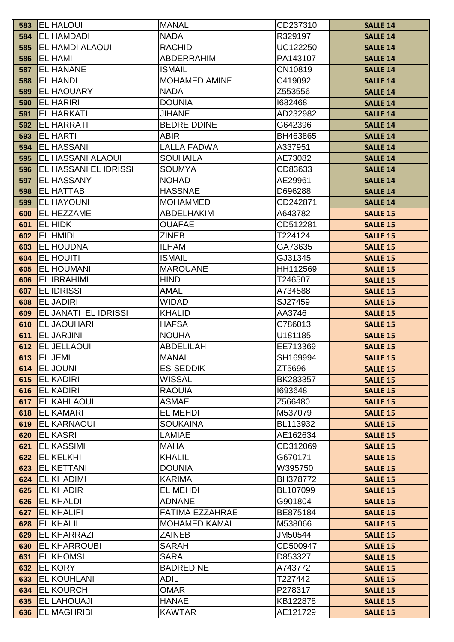| 583        | <b>EL HALOUI</b>                      | <b>MANAL</b>                    | CD237310           | <b>SALLE 14</b>                    |
|------------|---------------------------------------|---------------------------------|--------------------|------------------------------------|
| 584        | <b>EL HAMDADI</b>                     | <b>NADA</b>                     | R329197            | <b>SALLE 14</b>                    |
| 585        | <b>IEL HAMDI ALAOUI</b>               | <b>RACHID</b>                   | UC122250           | <b>SALLE 14</b>                    |
| 586        | <b>EL HAMI</b>                        | <b>ABDERRAHIM</b>               | PA143107           | <b>SALLE 14</b>                    |
| 587        | <b>EL HANANE</b>                      | <b>ISMAIL</b>                   | CN10819            | <b>SALLE 14</b>                    |
| 588        | <b>EL HANDI</b>                       | <b>MOHAMED AMINE</b>            | C419092            | <b>SALLE 14</b>                    |
| 589        | <b>EL HAOUARY</b>                     | <b>NADA</b>                     | Z553556            | <b>SALLE 14</b>                    |
| 590        | <b>EL HARIRI</b>                      | <b>DOUNIA</b>                   | 1682468            | <b>SALLE 14</b>                    |
| 591        | <b>EL HARKATI</b>                     | <b>JIHANE</b>                   | AD232982           | <b>SALLE 14</b>                    |
| 592        | <b>EL HARRATI</b>                     | <b>BEDRE DDINE</b>              | G642396            | <b>SALLE 14</b>                    |
| 593        | <b>EL HARTI</b>                       | <b>ABIR</b>                     | BH463865           | <b>SALLE 14</b>                    |
| 594        | <b>EL HASSANI</b>                     | <b>LALLA FADWA</b>              | A337951            | <b>SALLE 14</b>                    |
| 595        | <b>EL HASSANI ALAOUI</b>              | <b>SOUHAILA</b>                 | AE73082            | <b>SALLE 14</b>                    |
| 596        | <b>EL HASSANI EL IDRISSI</b>          | <b>SOUMYA</b>                   | CD83633            | <b>SALLE 14</b>                    |
| 597        | <b>EL HASSANY</b>                     | <b>NOHAD</b>                    | AE29961            | <b>SALLE 14</b>                    |
| 598        | <b>EL HATTAB</b>                      | <b>HASSNAE</b>                  | D696288            | <b>SALLE 14</b>                    |
| 599        | <b>EL HAYOUNI</b>                     | <b>MOHAMMED</b>                 | CD242871           | <b>SALLE 14</b>                    |
| 600        | <b>EL HEZZAME</b>                     | <b>ABDELHAKIM</b>               | A643782            | <b>SALLE 15</b>                    |
| 601        | EL HIDK                               | <b>OUAFAE</b>                   | CD512281           | <b>SALLE 15</b>                    |
| 602        | <b>EL HMIDI</b>                       | <b>ZINEB</b>                    | T224124            | <b>SALLE 15</b>                    |
| 603        | <b>EL HOUDNA</b>                      | <b>ILHAM</b>                    | GA73635            | <b>SALLE 15</b>                    |
| 604        | <b>EL HOUITI</b>                      | <b>ISMAIL</b>                   | GJ31345            | <b>SALLE 15</b>                    |
| 605        | <b>EL HOUMANI</b>                     | <b>MAROUANE</b>                 | HH112569           | <b>SALLE 15</b>                    |
| 606        | <b>EL IBRAHIMI</b>                    | <b>HIND</b>                     | T246507            | <b>SALLE 15</b>                    |
| 607        | <b>EL IDRISSI</b>                     | <b>AMAL</b>                     | A734588            | <b>SALLE 15</b>                    |
| 608        | <b>EL JADIRI</b>                      | <b>WIDAD</b>                    | SJ27459            | <b>SALLE 15</b>                    |
| 609        | EL JANATI EL IDRISSI                  | <b>KHALID</b>                   | AA3746             | <b>SALLE 15</b>                    |
| 610        | <b>EL JAOUHARI</b>                    | <b>HAFSA</b>                    | C786013            | <b>SALLE 15</b>                    |
| 611        | <b>EL JARJINI</b>                     | <b>NOUHA</b>                    | U181185            | <b>SALLE 15</b>                    |
| 612        | <b>EL JELLAOUI</b>                    | <b>ABDELILAH</b>                | EE713369           | <b>SALLE 15</b>                    |
| 613        | <b>EL JEMLI</b>                       | <b>MANAL</b>                    | SH169994           | <b>SALLE 15</b>                    |
| 614        | <b>EL JOUNI</b>                       | <b>ES-SEDDIK</b>                | ZT5696             | <b>SALLE 15</b>                    |
| 615        | <b>EL KADIRI</b>                      | <b>WISSAL</b>                   | BK283357           | <b>SALLE 15</b>                    |
| 616        | <b>EL KADIRI</b>                      | <b>RAOUIA</b>                   | 1693648            | <b>SALLE 15</b>                    |
| 617        | <b>IEL KAHLAOUI</b>                   | <b>ASMAE</b>                    | Z566480            | <b>SALLE 15</b>                    |
| 618        | <b>EL KAMARI</b>                      | <b>EL MEHDI</b>                 | M537079            | <b>SALLE 15</b>                    |
| 619        | <b>IEL KARNAOUI</b>                   | <b>SOUKAINA</b>                 | BL113932           | <b>SALLE 15</b>                    |
| 620        | <b>EL KASRI</b>                       | <b>LAMIAE</b>                   | AE162634           | <b>SALLE 15</b>                    |
| 621        | <b>EL KASSIMI</b>                     | <b>MAHA</b>                     | CD312069           | <b>SALLE 15</b>                    |
| 622        | <b>EL KELKHI</b>                      | <b>KHALIL</b>                   | G670171            | <b>SALLE 15</b>                    |
| 623        | <b>IEL KETTANI</b>                    | <b>DOUNIA</b>                   | W395750            | <b>SALLE 15</b>                    |
| 624        | <b>EL KHADIMI</b>                     | <b>KARIMA</b>                   | BH378772           | <b>SALLE 15</b>                    |
| 625        | <b>EL KHADIR</b>                      | <b>EL MEHDI</b>                 | BL107099           | <b>SALLE 15</b>                    |
| 626        | <b>EL KHALDI</b>                      | <b>ADNANE</b>                   | G901804            | <b>SALLE 15</b>                    |
| 627        | <b>EL KHALIFI</b>                     | <b>FATIMA EZZAHRAE</b>          | BE875184           | <b>SALLE 15</b>                    |
| 628        | <b>EL KHALIL</b>                      | <b>MOHAMED KAMAL</b>            | M538066            | <b>SALLE 15</b>                    |
| 629        | <b>EL KHARRAZI</b>                    | <b>ZAINEB</b>                   | JM50544            | <b>SALLE 15</b>                    |
| 630        | <b>EL KHARROUBI</b>                   | <b>SARAH</b>                    | CD500947           | <b>SALLE 15</b>                    |
| 631        | <b>EL KHOMSI</b>                      | <b>SARA</b><br><b>BADREDINE</b> | D853327            | <b>SALLE 15</b>                    |
| 632        | <b>EL KORY</b><br><b>IEL KOUHLANI</b> | <b>ADIL</b>                     | A743772<br>T227442 | <b>SALLE 15</b>                    |
| 633<br>634 | <b>EL KOURCHI</b>                     | <b>OMAR</b>                     | P278317            | <b>SALLE 15</b>                    |
| 635        | <b>EL LAHOUAJI</b>                    | <b>HANAE</b>                    | KB122878           | <b>SALLE 15</b><br><b>SALLE 15</b> |
| 636        | <b>EL MAGHRIBI</b>                    | <b>KAWTAR</b>                   | AE121729           | <b>SALLE 15</b>                    |
|            |                                       |                                 |                    |                                    |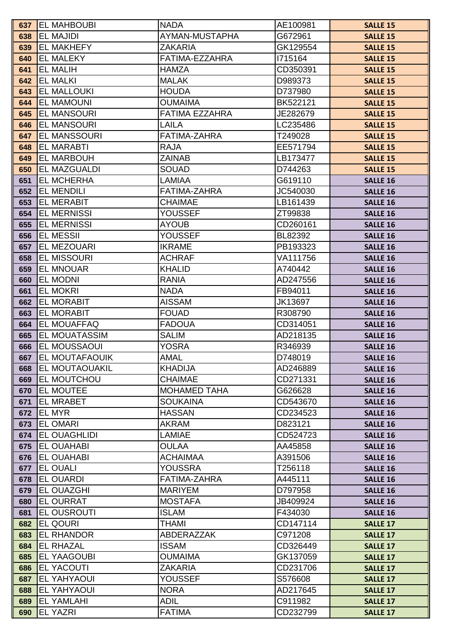| 637        | <b>EL MAHBOUBI</b>                      | <b>NADA</b>                       | AE100981             | <b>SALLE 15</b>                    |
|------------|-----------------------------------------|-----------------------------------|----------------------|------------------------------------|
| 638        | <b>EL MAJIDI</b>                        | AYMAN-MUSTAPHA                    | G672961              | <b>SALLE 15</b>                    |
| 639        | <b>IEL MAKHEFY</b>                      | <b>ZAKARIA</b>                    | GK129554             | <b>SALLE 15</b>                    |
| 640        | <b>IEL MALEKY</b>                       | FATIMA-EZZAHRA                    | 1715164              | <b>SALLE 15</b>                    |
| 641        | <b>EL MALIH</b>                         | <b>HAMZA</b>                      | CD350391             | <b>SALLE 15</b>                    |
| 642        | <b>EL MALKI</b>                         | <b>MALAK</b>                      | D989373              | <b>SALLE 15</b>                    |
| 643        | <b>EL MALLOUKI</b>                      | <b>HOUDA</b>                      | D737980              | <b>SALLE 15</b>                    |
| 644        | <b>EL MAMOUNI</b>                       | <b>OUMAIMA</b>                    | BK522121             | <b>SALLE 15</b>                    |
| 645        | <b>EL MANSOURI</b>                      | <b>FATIMA EZZAHRA</b>             | JE282679             | <b>SALLE 15</b>                    |
| 646        | <b>EL MANSOURI</b>                      | <b>LAILA</b>                      | LC235486             | <b>SALLE 15</b>                    |
| 647        | <b>EL MANSSOURI</b>                     | <b>FATIMA-ZAHRA</b>               | T249028              | <b>SALLE 15</b>                    |
| 648        | <b>EL MARABTI</b>                       | <b>RAJA</b>                       | EE571794             | <b>SALLE 15</b>                    |
| 649        | <b>EL MARBOUH</b>                       | <b>ZAINAB</b>                     | LB173477             | <b>SALLE 15</b>                    |
| 650        | <b>EL MAZGUALDI</b>                     | <b>SOUAD</b>                      | D744263              | <b>SALLE 15</b>                    |
| 651        | <b>EL MCHERHA</b>                       | <b>LAMIAA</b>                     | G619110              | <b>SALLE 16</b>                    |
| 652        | <b>EL MENDILI</b>                       | <b>FATIMA-ZAHRA</b>               | JC540030             | <b>SALLE 16</b>                    |
| 653        | <b>IEL MERABIT</b>                      | <b>CHAIMAE</b>                    | LB161439             | <b>SALLE 16</b>                    |
| 654        | <b>EL MERNISSI</b>                      | YOUSSEF                           | ZT99838              | <b>SALLE 16</b>                    |
| 655        | <b>EL MERNISSI</b>                      | <b>AYOUB</b>                      | CD260161             | <b>SALLE 16</b>                    |
| 656        | <b>EL MESSII</b>                        | <b>YOUSSEF</b>                    | BL82392              | <b>SALLE 16</b>                    |
| 657        | <b>EL MEZOUARI</b>                      | <b>IKRAME</b>                     | PB193323             | <b>SALLE 16</b>                    |
| 658        | <b>EL MISSOURI</b>                      | <b>ACHRAF</b>                     | VA111756             | <b>SALLE 16</b>                    |
| 659        | <b>EL MNOUAR</b>                        | <b>KHALID</b>                     | A740442              | <b>SALLE 16</b>                    |
| 660        | <b>EL MODNI</b>                         | <b>RANIA</b>                      | AD247556             | <b>SALLE 16</b>                    |
| 661        | <b>EL MOKRI</b>                         | <b>NADA</b>                       | FB94011              | <b>SALLE 16</b>                    |
| 662        | <b>EL MORABIT</b>                       | <b>AISSAM</b>                     | JK13697              | <b>SALLE 16</b>                    |
| 663        | <b>IEL MORABIT</b>                      | <b>FOUAD</b>                      | R308790              | <b>SALLE 16</b>                    |
| 664        | <b>EL MOUAFFAQ</b>                      | <b>FADOUA</b>                     | CD314051             | <b>SALLE 16</b>                    |
| 665        | <b>IEL MOUATASSIM</b>                   | <b>SALIM</b>                      | AD218135             | <b>SALLE 16</b>                    |
| 666        | <b>IEL MOUSSAOUI</b>                    | <b>YOSRA</b>                      | R346939              | <b>SALLE 16</b>                    |
| 667        | <b>EL MOUTAFAOUIK</b>                   | <b>AMAL</b>                       | D748019              | <b>SALLE 16</b>                    |
| 668        | <b>EL MOUTAOUAKIL</b>                   | <b>KHADIJA</b>                    | AD246889             | <b>SALLE 16</b>                    |
| 669        | <b>EL MOUTCHOU</b>                      | <b>CHAIMAE</b>                    | CD271331             | <b>SALLE 16</b>                    |
| 670        | <b>EL MOUTEE</b>                        | <b>MOHAMED TAHA</b>               | G626628              | <b>SALLE 16</b>                    |
| 671        | <b>EL MRABET</b>                        | <b>SOUKAINA</b>                   | CD543670             | <b>SALLE 16</b>                    |
| 672        | <b>IEL MYR</b>                          | <b>HASSAN</b>                     | CD234523             | <b>SALLE 16</b>                    |
| 673        | <b>IEL OMARI</b>                        | <b>AKRAM</b>                      | D823121              | <b>SALLE 16</b>                    |
| 674        | <b>EL OUAGHLIDI</b>                     | <b>LAMIAE</b>                     | CD524723             | <b>SALLE 16</b>                    |
| 675        | <b>IEL OUAHABI</b>                      | <b>OULAA</b>                      | AA45858              | <b>SALLE 16</b>                    |
| 676        | <b>EL OUAHABI</b>                       | <b>ACHAIMAA</b>                   | A391506              | <b>SALLE 16</b>                    |
| 677        | <b>EL OUALI</b>                         | <b>YOUSSRA</b>                    | T256118              | <b>SALLE 16</b>                    |
| 678        | <b>IEL OUARDI</b>                       | FATIMA-ZAHRA                      | A445111              | <b>SALLE 16</b>                    |
| 679        | <b>EL OUAZGHI</b>                       | <b>MARIYEM</b>                    | D797958              | <b>SALLE 16</b>                    |
| 680        | <b>EL OURRAT</b><br><b>EL OUSROUTI</b>  | <b>MOSTAFA</b>                    | JB409924             | <b>SALLE 16</b>                    |
| 681        |                                         | <b>ISLAM</b>                      | F434030              | <b>SALLE 16</b>                    |
| 682        | <b>EL QOURI</b>                         | <b>THAMI</b><br><b>ABDERAZZAK</b> | CD147114             | <b>SALLE 17</b>                    |
| 683        | <b>EL RHANDOR</b>                       |                                   | C971208              | <b>SALLE 17</b>                    |
| 684        | <b>EL RHAZAL</b>                        | <b>ISSAM</b>                      | CD326449             | <b>SALLE 17</b>                    |
| 685        | <b>EL YAAGOUBI</b><br><b>EL YACOUTI</b> | <b>OUMAIMA</b><br><b>ZAKARIA</b>  | GK137059<br>CD231706 | <b>SALLE 17</b>                    |
| 686<br>687 | <b>EL YAHYAOUI</b>                      | <b>YOUSSEF</b>                    | S576608              | <b>SALLE 17</b><br><b>SALLE 17</b> |
| 688        | <b>EL YAHYAOUI</b>                      | <b>NORA</b>                       | AD217645             | <b>SALLE 17</b>                    |
| 689        | <b>EL YAMLAHI</b>                       | <b>ADIL</b>                       | C911982              | <b>SALLE 17</b>                    |
| 690        | <b>EL YAZRI</b>                         | <b>FATIMA</b>                     | CD232799             | <b>SALLE 17</b>                    |
|            |                                         |                                   |                      |                                    |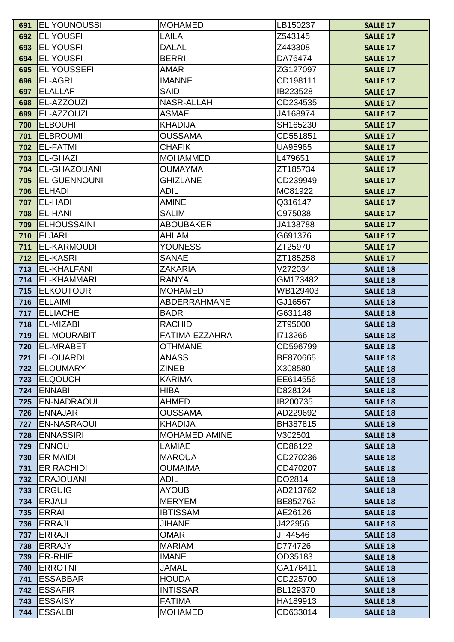| 691        | <b>IEL YOUNOUSSI</b>           | <b>MOHAMED</b>                   | LB150237            | <b>SALLE 17</b>                    |
|------------|--------------------------------|----------------------------------|---------------------|------------------------------------|
| 692        | <b>EL YOUSFI</b>               | <b>LAILA</b>                     | Z543145             | <b>SALLE 17</b>                    |
| 693        | <b>EL YOUSFI</b>               | <b>DALAL</b>                     | Z443308             | <b>SALLE 17</b>                    |
| 694        | <b>EL YOUSFI</b>               | <b>BERRI</b>                     | DA76474             | <b>SALLE 17</b>                    |
| 695        | <b>IEL YOUSSEFI</b>            | <b>AMAR</b>                      | ZG127097            | <b>SALLE 17</b>                    |
| 696        | <b>EL-AGRI</b>                 | <b>IMANNE</b>                    | CD198111            | <b>SALLE 17</b>                    |
| 697        | <b>ELALLAF</b>                 | <b>SAID</b>                      | IB223528            | <b>SALLE 17</b>                    |
| 698        | EL-AZZOUZI                     | NASR-ALLAH                       | CD234535            | <b>SALLE 17</b>                    |
| 699        | <b>EL-AZZOUZI</b>              | <b>ASMAE</b>                     | JA168974            | <b>SALLE 17</b>                    |
| 700        | <b>ELBOUHI</b>                 | <b>KHADIJA</b>                   | SH165230            | <b>SALLE 17</b>                    |
| 701        | <b>ELBROUMI</b>                | <b>OUSSAMA</b>                   | CD551851            | <b>SALLE 17</b>                    |
| 702        | <b>EL-FATMI</b>                | <b>CHAFIK</b>                    | UA95965             | <b>SALLE 17</b>                    |
| 703        | <b>EL-GHAZI</b>                | <b>MOHAMMED</b>                  | L479651             | <b>SALLE 17</b>                    |
| 704        | <b>EL-GHAZOUANI</b>            | <b>OUMAYMA</b>                   | ZT185734            | <b>SALLE 17</b>                    |
| 705        | <b>EL-GUENNOUNI</b>            | <b>GHIZLANE</b>                  | CD239949            | <b>SALLE 17</b>                    |
| 706        | <b>ELHADI</b>                  | <b>ADIL</b>                      | MC81922             | <b>SALLE 17</b>                    |
| 707        | <b>EL-HADI</b>                 | <b>AMINE</b>                     | Q316147             | <b>SALLE 17</b>                    |
| 708        | <b>EL-HANI</b>                 | <b>SALIM</b>                     | C975038             | <b>SALLE 17</b>                    |
| 709        | <b>ELHOUSSAINI</b>             | <b>ABOUBAKER</b>                 | JA138788            | <b>SALLE 17</b>                    |
| 710        | <b>ELJARI</b>                  | AHLAM                            | G691376             | <b>SALLE 17</b>                    |
| 711        | <b>EL-KARMOUDI</b>             | <b>YOUNESS</b>                   | ZT25970             | <b>SALLE 17</b>                    |
| 712        | <b>EL-KASRI</b>                | <b>SANAE</b>                     | ZT185258            | <b>SALLE 17</b>                    |
| 713        | <b>EL-KHALFANI</b>             | <b>ZAKARIA</b>                   | V272034             | <b>SALLE 18</b>                    |
| 714        | <b>EL-KHAMMARI</b>             | <b>RANYA</b>                     | GM173482            | <b>SALLE 18</b>                    |
| 715        | <b>IELKOUTOUR</b>              | <b>MOHAMED</b>                   | WB129403            | <b>SALLE 18</b>                    |
| 716        | ELLAIMI                        | <b>ABDERRAHMANE</b>              | GJ16567             | <b>SALLE 18</b>                    |
| 717        | <b>ELLIACHE</b>                | <b>BADR</b>                      | G631148             | <b>SALLE 18</b>                    |
| 718        | <b>EL-MIZABI</b>               | <b>RACHID</b>                    | ZT95000             | <b>SALLE 18</b>                    |
| 719        | <b>IEL-MOURABIT</b>            | <b>FATIMA EZZAHRA</b>            | 1713266             | <b>SALLE 18</b>                    |
| 720        | <b>EL-MRABET</b>               | <b>OTHMANE</b>                   | CD596799            | <b>SALLE 18</b>                    |
| 721        | <b>IEL-OUARDI</b>              | <b>ANASS</b>                     | BE870665            | <b>SALLE 18</b>                    |
| 722        | <b>IELOUMARY</b>               | <b>ZINEB</b>                     | X308580             | <b>SALLE 18</b>                    |
| 723        | <b>ELQOUCH</b>                 | <b>KARIMA</b>                    | EE614556            | <b>SALLE 18</b>                    |
| 724        | <b>ENNABI</b>                  | <b>HIBA</b>                      | D828124             | <b>SALLE 18</b>                    |
| 725        | <b>EN-NADRAOUI</b>             | <b>AHMED</b>                     | IB200735            | <b>SALLE 18</b>                    |
| 726        | <b>IENNAJAR</b>                | <b>OUSSAMA</b>                   | AD229692            | <b>SALLE 18</b>                    |
| 727        | <b>EN-NASRAOUI</b>             | <b>KHADIJA</b>                   | BH387815            | <b>SALLE 18</b>                    |
| 728        | <b>ENNASSIRI</b>               | <b>MOHAMED AMINE</b>             | V302501             | <b>SALLE 18</b>                    |
| 729        | <b>ENNOU</b>                   | <b>LAMIAE</b>                    | CD86122             | <b>SALLE 18</b>                    |
| 730        | <b>ER MAIDI</b>                | <b>MAROUA</b>                    | CD270236            | <b>SALLE 18</b>                    |
| 731        | <b>ER RACHIDI</b>              | <b>OUMAIMA</b>                   | CD470207            | <b>SALLE 18</b>                    |
| 732        | <b>ERAJOUANI</b>               | <b>ADIL</b>                      | DO2814              | <b>SALLE 18</b>                    |
| 733        | <b>ERGUIG</b>                  | <b>AYOUB</b>                     | AD213762            | <b>SALLE 18</b>                    |
| 734        | <b>ERJALI</b><br>ERRAI         | <b>MERYEM</b><br><b>IBTISSAM</b> | BE852762<br>AE26126 | <b>SALLE 18</b>                    |
| 735        |                                |                                  |                     | <b>SALLE 18</b>                    |
| 736        | <b>ERRAJI</b><br><b>ERRAJI</b> | <b>JIHANE</b><br><b>OMAR</b>     | J422956<br>JF44546  | <b>SALLE 18</b>                    |
| 737        | <b>ERRAJY</b>                  | <b>MARIAM</b>                    | D774726             | <b>SALLE 18</b>                    |
| 738<br>739 | <b>ER-RHIF</b>                 | <b>IMANE</b>                     | OD35183             | <b>SALLE 18</b>                    |
| 740        | <b>ERROTNI</b>                 | <b>JAMAL</b>                     | GA176411            | <b>SALLE 18</b>                    |
| 741        | <b>ESSABBAR</b>                | <b>HOUDA</b>                     | CD225700            | <b>SALLE 18</b><br><b>SALLE 18</b> |
| 742        | <b>ESSAFIR</b>                 | <b>INTISSAR</b>                  | BL129370            | <b>SALLE 18</b>                    |
| 743        | <b>ESSAISY</b>                 | <b>FATIMA</b>                    | HA189913            | <b>SALLE 18</b>                    |
| 744        | <b>ESSALBI</b>                 | <b>MOHAMED</b>                   | CD633014            | <b>SALLE 18</b>                    |
|            |                                |                                  |                     |                                    |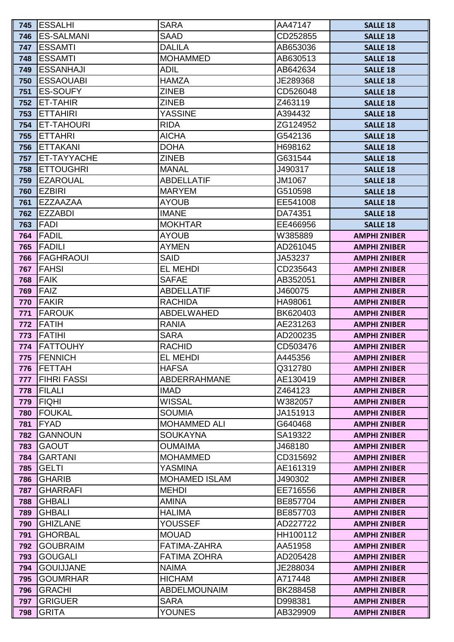| 745        | <b>ESSALHI</b>                   | <b>SARA</b>                            | AA47147             | <b>SALLE 18</b>                            |
|------------|----------------------------------|----------------------------------------|---------------------|--------------------------------------------|
| 746        | <b>ES-SALMANI</b>                | <b>SAAD</b>                            | CD252855            | <b>SALLE 18</b>                            |
| 747        | <b>ESSAMTI</b>                   | <b>DALILA</b>                          | AB653036            | <b>SALLE 18</b>                            |
| 748        | <b>ESSAMTI</b>                   | <b>MOHAMMED</b>                        | AB630513            | <b>SALLE 18</b>                            |
| 749        | <b>ESSANHAJI</b>                 | <b>ADIL</b>                            | AB642634            | <b>SALLE 18</b>                            |
| 750        | <b>ESSAOUABI</b>                 | <b>HAMZA</b>                           | JE289368            | <b>SALLE 18</b>                            |
| 751        | <b>ES-SOUFY</b>                  | <b>ZINEB</b>                           | CD526048            | <b>SALLE 18</b>                            |
| 752        | <b>ET-TAHIR</b>                  | <b>ZINEB</b>                           | Z463119             | <b>SALLE 18</b>                            |
| 753        | <b>ETTAHIRI</b>                  | <b>YASSINE</b>                         | A394432             | <b>SALLE 18</b>                            |
| 754        | ET-TAHOURI                       | <b>RIDA</b>                            | ZG124952            | <b>SALLE 18</b>                            |
| 755        | <b>ETTAHRI</b>                   | <b>AICHA</b>                           | G542136             | <b>SALLE 18</b>                            |
| 756        | <b>ETTAKANI</b>                  | <b>DOHA</b>                            | H698162             | <b>SALLE 18</b>                            |
| 757        | ET-TAYYACHE                      | <b>ZINEB</b>                           | G631544             | <b>SALLE 18</b>                            |
| 758        | <b>ETTOUGHRI</b>                 | <b>MANAL</b>                           | J490317             | <b>SALLE 18</b>                            |
| 759        | <b>EZAROUAL</b>                  | <b>ABDELLATIF</b>                      | JM1067              | <b>SALLE 18</b>                            |
| 760        | <b>EZBIRI</b>                    | <b>MARYEM</b>                          | G510598             | <b>SALLE 18</b>                            |
| 761        | <b>EZZAAZAA</b>                  | <b>AYOUB</b>                           | EE541008            | <b>SALLE 18</b>                            |
| 762        | <b>EZZABDI</b>                   | <b>IMANE</b>                           | DA74351             | <b>SALLE 18</b>                            |
| 763        | <b>FADI</b>                      | <b>MOKHTAR</b>                         | EE466956            | <b>SALLE 18</b>                            |
| 764        | <b>FADIL</b>                     | <b>AYOUB</b>                           | W385889             | <b>AMPHI ZNIBER</b>                        |
| 765        | <b>FADILI</b>                    | <b>AYMEN</b>                           | AD261045            | <b>AMPHI ZNIBER</b>                        |
| 766        | <b>FAGHRAOUI</b>                 | <b>SAID</b>                            | JA53237             | <b>AMPHI ZNIBER</b>                        |
| 767        | <b>FAHSI</b>                     | <b>EL MEHDI</b>                        | CD235643            | <b>AMPHI ZNIBER</b>                        |
| 768        | <b>FAIK</b>                      | <b>SAFAE</b>                           | AB352051            | <b>AMPHI ZNIBER</b>                        |
| 769        | <b>FAIZ</b>                      | <b>ABDELLATIF</b>                      | J460075             | <b>AMPHI ZNIBER</b>                        |
| 770        | <b>FAKIR</b>                     | <b>RACHIDA</b>                         | HA98061             | <b>AMPHI ZNIBER</b>                        |
| 771        | <b>FAROUK</b>                    | <b>ABDELWAHED</b>                      | BK620403            | <b>AMPHI ZNIBER</b>                        |
| 772        | <b>FATIH</b>                     | <b>RANIA</b>                           | AE231263            | <b>AMPHI ZNIBER</b>                        |
| 773        | <b>FATIHI</b>                    | <b>SARA</b>                            | AD200235            | <b>AMPHI ZNIBER</b>                        |
| 774        | <b>IFATTOUHY</b>                 | <b>RACHID</b>                          | CD503476            | <b>AMPHI ZNIBER</b>                        |
| 775        | <b>FENNICH</b>                   | <b>EL MEHDI</b>                        | A445356             | <b>AMPHI ZNIBER</b>                        |
| 776        | <b>FETTAH</b>                    | <b>HAFSA</b>                           | Q312780             | <b>AMPHI ZNIBER</b>                        |
| 777        | <b>FIHRI FASSI</b>               | <b>ABDERRAHMANE</b>                    | AE130419            | <b>AMPHI ZNIBER</b>                        |
| 778        | <b>FILALI</b>                    | <b>IMAD</b>                            | Z464123             | <b>AMPHI ZNIBER</b>                        |
| 779        | <b>FIQHI</b>                     | <b>WISSAL</b>                          | W382057             | <b>AMPHI ZNIBER</b>                        |
| 780        | <b>FOUKAL</b>                    | <b>SOUMIA</b>                          | JA151913            | <b>AMPHI ZNIBER</b>                        |
| 781        | <b>FYAD</b>                      | <b>MOHAMMED ALI</b>                    | G640468             | <b>AMPHI ZNIBER</b>                        |
| 782        | <b>GANNOUN</b>                   | <b>SOUKAYNA</b>                        | SA19322             | <b>AMPHI ZNIBER</b>                        |
| 783        | <b>GAOUT</b>                     | <b>OUMAIMA</b>                         | J468180             | <b>AMPHI ZNIBER</b>                        |
| 784        | <b>GARTANI</b>                   | <b>MOHAMMED</b>                        | CD315692            | <b>AMPHI ZNIBER</b>                        |
| 785        | <b>GELTI</b>                     | <b>YASMINA</b><br><b>MOHAMED ISLAM</b> | AE161319            | <b>AMPHI ZNIBER</b>                        |
| 786        | <b>GHARIB</b><br><b>GHARRAFI</b> | <b>MEHDI</b>                           | J490302<br>EE716556 | <b>AMPHI ZNIBER</b>                        |
| 787<br>788 | <b>GHBALI</b>                    | <b>AMINA</b>                           | BE857704            | <b>AMPHI ZNIBER</b><br><b>AMPHI ZNIBER</b> |
| 789        | <b>GHBALI</b>                    | <b>HALIMA</b>                          | BE857703            | <b>AMPHI ZNIBER</b>                        |
| 790        | <b>GHIZLANE</b>                  | <b>YOUSSEF</b>                         | AD227722            | <b>AMPHI ZNIBER</b>                        |
| 791        | <b>GHORBAL</b>                   | <b>MOUAD</b>                           | HH100112            | <b>AMPHI ZNIBER</b>                        |
| 792        | <b>GOUBRAIM</b>                  | FATIMA-ZAHRA                           | AA51958             | <b>AMPHI ZNIBER</b>                        |
| 793        | <b>GOUGALI</b>                   | <b>FATIMA ZOHRA</b>                    | AD205428            | <b>AMPHI ZNIBER</b>                        |
| 794        | <b>GOUIJJANE</b>                 | <b>NAIMA</b>                           | JE288034            | <b>AMPHI ZNIBER</b>                        |
| 795        | <b>GOUMRHAR</b>                  | <b>HICHAM</b>                          | A717448             | <b>AMPHI ZNIBER</b>                        |
| 796        | <b>GRACHI</b>                    | <b>ABDELMOUNAIM</b>                    | BK288458            | <b>AMPHI ZNIBER</b>                        |
| 797        | <b>GRIGUER</b>                   | <b>SARA</b>                            | D998381             | <b>AMPHI ZNIBER</b>                        |
| 798        | <b>GRITA</b>                     | <b>YOUNES</b>                          | AB329909            | <b>AMPHI ZNIBER</b>                        |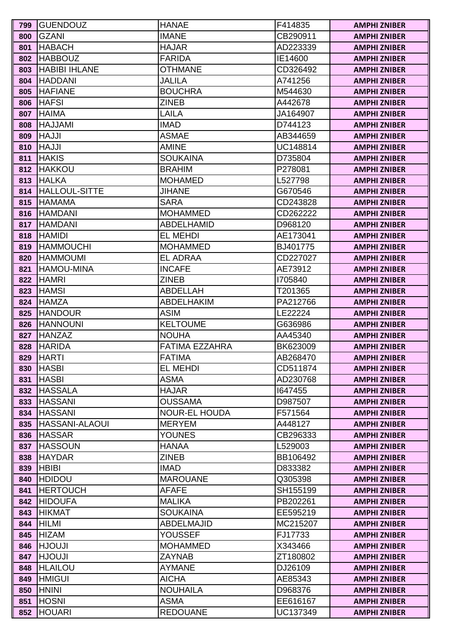| 799        | <b>IGUENDOUZ</b>                 | <b>HANAE</b>                   | F414835             | <b>AMPHI ZNIBER</b>                        |
|------------|----------------------------------|--------------------------------|---------------------|--------------------------------------------|
| 800        | <b>GZANI</b>                     | <b>IMANE</b>                   | CB290911            | <b>AMPHI ZNIBER</b>                        |
| 801        | <b>HABACH</b>                    | <b>HAJAR</b>                   | AD223339            | <b>AMPHI ZNIBER</b>                        |
| 802        | <b>HABBOUZ</b>                   | <b>FARIDA</b>                  | IE14600             | <b>AMPHI ZNIBER</b>                        |
| 803        | <b>HABIBI IHLANE</b>             | <b>OTHMANE</b>                 | CD326492            | <b>AMPHI ZNIBER</b>                        |
| 804        | <b>HADDANI</b>                   | <b>JALILA</b>                  | A741256             | <b>AMPHI ZNIBER</b>                        |
| 805        | <b>HAFIANE</b>                   | <b>BOUCHRA</b>                 | M544630             | <b>AMPHI ZNIBER</b>                        |
| 806        | <b>HAFSI</b>                     | <b>ZINEB</b>                   | A442678             | <b>AMPHI ZNIBER</b>                        |
| 807        | <b>HAIMA</b>                     | LAILA                          | JA164907            | <b>AMPHI ZNIBER</b>                        |
| 808        | <b>HAJJAMI</b>                   | <b>IMAD</b>                    | D744123             | <b>AMPHI ZNIBER</b>                        |
| 809        | <b>ILLAH</b>                     | <b>ASMAE</b>                   | AB344659            | <b>AMPHI ZNIBER</b>                        |
| 810        | <b>ILLAH</b>                     | <b>AMINE</b>                   | UC148814            | <b>AMPHI ZNIBER</b>                        |
| 811        | <b>HAKIS</b>                     | <b>SOUKAINA</b>                | D735804             | <b>AMPHI ZNIBER</b>                        |
| 812        | <b>HAKKOU</b>                    | <b>BRAHIM</b>                  | P278081             | <b>AMPHI ZNIBER</b>                        |
| 813        | <b>HALKA</b>                     | <b>MOHAMED</b>                 | L527798             | <b>AMPHI ZNIBER</b>                        |
| 814        | <b>HALLOUL-SITTE</b>             | <b>JIHANE</b>                  | G670546             | <b>AMPHI ZNIBER</b>                        |
| 815        | <b>HAMAMA</b>                    | <b>SARA</b>                    | CD243828            | <b>AMPHI ZNIBER</b>                        |
| 816        | <b>HAMDANI</b>                   | <b>MOHAMMED</b>                | CD262222            | <b>AMPHI ZNIBER</b>                        |
| 817        | <b>HAMDANI</b>                   | <b>ABDELHAMID</b>              | D968120             | <b>AMPHI ZNIBER</b>                        |
| 818        | <b>HAMIDI</b>                    | <b>EL MEHDI</b>                | AE173041            | <b>AMPHI ZNIBER</b>                        |
| 819        | <b>HAMMOUCHI</b>                 | <b>MOHAMMED</b>                | BJ401775            | <b>AMPHI ZNIBER</b>                        |
| 820        | <b>HAMMOUMI</b>                  | <b>EL ADRAA</b>                | CD227027            | <b>AMPHI ZNIBER</b>                        |
| 821        | <b>HAMOU-MINA</b>                | <b>INCAFE</b>                  | AE73912             | <b>AMPHI ZNIBER</b>                        |
| 822        | <b>HAMRI</b>                     | <b>ZINEB</b>                   | 1705840             | <b>AMPHI ZNIBER</b>                        |
| 823        | <b>HAMSI</b>                     | <b>ABDELLAH</b>                | T201365             | <b>AMPHI ZNIBER</b>                        |
| 824        | <b>HAMZA</b>                     | <b>ABDELHAKIM</b>              | PA212766            | <b>AMPHI ZNIBER</b>                        |
| 825        | <b>HANDOUR</b>                   | <b>ASIM</b>                    | LE22224             | <b>AMPHI ZNIBER</b>                        |
| 826        | <b>HANNOUNI</b>                  | <b>KELTOUME</b>                | G636986             | <b>AMPHI ZNIBER</b>                        |
| 827        | <b>HANZAZ</b>                    | <b>NOUHA</b>                   | AA45340             | <b>AMPHI ZNIBER</b>                        |
| 828        | <b>HARIDA</b>                    | FATIMA EZZAHRA                 | BK623009            | <b>AMPHI ZNIBER</b>                        |
| 829        | <b>HARTI</b>                     | <b>FATIMA</b>                  | AB268470            | <b>AMPHI ZNIBER</b>                        |
| 830        | <b>HASBI</b>                     | <b>EL MEHDI</b>                | CD511874            | <b>AMPHI ZNIBER</b>                        |
| 831        | <b>HASBI</b>                     | <b>ASMA</b>                    | AD230768            | <b>AMPHI ZNIBER</b>                        |
| 832        | <b>HASSALA</b>                   | <b>HAJAR</b>                   | 1647455             | <b>AMPHI ZNIBER</b>                        |
| 833        | <b>HASSANI</b>                   | <b>OUSSAMA</b>                 | D987507             | <b>AMPHI ZNIBER</b>                        |
| 834        | <b>HASSANI</b>                   | <b>NOUR-EL HOUDA</b>           | F571564             | <b>AMPHI ZNIBER</b>                        |
| 835        | <b>HASSANI-ALAOUI</b>            | <b>MERYEM</b>                  | A448127             | <b>AMPHI ZNIBER</b>                        |
| 836        | <b>HASSAR</b>                    | <b>YOUNES</b>                  | CB296333            | <b>AMPHI ZNIBER</b>                        |
| 837        | <b>HASSOUN</b>                   | <b>HANAA</b>                   | L529003             | <b>AMPHI ZNIBER</b>                        |
| 838        | <b>HAYDAR</b>                    | <b>ZINEB</b>                   | BB106492            | <b>AMPHI ZNIBER</b>                        |
| 839        | <b>HBIBI</b>                     | <b>IMAD</b><br><b>MAROUANE</b> | D833382             | <b>AMPHI ZNIBER</b>                        |
| 840<br>841 | <b>HDIDOU</b><br><b>HERTOUCH</b> | <b>AFAFE</b>                   | Q305398<br>SH155199 | <b>AMPHI ZNIBER</b>                        |
| 842        | <b>HIDOUFA</b>                   | <b>MALIKA</b>                  | PB202261            | <b>AMPHI ZNIBER</b><br><b>AMPHI ZNIBER</b> |
| 843        | <b>HIKMAT</b>                    | <b>SOUKAINA</b>                | EE595219            | <b>AMPHI ZNIBER</b>                        |
| 844        | HILMI                            | <b>ABDELMAJID</b>              | MC215207            | <b>AMPHI ZNIBER</b>                        |
| 845        | <b>HIZAM</b>                     | <b>YOUSSEF</b>                 | FJ17733             | <b>AMPHI ZNIBER</b>                        |
| 846        | <b>ILUOUH</b>                    | <b>MOHAMMED</b>                | X343466             | <b>AMPHI ZNIBER</b>                        |
| 847        | <b>ILUOUH</b>                    | <b>ZAYNAB</b>                  | ZT180802            | <b>AMPHI ZNIBER</b>                        |
| 848        | <b>HLAILOU</b>                   | <b>AYMANE</b>                  | DJ26109             | <b>AMPHI ZNIBER</b>                        |
| 849        | <b>HMIGUI</b>                    | <b>AICHA</b>                   | AE85343             | <b>AMPHI ZNIBER</b>                        |
| 850        | <b>HNINI</b>                     | <b>NOUHAILA</b>                | D968376             | <b>AMPHI ZNIBER</b>                        |
| 851        | <b>HOSNI</b>                     | <b>ASMA</b>                    | EE616167            | <b>AMPHI ZNIBER</b>                        |
| 852        | <b>HOUARI</b>                    | <b>REDOUANE</b>                | UC137349            | <b>AMPHI ZNIBER</b>                        |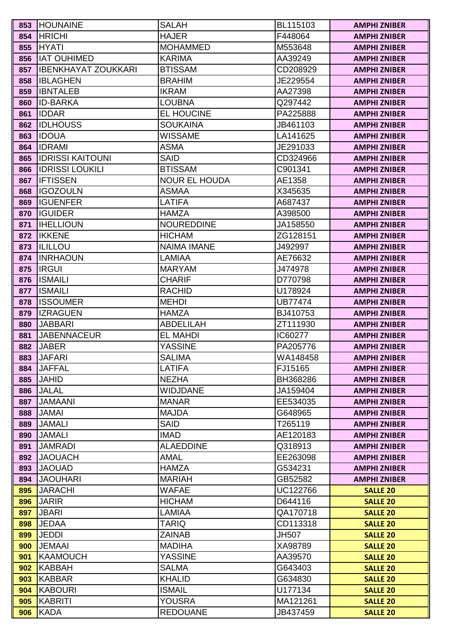| 853        | <b>HOUNAINE</b>                   | <b>SALAH</b>                  | BL115103            | <b>AMPHI ZNIBER</b>                |
|------------|-----------------------------------|-------------------------------|---------------------|------------------------------------|
| 854        | <b>HRICHI</b>                     | <b>HAJER</b>                  | F448064             | <b>AMPHI ZNIBER</b>                |
| 855        | <b>HYATI</b>                      | <b>MOHAMMED</b>               | M553648             | <b>AMPHI ZNIBER</b>                |
| 856        | <b>IAT OUHIMED</b>                | <b>KARIMA</b>                 | AA39249             | <b>AMPHI ZNIBER</b>                |
| 857        | IIBENKHAYAT ZOUKKARI              | <b>BTISSAM</b>                | CD208929            | <b>AMPHI ZNIBER</b>                |
| 858        | <b>IBLAGHEN</b>                   | <b>BRAHIM</b>                 | JE229554            | <b>AMPHI ZNIBER</b>                |
| 859        | <b>IBNTALEB</b>                   | <b>IKRAM</b>                  | AA27398             | <b>AMPHI ZNIBER</b>                |
| 860        | <b>ID-BARKA</b>                   | <b>LOUBNA</b>                 | Q297442             | <b>AMPHI ZNIBER</b>                |
| 861        | <b>IDDAR</b>                      | <b>EL HOUCINE</b>             | PA225888            | <b>AMPHI ZNIBER</b>                |
| 862        | <b>IIDLHOUSS</b>                  | <b>SOUKAINA</b>               | JB461103            | <b>AMPHI ZNIBER</b>                |
| 863        | <b>IDOUA</b>                      | <b>WISSAME</b>                | LA141625            | <b>AMPHI ZNIBER</b>                |
| 864        | <b>IDRAMI</b>                     | <b>ASMA</b>                   | JE291033            | <b>AMPHI ZNIBER</b>                |
| 865        | <b>IDRISSI KAITOUNI</b>           | <b>SAID</b>                   | CD324966            | <b>AMPHI ZNIBER</b>                |
| 866        | <b>IDRISSI LOUKILI</b>            | <b>BTISSAM</b>                | C901341             | <b>AMPHI ZNIBER</b>                |
| 867        | <b>IFTISSEN</b>                   | <b>NOUR EL HOUDA</b>          | AE1358              | <b>AMPHI ZNIBER</b>                |
| 868        | <b>IGOZOULN</b>                   | <b>ASMAA</b>                  | X345635             | <b>AMPHI ZNIBER</b>                |
| 869        | <b>I</b> IGUENFER                 | <b>LATIFA</b>                 | A687437             | <b>AMPHI ZNIBER</b>                |
| 870        | <b>IGUIDER</b>                    | <b>HAMZA</b>                  | A398500             | <b>AMPHI ZNIBER</b>                |
| 871        | <b>IHELLIOUN</b>                  | <b>NOUREDDINE</b>             | JA158550            | <b>AMPHI ZNIBER</b>                |
| 872        | <b>IKKENE</b>                     | <b>HICHAM</b>                 | ZG128151            | <b>AMPHI ZNIBER</b>                |
| 873        | <b>ILILLOU</b>                    | <b>NAIMA IMANE</b>            | J492997             | <b>AMPHI ZNIBER</b>                |
| 874        | <b>INRHAOUN</b>                   | <b>LAMIAA</b>                 | AE76632             | <b>AMPHI ZNIBER</b>                |
| 875        | <b>IRGUI</b>                      | <b>MARYAM</b>                 | J474978             | <b>AMPHI ZNIBER</b>                |
| 876        | <b>ISMAILI</b>                    | <b>CHARIF</b>                 | D770798             | <b>AMPHI ZNIBER</b>                |
| 877        | <b>ISMAILI</b>                    | <b>RACHID</b>                 | U178924             | <b>AMPHI ZNIBER</b>                |
| 878        | <b>ISSOUMER</b>                   | <b>MEHDI</b>                  | <b>UB77474</b>      | <b>AMPHI ZNIBER</b>                |
| 879        | <b>IZRAGUEN</b>                   | <b>HAMZA</b>                  | BJ410753            | <b>AMPHI ZNIBER</b>                |
| 880        | <b>JABBARI</b>                    | <b>ABDELILAH</b>              | ZT111930            | <b>AMPHI ZNIBER</b>                |
| 881        | <b>JABENNACEUR</b>                | <b>EL MAHDI</b>               | IC60277             | <b>AMPHI ZNIBER</b>                |
| 882        | <b>JABER</b>                      | <b>YASSINE</b>                | PA205776            | <b>AMPHI ZNIBER</b>                |
| 883        | <b>JAFARI</b>                     | <b>SALIMA</b>                 | WA148458            | <b>AMPHI ZNIBER</b>                |
| 884        | <b>JAFFAL</b>                     | <b>LATIFA</b>                 | FJ15165             | <b>AMPHI ZNIBER</b>                |
| 885        | <b>JAHID</b>                      | <b>NEZHA</b>                  | BH368286            | <b>AMPHI ZNIBER</b>                |
| 886        | <b>JALAL</b>                      | <b>WIDJDANE</b>               | JA159404            | <b>AMPHI ZNIBER</b>                |
| 887        | <b>JAMAANI</b>                    | <b>MANAR</b>                  | EE534035            | <b>AMPHI ZNIBER</b>                |
| 888        | <b>JAMAI</b>                      | <b>MAJDA</b>                  | G648965             | <b>AMPHI ZNIBER</b>                |
| 889        | <b>JAMALI</b>                     | <b>SAID</b>                   | T265119             | <b>AMPHI ZNIBER</b>                |
| 890        | <b>JAMALI</b>                     | <b>IMAD</b>                   | AE120183            | <b>AMPHI ZNIBER</b>                |
| 891        | <b>JAMRADI</b>                    | <b>ALAEDDINE</b>              | Q318913             | <b>AMPHI ZNIBER</b>                |
| 892        | <b>JAOUACH</b>                    | <b>AMAL</b>                   | EE263098            | <b>AMPHI ZNIBER</b>                |
| 893        | <b>JAOUAD</b>                     | <b>HAMZA</b>                  | G534231             | <b>AMPHI ZNIBER</b>                |
| 894<br>895 | <b>JAOUHARI</b><br><b>JARACHI</b> | <b>MARIAH</b><br><b>WAFAE</b> | GB52582<br>UC122766 | <b>AMPHI ZNIBER</b>                |
|            | <b>JARIR</b>                      | <b>HICHAM</b>                 | D644116             | <b>SALLE 20</b>                    |
| 896<br>897 | <b>JBARI</b>                      | <b>LAMIAA</b>                 | QA170718            | <b>SALLE 20</b><br><b>SALLE 20</b> |
| 898        | <b>JEDAA</b>                      | <b>TARIQ</b>                  | CD113318            |                                    |
| 899        | JEDDI                             | <b>ZAINAB</b>                 | <b>JH507</b>        | <b>SALLE 20</b><br><b>SALLE 20</b> |
| 900        | <b>JEMAAI</b>                     | <b>MADIHA</b>                 | XA98789             | <b>SALLE 20</b>                    |
| 901        | KAAMOUCH                          | <b>YASSINE</b>                | AA39570             | <b>SALLE 20</b>                    |
| 902        | KABBAH                            | <b>SALMA</b>                  | G643403             | <b>SALLE 20</b>                    |
| 903        | KABBAR                            | <b>KHALID</b>                 | G634830             | <b>SALLE 20</b>                    |
| 904        | KABOURI                           | <b>ISMAIL</b>                 | U177134             | <b>SALLE 20</b>                    |
| 905        | KABRITI                           | <b>YOUSRA</b>                 | MA121261            | <b>SALLE 20</b>                    |
| 906        | KADA                              | <b>REDOUANE</b>               | JB437459            | <b>SALLE 20</b>                    |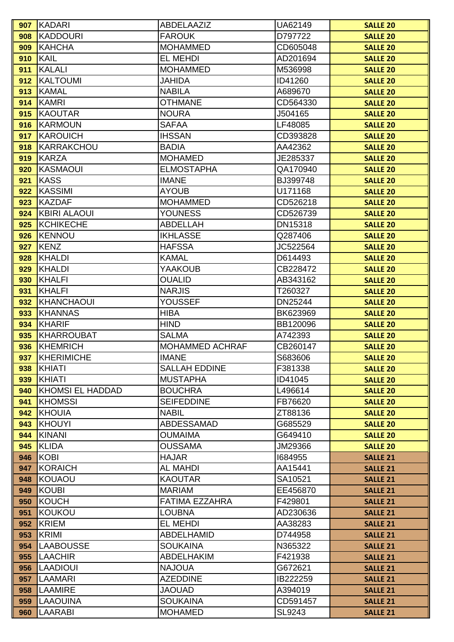| 907        | KADARI                  | ABDELAAZIZ                      | UA62149             | <b>SALLE 20</b>                    |
|------------|-------------------------|---------------------------------|---------------------|------------------------------------|
| 908        | KADDOURI                | <b>FAROUK</b>                   | D797722             | <b>SALLE 20</b>                    |
| 909        | <b>KAHCHA</b>           | <b>MOHAMMED</b>                 | CD605048            | <b>SALLE 20</b>                    |
| 910        | KAIL                    | <b>EL MEHDI</b>                 | AD201694            | <b>SALLE 20</b>                    |
| 911        | KALALI                  | <b>MOHAMMED</b>                 | M536998             | <b>SALLE 20</b>                    |
| 912        | KALTOUMI                | <b>JAHIDA</b>                   | ID41260             | <b>SALLE 20</b>                    |
| 913        | KAMAL                   | <b>NABILA</b>                   | A689670             | <b>SALLE 20</b>                    |
| 914        | KAMRI                   | <b>OTHMANE</b>                  | CD564330            | <b>SALLE 20</b>                    |
| 915        | KAOUTAR                 | <b>NOURA</b>                    | J504165             | <b>SALLE 20</b>                    |
| 916        | KARMOUN                 | <b>SAFAA</b>                    | LF48085             | <b>SALLE 20</b>                    |
| 917        | KAROUICH                | <b>IHSSAN</b>                   | CD393828            | <b>SALLE 20</b>                    |
| 918        | KARRAKCHOU              | <b>BADIA</b>                    | AA42362             | <b>SALLE 20</b>                    |
| 919        | KARZA                   | <b>MOHAMED</b>                  | JE285337            | <b>SALLE 20</b>                    |
| 920        | KASMAOUI                | <b>ELMOSTAPHA</b>               | QA170940            | <b>SALLE 20</b>                    |
| 921        | KASS                    | <b>IMANE</b>                    | BJ399748            | <b>SALLE 20</b>                    |
| 922        | KASSIMI                 | <b>AYOUB</b>                    | U171168             | <b>SALLE 20</b>                    |
| 923        | KAZDAF                  | <b>MOHAMMED</b>                 | CD526218            | <b>SALLE 20</b>                    |
| 924        | <b>KBIRI ALAOUI</b>     | <b>YOUNESS</b>                  | CD526739            | <b>SALLE 20</b>                    |
| 925        | KCHIKECHE               | <b>ABDELLAH</b>                 | DN15318             | <b>SALLE 20</b>                    |
| 926        | <b>KENNOU</b>           | <b>IKHLASSE</b>                 | Q287406             | <b>SALLE 20</b>                    |
| 927        | KENZ                    | <b>HAFSSA</b>                   | JC522564            | <b>SALLE 20</b>                    |
| 928        | KHALDI                  | <b>KAMAL</b>                    | D614493             | <b>SALLE 20</b>                    |
| 929        | KHALDI                  | <b>YAAKOUB</b>                  | CB228472            | <b>SALLE 20</b>                    |
| 930        | KHALFI                  | <b>OUALID</b>                   | AB343162            | <b>SALLE 20</b>                    |
| 931        | KHALFI                  | <b>NARJIS</b>                   | T260327             | <b>SALLE 20</b>                    |
| 932        | KHANCHAOUI              | <b>YOUSSEF</b>                  | DN25244             | <b>SALLE 20</b>                    |
| 933        | KHANNAS                 | <b>HIBA</b>                     | BK623969            | <b>SALLE 20</b>                    |
| 934        | KHARIF                  | <b>HIND</b>                     | BB120096            | <b>SALLE 20</b>                    |
| 935        | KHARROUBAT              | <b>SALMA</b>                    | A742393             | <b>SALLE 20</b>                    |
| 936        | KHEMRICH                | <b>MOHAMMED ACHRAF</b>          | CB260147            | <b>SALLE 20</b>                    |
| 937        | KHERIMICHE              | <b>IMANE</b>                    | S683606             | <b>SALLE 20</b>                    |
| 938        | KHIATI                  | <b>SALLAH EDDINE</b>            | F381338             | <b>SALLE 20</b>                    |
| 939        | KHIATI                  | <b>MUSTAPHA</b>                 | ID41045             | <b>SALLE 20</b>                    |
| 940        | <b>KHOMSI EL HADDAD</b> | <b>BOUCHRA</b>                  | L496614             | <b>SALLE 20</b>                    |
| 941        | <b>KHOMSSI</b>          | <b>SEIFEDDINE</b>               | FB76620             | <b>SALLE 20</b>                    |
| 942        | KHOUIA                  | <b>NABIL</b>                    | ZT88136             | <b>SALLE 20</b>                    |
| 943        | KHOUYI                  | <b>ABDESSAMAD</b>               | G685529             | <b>SALLE 20</b>                    |
| 944        | KINANI                  | <b>OUMAIMA</b>                  | G649410             | <b>SALLE 20</b>                    |
| 945        | KLIDA                   | <b>OUSSAMA</b>                  | JM29366             | <b>SALLE 20</b>                    |
| 946        | KOBI                    | <b>HAJAR</b>                    | 1684955             | <b>SALLE 21</b>                    |
| 947        | KORAICH                 | <b>AL MAHDI</b>                 | AA15441             | <b>SALLE 21</b>                    |
| 948<br>949 | KOUAOU<br>KOUBI         | <b>KAOUTAR</b><br><b>MARIAM</b> | SA10521<br>EE456870 | <b>SALLE 21</b>                    |
| 950        | <b>KOUCH</b>            | FATIMA EZZAHRA                  | F429801             | <b>SALLE 21</b><br><b>SALLE 21</b> |
| 951        | KOUKOU                  | <b>LOUBNA</b>                   | AD230636            | <b>SALLE 21</b>                    |
| 952        | KRIEM                   | <b>EL MEHDI</b>                 | AA38283             | <b>SALLE 21</b>                    |
| 953        | KRIMI                   | <b>ABDELHAMID</b>               | D744958             | <b>SALLE 21</b>                    |
| 954        | <b>LAABOUSSE</b>        | <b>SOUKAINA</b>                 | N365322             | <b>SALLE 21</b>                    |
| 955        | <b>LAACHIR</b>          | <b>ABDELHAKIM</b>               | F421938             | <b>SALLE 21</b>                    |
| 956        | <b>LAADIOUI</b>         | <b>NAJOUA</b>                   | G672621             | <b>SALLE 21</b>                    |
| 957        | <b>LAAMARI</b>          | <b>AZEDDINE</b>                 | IB222259            | <b>SALLE 21</b>                    |
| 958        | <b>LAAMIRE</b>          | <b>JAOUAD</b>                   | A394019             | <b>SALLE 21</b>                    |
| 959        | <b>LAAOUINA</b>         | <b>SOUKAINA</b>                 | CD591457            | <b>SALLE 21</b>                    |
| 960        | LAARABI                 | <b>MOHAMED</b>                  | SL9243              | <b>SALLE 21</b>                    |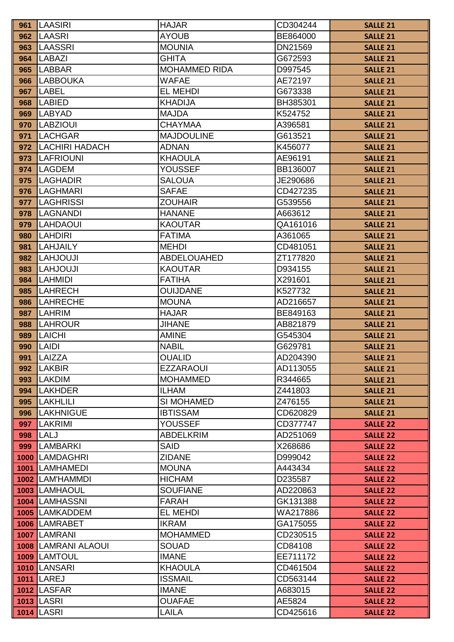| 961  | <b>LAASIRI</b>                  | <b>HAJAR</b>                     | CD304244             | <b>SALLE 21</b>                    |
|------|---------------------------------|----------------------------------|----------------------|------------------------------------|
| 962  | LAASRI                          | <b>AYOUB</b>                     | BE864000             | <b>SALLE 21</b>                    |
| 963  | <b>LAASSRI</b>                  | <b>MOUNIA</b>                    | DN21569              | <b>SALLE 21</b>                    |
| 964  | <b>LABAZI</b>                   | <b>GHITA</b>                     | G672593              | <b>SALLE 21</b>                    |
| 965  | <b>LABBAR</b>                   | <b>MOHAMMED RIDA</b>             | D997545              | <b>SALLE 21</b>                    |
| 966  | <b>LABBOUKA</b>                 | WAFAE                            | AE72197              | <b>SALLE 21</b>                    |
| 967  | <b>LABEL</b>                    | EL MEHDI                         | G673338              | <b>SALLE 21</b>                    |
| 968  | <b>LABIED</b>                   | <b>KHADIJA</b>                   | BH385301             | <b>SALLE 21</b>                    |
| 969  | <b>LABYAD</b>                   | <b>MAJDA</b>                     | K524752              | <b>SALLE 21</b>                    |
| 970  | <b>LABZIOUI</b>                 | <b>CHAYMAA</b>                   | A396581              | <b>SALLE 21</b>                    |
| 971  | <b>LACHGAR</b>                  | <b>MAJDOULINE</b>                | G613521              | <b>SALLE 21</b>                    |
| 972  | <b>LACHIRI HADACH</b>           | <b>ADNAN</b>                     | K456077              | <b>SALLE 21</b>                    |
| 973  | <b>LAFRIOUNI</b>                | <b>KHAOULA</b>                   | AE96191              | <b>SALLE 21</b>                    |
| 974  | <b>LAGDEM</b>                   | YOUSSEF                          | BB136007             | <b>SALLE 21</b>                    |
| 975  | <b>LAGHADIR</b>                 | <b>SALOUA</b>                    | JE290686             | <b>SALLE 21</b>                    |
| 976  | <b>LAGHMARI</b>                 | <b>SAFAE</b>                     | CD427235             | <b>SALLE 21</b>                    |
| 977  | <b>LAGHRISSI</b>                | <b>ZOUHAIR</b>                   | G539556              | <b>SALLE 21</b>                    |
| 978  | <b>LAGNANDI</b>                 | <b>HANANE</b>                    | A663612              | <b>SALLE 21</b>                    |
| 979  | <b>LAHDAOUI</b>                 | <b>KAOUTAR</b>                   | QA161016             | <b>SALLE 21</b>                    |
| 980  | <b>LAHDIRI</b>                  | <b>FATIMA</b>                    | A361065              | <b>SALLE 21</b>                    |
| 981  | <b>LAHJAILY</b>                 | <b>MEHDI</b>                     | CD481051             | <b>SALLE 21</b>                    |
| 982  | <b>LAHJOUJI</b>                 | <b>ABDELOUAHED</b>               | ZT177820             | <b>SALLE 21</b>                    |
| 983  | <b>LAHJOUJI</b>                 | <b>KAOUTAR</b>                   | D934155              | <b>SALLE 21</b>                    |
| 984  | <b>LAHMIDI</b>                  | <b>FATIHA</b>                    | X291601              | <b>SALLE 21</b>                    |
| 985  | <b>LAHRECH</b>                  | <b>OUIJDANE</b>                  | K527732              | <b>SALLE 21</b>                    |
| 986  | <b>LAHRECHE</b>                 | <b>MOUNA</b>                     | AD216657             | <b>SALLE 21</b>                    |
| 987  | <b>LAHRIM</b>                   | <b>HAJAR</b>                     | BE849163             | <b>SALLE 21</b>                    |
| 988  | <b>LAHROUR</b>                  | <b>JIHANE</b>                    | AB821879             | <b>SALLE 21</b>                    |
| 989  | <b>LAICHI</b>                   | <b>AMINE</b>                     | G545304              | <b>SALLE 21</b>                    |
| 990  | LAIDI                           | <b>NABIL</b>                     | G629781              | <b>SALLE 21</b>                    |
| 991  | LAIZZA                          | <b>OUALID</b>                    | AD204390             | <b>SALLE 21</b>                    |
| 992  | <b>LAKBIR</b>                   | <b>EZZARAOUI</b>                 | AD113055             | <b>SALLE 21</b>                    |
| 993  | <b>LAKDIM</b>                   | <b>MOHAMMED</b>                  | R344665              | <b>SALLE 21</b>                    |
| 994  | <b>LAKHDER</b>                  | <b>ILHAM</b>                     | Z441803              | <b>SALLE 21</b>                    |
| 995  | <b>LAKHLILI</b>                 | SI MOHAMED                       | Z476155              | <b>SALLE 21</b>                    |
| 996  | <b>LAKHNIGUE</b>                | <b>IBTISSAM</b>                  | CD620829             | <b>SALLE 21</b>                    |
| 997  | <b>LAKRIMI</b>                  | <b>YOUSSEF</b>                   | CD377747             | <b>SALLE 22</b>                    |
| 998  | <b>LALJ</b>                     | <b>ABDELKRIM</b>                 | AD251069             | <b>SALLE 22</b>                    |
| 999  | <b>LAMBARKI</b>                 | <b>SAID</b>                      | X268686              | <b>SALLE 22</b>                    |
| 1000 | <b>LAMDAGHRI</b>                | <b>ZIDANE</b>                    | D999042              | <b>SALLE 22</b>                    |
| 1001 | <b>LAMHAMEDI</b>                | <b>MOUNA</b>                     | A443434              | <b>SALLE 22</b>                    |
|      | 1002 LAM'HAMMDI                 | <b>HICHAM</b><br><b>SOUFIANE</b> | D235587              | <b>SALLE 22</b>                    |
|      | 1003 LAMHAOUL<br>1004 LAMHASSNI | <b>FARAH</b>                     | AD220863<br>GK131388 | <b>SALLE 22</b>                    |
|      | 1005 LAMKADDEM                  | <b>EL MEHDI</b>                  | WA217886             | <b>SALLE 22</b><br><b>SALLE 22</b> |
|      | 1006 LAMRABET                   | <b>IKRAM</b>                     | GA175055             |                                    |
|      | 1007 LAMRANI                    | <b>MOHAMMED</b>                  | CD230515             | <b>SALLE 22</b>                    |
|      | <b>1008 LAMRANI ALAOUI</b>      | <b>SOUAD</b>                     | CD84108              | <b>SALLE 22</b><br><b>SALLE 22</b> |
|      | 1009 LAMTOUL                    | <b>IMANE</b>                     | EE711172             |                                    |
|      | 1010 LANSARI                    | <b>KHAOULA</b>                   | CD461504             | <b>SALLE 22</b><br><b>SALLE 22</b> |
|      | <b>1011 LAREJ</b>               | <b>ISSMAIL</b>                   | CD563144             | <b>SALLE 22</b>                    |
|      | 1012 LASFAR                     | <b>IMANE</b>                     | A683015              | <b>SALLE 22</b>                    |
|      | <b>1013 LASRI</b>               | <b>OUAFAE</b>                    | AE5824               | <b>SALLE 22</b>                    |
|      | <b>1014 LASRI</b>               | LAILA                            | CD425616             | <b>SALLE 22</b>                    |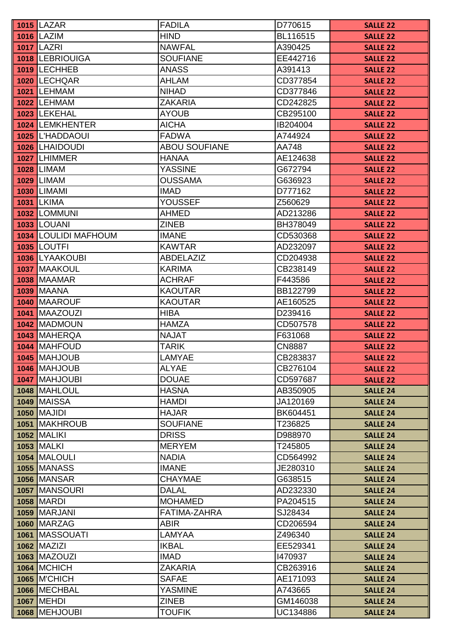| <b>1016 LAZIM</b><br><b>HIND</b><br>BL116515<br><b>SALLE 22</b><br><b>1017 LAZRI</b><br><b>NAWFAL</b><br>A390425<br><b>SALLE 22</b><br>1018 LEBRIOUIGA<br><b>SOUFIANE</b><br>EE442716<br><b>SALLE 22</b><br>1019 LECHHEB<br><b>ANASS</b><br>A391413<br><b>SALLE 22</b><br>1020 LECHQAR<br>AHLAM<br>CD377854<br><b>SALLE 22</b><br><b>1021 LEHMAM</b><br><b>NIHAD</b><br>CD377846<br><b>SALLE 22</b><br><b>1022 LEHMAM</b><br><b>ZAKARIA</b><br>CD242825<br><b>SALLE 22</b><br>1023 LEKEHAL<br><b>AYOUB</b><br>CB295100<br><b>SALLE 22</b><br><b>AICHA</b><br>1024 LEMKHENTER<br>IB204004<br><b>SALLE 22</b><br><b>FADWA</b><br>1025 L'HADDAOUI<br>A744924<br><b>SALLE 22</b><br>1026 LHAIDOUDI<br><b>ABOU SOUFIANE</b><br>AA748<br><b>SALLE 22</b><br>1027 LHIMMER<br><b>HANAA</b><br>AE124638<br><b>SALLE 22</b><br><b>YASSINE</b><br><b>1028 LIMAM</b><br>G672794<br><b>SALLE 22</b><br><b>1029 LIMAM</b><br><b>OUSSAMA</b><br>G636923<br><b>SALLE 22</b><br><b>1030 LIMAMI</b><br><b>IMAD</b><br>D777162<br><b>SALLE 22</b><br><b>1031 LKIMA</b><br><b>YOUSSEF</b><br>Z560629<br><b>SALLE 22</b><br>1032 LOMMUNI<br><b>AHMED</b><br>AD213286<br><b>SALLE 22</b><br><b>1033 LOUANI</b><br><b>ZINEB</b><br>BH378049<br><b>SALLE 22</b><br>1034 LOULIDI MAFHOUM<br><b>IMANE</b><br>CD530368<br><b>SALLE 22</b><br><b>1035 LOUTFI</b><br><b>KAWTAR</b><br>AD232097<br><b>SALLE 22</b><br><b>LYAAKOUBI</b><br>1036<br><b>ABDELAZIZ</b><br>CD204938<br><b>SALLE 22</b><br><b>KARIMA</b><br>1037 MAAKOUL<br>CB238149<br><b>SALLE 22</b><br><b>IMAAMAR</b><br>1038<br><b>ACHRAF</b><br>F443586<br><b>SALLE 22</b><br>1039<br><b>MAANA</b><br><b>KAOUTAR</b><br>BB122799<br><b>SALLE 22</b><br><b>MAAROUF</b><br>1040<br><b>KAOUTAR</b><br>AE160525<br><b>SALLE 22</b><br><b>MAAZOUZI</b><br><b>HIBA</b><br>D239416<br>1041<br><b>SALLE 22</b><br>1042 MADMOUN<br><b>HAMZA</b><br>CD507578<br><b>SALLE 22</b><br><b>MAHERQA</b><br><b>NAJAT</b><br>F631068<br>1043<br><b>SALLE 22</b><br>1044<br><b>MAHFOUD</b><br><b>TARIK</b><br><b>CN8887</b><br><b>SALLE 22</b><br>1045 MAHJOUB<br><b>LAMYAE</b><br>CB283837<br><b>SALLE 22</b><br>1046 MAHJOUB<br><b>ALYAE</b><br>CB276104<br><b>SALLE 22</b><br><b>MAHJOUBI</b><br><b>DOUAE</b><br>1047<br>CD597687<br><b>SALLE 22</b><br><b>MAHLOUL</b><br><b>HASNA</b><br>1048<br>AB350905<br><b>SALLE 24</b><br><b>1049 MAISSA</b><br><b>HAMDI</b><br>JA120169<br><b>SALLE 24</b><br><b>1050   MAJIDI</b><br><b>HAJAR</b><br>BK604451<br><b>SALLE 24</b><br>1051 MAKHROUB<br><b>SOUFIANE</b><br>T236825<br><b>SALLE 24</b><br><b>1052 MALIKI</b><br><b>DRISS</b><br>D988970<br><b>SALLE 24</b><br><b>1053   MALKI</b><br><b>MERYEM</b><br>T245805<br><b>SALLE 24</b><br>1054 MALOULI<br><b>NADIA</b><br>CD564992<br><b>SALLE 24</b><br><b>IMANE</b><br><b>1055 MANASS</b><br>JE280310<br><b>SALLE 24</b><br><b>1056 MANSAR</b><br><b>CHAYMAE</b><br>G638515<br><b>SALLE 24</b><br><b>1057 MANSOURI</b><br><b>DALAL</b><br>AD232330<br><b>SALLE 24</b><br><b>1058 MARDI</b><br><b>MOHAMED</b><br>PA204515<br><b>SALLE 24</b><br>FATIMA-ZAHRA<br>1059 MARJANI<br>SJ28434<br><b>SALLE 24</b><br><b>1060 MARZAG</b><br>ABIR<br>CD206594<br><b>SALLE 24</b><br>1061 MASSOUATI<br>LAMYAA<br>Z496340<br><b>SALLE 24</b><br><b>1062 MAZIZI</b><br><b>IKBAL</b><br>EE529341<br><b>SALLE 24</b><br><b>1063 MAZOUZI</b><br><b>IMAD</b><br>1470937<br><b>SALLE 24</b><br><b>1064 MCHICH</b><br><b>ZAKARIA</b><br>CB263916<br><b>SALLE 24</b><br><b>1065 M'CHICH</b><br>AE171093<br><b>SAFAE</b><br><b>SALLE 24</b><br>1066 MECHBAL<br><b>YASMINE</b><br>A743665<br><b>SALLE 24</b><br><b>1067   MEHDI</b><br><b>ZINEB</b><br>GM146038<br><b>SALLE 24</b><br>1068 MEHJOUBI | <b>1015 LAZAR</b> | <b>FADILA</b> | D770615  | <b>SALLE 22</b> |
|--------------------------------------------------------------------------------------------------------------------------------------------------------------------------------------------------------------------------------------------------------------------------------------------------------------------------------------------------------------------------------------------------------------------------------------------------------------------------------------------------------------------------------------------------------------------------------------------------------------------------------------------------------------------------------------------------------------------------------------------------------------------------------------------------------------------------------------------------------------------------------------------------------------------------------------------------------------------------------------------------------------------------------------------------------------------------------------------------------------------------------------------------------------------------------------------------------------------------------------------------------------------------------------------------------------------------------------------------------------------------------------------------------------------------------------------------------------------------------------------------------------------------------------------------------------------------------------------------------------------------------------------------------------------------------------------------------------------------------------------------------------------------------------------------------------------------------------------------------------------------------------------------------------------------------------------------------------------------------------------------------------------------------------------------------------------------------------------------------------------------------------------------------------------------------------------------------------------------------------------------------------------------------------------------------------------------------------------------------------------------------------------------------------------------------------------------------------------------------------------------------------------------------------------------------------------------------------------------------------------------------------------------------------------------------------------------------------------------------------------------------------------------------------------------------------------------------------------------------------------------------------------------------------------------------------------------------------------------------------------------------------------------------------------------------------------------------------------------------------------------------------------------------------------------------------------------------------------------------------------------------------------------------------------------------------------------------------------------------------------------------------------------------------------------------------------------------------------------------------------------------------------------------------------------------------------------------------------------------------------------------------------------------------------------------------------------|-------------------|---------------|----------|-----------------|
|                                                                                                                                                                                                                                                                                                                                                                                                                                                                                                                                                                                                                                                                                                                                                                                                                                                                                                                                                                                                                                                                                                                                                                                                                                                                                                                                                                                                                                                                                                                                                                                                                                                                                                                                                                                                                                                                                                                                                                                                                                                                                                                                                                                                                                                                                                                                                                                                                                                                                                                                                                                                                                                                                                                                                                                                                                                                                                                                                                                                                                                                                                                                                                                                                                                                                                                                                                                                                                                                                                                                                                                                                                                                                                  |                   |               |          |                 |
|                                                                                                                                                                                                                                                                                                                                                                                                                                                                                                                                                                                                                                                                                                                                                                                                                                                                                                                                                                                                                                                                                                                                                                                                                                                                                                                                                                                                                                                                                                                                                                                                                                                                                                                                                                                                                                                                                                                                                                                                                                                                                                                                                                                                                                                                                                                                                                                                                                                                                                                                                                                                                                                                                                                                                                                                                                                                                                                                                                                                                                                                                                                                                                                                                                                                                                                                                                                                                                                                                                                                                                                                                                                                                                  |                   |               |          |                 |
|                                                                                                                                                                                                                                                                                                                                                                                                                                                                                                                                                                                                                                                                                                                                                                                                                                                                                                                                                                                                                                                                                                                                                                                                                                                                                                                                                                                                                                                                                                                                                                                                                                                                                                                                                                                                                                                                                                                                                                                                                                                                                                                                                                                                                                                                                                                                                                                                                                                                                                                                                                                                                                                                                                                                                                                                                                                                                                                                                                                                                                                                                                                                                                                                                                                                                                                                                                                                                                                                                                                                                                                                                                                                                                  |                   |               |          |                 |
|                                                                                                                                                                                                                                                                                                                                                                                                                                                                                                                                                                                                                                                                                                                                                                                                                                                                                                                                                                                                                                                                                                                                                                                                                                                                                                                                                                                                                                                                                                                                                                                                                                                                                                                                                                                                                                                                                                                                                                                                                                                                                                                                                                                                                                                                                                                                                                                                                                                                                                                                                                                                                                                                                                                                                                                                                                                                                                                                                                                                                                                                                                                                                                                                                                                                                                                                                                                                                                                                                                                                                                                                                                                                                                  |                   |               |          |                 |
|                                                                                                                                                                                                                                                                                                                                                                                                                                                                                                                                                                                                                                                                                                                                                                                                                                                                                                                                                                                                                                                                                                                                                                                                                                                                                                                                                                                                                                                                                                                                                                                                                                                                                                                                                                                                                                                                                                                                                                                                                                                                                                                                                                                                                                                                                                                                                                                                                                                                                                                                                                                                                                                                                                                                                                                                                                                                                                                                                                                                                                                                                                                                                                                                                                                                                                                                                                                                                                                                                                                                                                                                                                                                                                  |                   |               |          |                 |
|                                                                                                                                                                                                                                                                                                                                                                                                                                                                                                                                                                                                                                                                                                                                                                                                                                                                                                                                                                                                                                                                                                                                                                                                                                                                                                                                                                                                                                                                                                                                                                                                                                                                                                                                                                                                                                                                                                                                                                                                                                                                                                                                                                                                                                                                                                                                                                                                                                                                                                                                                                                                                                                                                                                                                                                                                                                                                                                                                                                                                                                                                                                                                                                                                                                                                                                                                                                                                                                                                                                                                                                                                                                                                                  |                   |               |          |                 |
|                                                                                                                                                                                                                                                                                                                                                                                                                                                                                                                                                                                                                                                                                                                                                                                                                                                                                                                                                                                                                                                                                                                                                                                                                                                                                                                                                                                                                                                                                                                                                                                                                                                                                                                                                                                                                                                                                                                                                                                                                                                                                                                                                                                                                                                                                                                                                                                                                                                                                                                                                                                                                                                                                                                                                                                                                                                                                                                                                                                                                                                                                                                                                                                                                                                                                                                                                                                                                                                                                                                                                                                                                                                                                                  |                   |               |          |                 |
|                                                                                                                                                                                                                                                                                                                                                                                                                                                                                                                                                                                                                                                                                                                                                                                                                                                                                                                                                                                                                                                                                                                                                                                                                                                                                                                                                                                                                                                                                                                                                                                                                                                                                                                                                                                                                                                                                                                                                                                                                                                                                                                                                                                                                                                                                                                                                                                                                                                                                                                                                                                                                                                                                                                                                                                                                                                                                                                                                                                                                                                                                                                                                                                                                                                                                                                                                                                                                                                                                                                                                                                                                                                                                                  |                   |               |          |                 |
|                                                                                                                                                                                                                                                                                                                                                                                                                                                                                                                                                                                                                                                                                                                                                                                                                                                                                                                                                                                                                                                                                                                                                                                                                                                                                                                                                                                                                                                                                                                                                                                                                                                                                                                                                                                                                                                                                                                                                                                                                                                                                                                                                                                                                                                                                                                                                                                                                                                                                                                                                                                                                                                                                                                                                                                                                                                                                                                                                                                                                                                                                                                                                                                                                                                                                                                                                                                                                                                                                                                                                                                                                                                                                                  |                   |               |          |                 |
|                                                                                                                                                                                                                                                                                                                                                                                                                                                                                                                                                                                                                                                                                                                                                                                                                                                                                                                                                                                                                                                                                                                                                                                                                                                                                                                                                                                                                                                                                                                                                                                                                                                                                                                                                                                                                                                                                                                                                                                                                                                                                                                                                                                                                                                                                                                                                                                                                                                                                                                                                                                                                                                                                                                                                                                                                                                                                                                                                                                                                                                                                                                                                                                                                                                                                                                                                                                                                                                                                                                                                                                                                                                                                                  |                   |               |          |                 |
|                                                                                                                                                                                                                                                                                                                                                                                                                                                                                                                                                                                                                                                                                                                                                                                                                                                                                                                                                                                                                                                                                                                                                                                                                                                                                                                                                                                                                                                                                                                                                                                                                                                                                                                                                                                                                                                                                                                                                                                                                                                                                                                                                                                                                                                                                                                                                                                                                                                                                                                                                                                                                                                                                                                                                                                                                                                                                                                                                                                                                                                                                                                                                                                                                                                                                                                                                                                                                                                                                                                                                                                                                                                                                                  |                   |               |          |                 |
|                                                                                                                                                                                                                                                                                                                                                                                                                                                                                                                                                                                                                                                                                                                                                                                                                                                                                                                                                                                                                                                                                                                                                                                                                                                                                                                                                                                                                                                                                                                                                                                                                                                                                                                                                                                                                                                                                                                                                                                                                                                                                                                                                                                                                                                                                                                                                                                                                                                                                                                                                                                                                                                                                                                                                                                                                                                                                                                                                                                                                                                                                                                                                                                                                                                                                                                                                                                                                                                                                                                                                                                                                                                                                                  |                   |               |          |                 |
|                                                                                                                                                                                                                                                                                                                                                                                                                                                                                                                                                                                                                                                                                                                                                                                                                                                                                                                                                                                                                                                                                                                                                                                                                                                                                                                                                                                                                                                                                                                                                                                                                                                                                                                                                                                                                                                                                                                                                                                                                                                                                                                                                                                                                                                                                                                                                                                                                                                                                                                                                                                                                                                                                                                                                                                                                                                                                                                                                                                                                                                                                                                                                                                                                                                                                                                                                                                                                                                                                                                                                                                                                                                                                                  |                   |               |          |                 |
|                                                                                                                                                                                                                                                                                                                                                                                                                                                                                                                                                                                                                                                                                                                                                                                                                                                                                                                                                                                                                                                                                                                                                                                                                                                                                                                                                                                                                                                                                                                                                                                                                                                                                                                                                                                                                                                                                                                                                                                                                                                                                                                                                                                                                                                                                                                                                                                                                                                                                                                                                                                                                                                                                                                                                                                                                                                                                                                                                                                                                                                                                                                                                                                                                                                                                                                                                                                                                                                                                                                                                                                                                                                                                                  |                   |               |          |                 |
|                                                                                                                                                                                                                                                                                                                                                                                                                                                                                                                                                                                                                                                                                                                                                                                                                                                                                                                                                                                                                                                                                                                                                                                                                                                                                                                                                                                                                                                                                                                                                                                                                                                                                                                                                                                                                                                                                                                                                                                                                                                                                                                                                                                                                                                                                                                                                                                                                                                                                                                                                                                                                                                                                                                                                                                                                                                                                                                                                                                                                                                                                                                                                                                                                                                                                                                                                                                                                                                                                                                                                                                                                                                                                                  |                   |               |          |                 |
|                                                                                                                                                                                                                                                                                                                                                                                                                                                                                                                                                                                                                                                                                                                                                                                                                                                                                                                                                                                                                                                                                                                                                                                                                                                                                                                                                                                                                                                                                                                                                                                                                                                                                                                                                                                                                                                                                                                                                                                                                                                                                                                                                                                                                                                                                                                                                                                                                                                                                                                                                                                                                                                                                                                                                                                                                                                                                                                                                                                                                                                                                                                                                                                                                                                                                                                                                                                                                                                                                                                                                                                                                                                                                                  |                   |               |          |                 |
|                                                                                                                                                                                                                                                                                                                                                                                                                                                                                                                                                                                                                                                                                                                                                                                                                                                                                                                                                                                                                                                                                                                                                                                                                                                                                                                                                                                                                                                                                                                                                                                                                                                                                                                                                                                                                                                                                                                                                                                                                                                                                                                                                                                                                                                                                                                                                                                                                                                                                                                                                                                                                                                                                                                                                                                                                                                                                                                                                                                                                                                                                                                                                                                                                                                                                                                                                                                                                                                                                                                                                                                                                                                                                                  |                   |               |          |                 |
|                                                                                                                                                                                                                                                                                                                                                                                                                                                                                                                                                                                                                                                                                                                                                                                                                                                                                                                                                                                                                                                                                                                                                                                                                                                                                                                                                                                                                                                                                                                                                                                                                                                                                                                                                                                                                                                                                                                                                                                                                                                                                                                                                                                                                                                                                                                                                                                                                                                                                                                                                                                                                                                                                                                                                                                                                                                                                                                                                                                                                                                                                                                                                                                                                                                                                                                                                                                                                                                                                                                                                                                                                                                                                                  |                   |               |          |                 |
|                                                                                                                                                                                                                                                                                                                                                                                                                                                                                                                                                                                                                                                                                                                                                                                                                                                                                                                                                                                                                                                                                                                                                                                                                                                                                                                                                                                                                                                                                                                                                                                                                                                                                                                                                                                                                                                                                                                                                                                                                                                                                                                                                                                                                                                                                                                                                                                                                                                                                                                                                                                                                                                                                                                                                                                                                                                                                                                                                                                                                                                                                                                                                                                                                                                                                                                                                                                                                                                                                                                                                                                                                                                                                                  |                   |               |          |                 |
|                                                                                                                                                                                                                                                                                                                                                                                                                                                                                                                                                                                                                                                                                                                                                                                                                                                                                                                                                                                                                                                                                                                                                                                                                                                                                                                                                                                                                                                                                                                                                                                                                                                                                                                                                                                                                                                                                                                                                                                                                                                                                                                                                                                                                                                                                                                                                                                                                                                                                                                                                                                                                                                                                                                                                                                                                                                                                                                                                                                                                                                                                                                                                                                                                                                                                                                                                                                                                                                                                                                                                                                                                                                                                                  |                   |               |          |                 |
|                                                                                                                                                                                                                                                                                                                                                                                                                                                                                                                                                                                                                                                                                                                                                                                                                                                                                                                                                                                                                                                                                                                                                                                                                                                                                                                                                                                                                                                                                                                                                                                                                                                                                                                                                                                                                                                                                                                                                                                                                                                                                                                                                                                                                                                                                                                                                                                                                                                                                                                                                                                                                                                                                                                                                                                                                                                                                                                                                                                                                                                                                                                                                                                                                                                                                                                                                                                                                                                                                                                                                                                                                                                                                                  |                   |               |          |                 |
|                                                                                                                                                                                                                                                                                                                                                                                                                                                                                                                                                                                                                                                                                                                                                                                                                                                                                                                                                                                                                                                                                                                                                                                                                                                                                                                                                                                                                                                                                                                                                                                                                                                                                                                                                                                                                                                                                                                                                                                                                                                                                                                                                                                                                                                                                                                                                                                                                                                                                                                                                                                                                                                                                                                                                                                                                                                                                                                                                                                                                                                                                                                                                                                                                                                                                                                                                                                                                                                                                                                                                                                                                                                                                                  |                   |               |          |                 |
|                                                                                                                                                                                                                                                                                                                                                                                                                                                                                                                                                                                                                                                                                                                                                                                                                                                                                                                                                                                                                                                                                                                                                                                                                                                                                                                                                                                                                                                                                                                                                                                                                                                                                                                                                                                                                                                                                                                                                                                                                                                                                                                                                                                                                                                                                                                                                                                                                                                                                                                                                                                                                                                                                                                                                                                                                                                                                                                                                                                                                                                                                                                                                                                                                                                                                                                                                                                                                                                                                                                                                                                                                                                                                                  |                   |               |          |                 |
|                                                                                                                                                                                                                                                                                                                                                                                                                                                                                                                                                                                                                                                                                                                                                                                                                                                                                                                                                                                                                                                                                                                                                                                                                                                                                                                                                                                                                                                                                                                                                                                                                                                                                                                                                                                                                                                                                                                                                                                                                                                                                                                                                                                                                                                                                                                                                                                                                                                                                                                                                                                                                                                                                                                                                                                                                                                                                                                                                                                                                                                                                                                                                                                                                                                                                                                                                                                                                                                                                                                                                                                                                                                                                                  |                   |               |          |                 |
|                                                                                                                                                                                                                                                                                                                                                                                                                                                                                                                                                                                                                                                                                                                                                                                                                                                                                                                                                                                                                                                                                                                                                                                                                                                                                                                                                                                                                                                                                                                                                                                                                                                                                                                                                                                                                                                                                                                                                                                                                                                                                                                                                                                                                                                                                                                                                                                                                                                                                                                                                                                                                                                                                                                                                                                                                                                                                                                                                                                                                                                                                                                                                                                                                                                                                                                                                                                                                                                                                                                                                                                                                                                                                                  |                   |               |          |                 |
|                                                                                                                                                                                                                                                                                                                                                                                                                                                                                                                                                                                                                                                                                                                                                                                                                                                                                                                                                                                                                                                                                                                                                                                                                                                                                                                                                                                                                                                                                                                                                                                                                                                                                                                                                                                                                                                                                                                                                                                                                                                                                                                                                                                                                                                                                                                                                                                                                                                                                                                                                                                                                                                                                                                                                                                                                                                                                                                                                                                                                                                                                                                                                                                                                                                                                                                                                                                                                                                                                                                                                                                                                                                                                                  |                   |               |          |                 |
|                                                                                                                                                                                                                                                                                                                                                                                                                                                                                                                                                                                                                                                                                                                                                                                                                                                                                                                                                                                                                                                                                                                                                                                                                                                                                                                                                                                                                                                                                                                                                                                                                                                                                                                                                                                                                                                                                                                                                                                                                                                                                                                                                                                                                                                                                                                                                                                                                                                                                                                                                                                                                                                                                                                                                                                                                                                                                                                                                                                                                                                                                                                                                                                                                                                                                                                                                                                                                                                                                                                                                                                                                                                                                                  |                   |               |          |                 |
|                                                                                                                                                                                                                                                                                                                                                                                                                                                                                                                                                                                                                                                                                                                                                                                                                                                                                                                                                                                                                                                                                                                                                                                                                                                                                                                                                                                                                                                                                                                                                                                                                                                                                                                                                                                                                                                                                                                                                                                                                                                                                                                                                                                                                                                                                                                                                                                                                                                                                                                                                                                                                                                                                                                                                                                                                                                                                                                                                                                                                                                                                                                                                                                                                                                                                                                                                                                                                                                                                                                                                                                                                                                                                                  |                   |               |          |                 |
|                                                                                                                                                                                                                                                                                                                                                                                                                                                                                                                                                                                                                                                                                                                                                                                                                                                                                                                                                                                                                                                                                                                                                                                                                                                                                                                                                                                                                                                                                                                                                                                                                                                                                                                                                                                                                                                                                                                                                                                                                                                                                                                                                                                                                                                                                                                                                                                                                                                                                                                                                                                                                                                                                                                                                                                                                                                                                                                                                                                                                                                                                                                                                                                                                                                                                                                                                                                                                                                                                                                                                                                                                                                                                                  |                   |               |          |                 |
|                                                                                                                                                                                                                                                                                                                                                                                                                                                                                                                                                                                                                                                                                                                                                                                                                                                                                                                                                                                                                                                                                                                                                                                                                                                                                                                                                                                                                                                                                                                                                                                                                                                                                                                                                                                                                                                                                                                                                                                                                                                                                                                                                                                                                                                                                                                                                                                                                                                                                                                                                                                                                                                                                                                                                                                                                                                                                                                                                                                                                                                                                                                                                                                                                                                                                                                                                                                                                                                                                                                                                                                                                                                                                                  |                   |               |          |                 |
|                                                                                                                                                                                                                                                                                                                                                                                                                                                                                                                                                                                                                                                                                                                                                                                                                                                                                                                                                                                                                                                                                                                                                                                                                                                                                                                                                                                                                                                                                                                                                                                                                                                                                                                                                                                                                                                                                                                                                                                                                                                                                                                                                                                                                                                                                                                                                                                                                                                                                                                                                                                                                                                                                                                                                                                                                                                                                                                                                                                                                                                                                                                                                                                                                                                                                                                                                                                                                                                                                                                                                                                                                                                                                                  |                   |               |          |                 |
|                                                                                                                                                                                                                                                                                                                                                                                                                                                                                                                                                                                                                                                                                                                                                                                                                                                                                                                                                                                                                                                                                                                                                                                                                                                                                                                                                                                                                                                                                                                                                                                                                                                                                                                                                                                                                                                                                                                                                                                                                                                                                                                                                                                                                                                                                                                                                                                                                                                                                                                                                                                                                                                                                                                                                                                                                                                                                                                                                                                                                                                                                                                                                                                                                                                                                                                                                                                                                                                                                                                                                                                                                                                                                                  |                   |               |          |                 |
|                                                                                                                                                                                                                                                                                                                                                                                                                                                                                                                                                                                                                                                                                                                                                                                                                                                                                                                                                                                                                                                                                                                                                                                                                                                                                                                                                                                                                                                                                                                                                                                                                                                                                                                                                                                                                                                                                                                                                                                                                                                                                                                                                                                                                                                                                                                                                                                                                                                                                                                                                                                                                                                                                                                                                                                                                                                                                                                                                                                                                                                                                                                                                                                                                                                                                                                                                                                                                                                                                                                                                                                                                                                                                                  |                   |               |          |                 |
|                                                                                                                                                                                                                                                                                                                                                                                                                                                                                                                                                                                                                                                                                                                                                                                                                                                                                                                                                                                                                                                                                                                                                                                                                                                                                                                                                                                                                                                                                                                                                                                                                                                                                                                                                                                                                                                                                                                                                                                                                                                                                                                                                                                                                                                                                                                                                                                                                                                                                                                                                                                                                                                                                                                                                                                                                                                                                                                                                                                                                                                                                                                                                                                                                                                                                                                                                                                                                                                                                                                                                                                                                                                                                                  |                   |               |          |                 |
|                                                                                                                                                                                                                                                                                                                                                                                                                                                                                                                                                                                                                                                                                                                                                                                                                                                                                                                                                                                                                                                                                                                                                                                                                                                                                                                                                                                                                                                                                                                                                                                                                                                                                                                                                                                                                                                                                                                                                                                                                                                                                                                                                                                                                                                                                                                                                                                                                                                                                                                                                                                                                                                                                                                                                                                                                                                                                                                                                                                                                                                                                                                                                                                                                                                                                                                                                                                                                                                                                                                                                                                                                                                                                                  |                   |               |          |                 |
|                                                                                                                                                                                                                                                                                                                                                                                                                                                                                                                                                                                                                                                                                                                                                                                                                                                                                                                                                                                                                                                                                                                                                                                                                                                                                                                                                                                                                                                                                                                                                                                                                                                                                                                                                                                                                                                                                                                                                                                                                                                                                                                                                                                                                                                                                                                                                                                                                                                                                                                                                                                                                                                                                                                                                                                                                                                                                                                                                                                                                                                                                                                                                                                                                                                                                                                                                                                                                                                                                                                                                                                                                                                                                                  |                   |               |          |                 |
|                                                                                                                                                                                                                                                                                                                                                                                                                                                                                                                                                                                                                                                                                                                                                                                                                                                                                                                                                                                                                                                                                                                                                                                                                                                                                                                                                                                                                                                                                                                                                                                                                                                                                                                                                                                                                                                                                                                                                                                                                                                                                                                                                                                                                                                                                                                                                                                                                                                                                                                                                                                                                                                                                                                                                                                                                                                                                                                                                                                                                                                                                                                                                                                                                                                                                                                                                                                                                                                                                                                                                                                                                                                                                                  |                   |               |          |                 |
|                                                                                                                                                                                                                                                                                                                                                                                                                                                                                                                                                                                                                                                                                                                                                                                                                                                                                                                                                                                                                                                                                                                                                                                                                                                                                                                                                                                                                                                                                                                                                                                                                                                                                                                                                                                                                                                                                                                                                                                                                                                                                                                                                                                                                                                                                                                                                                                                                                                                                                                                                                                                                                                                                                                                                                                                                                                                                                                                                                                                                                                                                                                                                                                                                                                                                                                                                                                                                                                                                                                                                                                                                                                                                                  |                   |               |          |                 |
|                                                                                                                                                                                                                                                                                                                                                                                                                                                                                                                                                                                                                                                                                                                                                                                                                                                                                                                                                                                                                                                                                                                                                                                                                                                                                                                                                                                                                                                                                                                                                                                                                                                                                                                                                                                                                                                                                                                                                                                                                                                                                                                                                                                                                                                                                                                                                                                                                                                                                                                                                                                                                                                                                                                                                                                                                                                                                                                                                                                                                                                                                                                                                                                                                                                                                                                                                                                                                                                                                                                                                                                                                                                                                                  |                   |               |          |                 |
|                                                                                                                                                                                                                                                                                                                                                                                                                                                                                                                                                                                                                                                                                                                                                                                                                                                                                                                                                                                                                                                                                                                                                                                                                                                                                                                                                                                                                                                                                                                                                                                                                                                                                                                                                                                                                                                                                                                                                                                                                                                                                                                                                                                                                                                                                                                                                                                                                                                                                                                                                                                                                                                                                                                                                                                                                                                                                                                                                                                                                                                                                                                                                                                                                                                                                                                                                                                                                                                                                                                                                                                                                                                                                                  |                   |               |          |                 |
|                                                                                                                                                                                                                                                                                                                                                                                                                                                                                                                                                                                                                                                                                                                                                                                                                                                                                                                                                                                                                                                                                                                                                                                                                                                                                                                                                                                                                                                                                                                                                                                                                                                                                                                                                                                                                                                                                                                                                                                                                                                                                                                                                                                                                                                                                                                                                                                                                                                                                                                                                                                                                                                                                                                                                                                                                                                                                                                                                                                                                                                                                                                                                                                                                                                                                                                                                                                                                                                                                                                                                                                                                                                                                                  |                   |               |          |                 |
|                                                                                                                                                                                                                                                                                                                                                                                                                                                                                                                                                                                                                                                                                                                                                                                                                                                                                                                                                                                                                                                                                                                                                                                                                                                                                                                                                                                                                                                                                                                                                                                                                                                                                                                                                                                                                                                                                                                                                                                                                                                                                                                                                                                                                                                                                                                                                                                                                                                                                                                                                                                                                                                                                                                                                                                                                                                                                                                                                                                                                                                                                                                                                                                                                                                                                                                                                                                                                                                                                                                                                                                                                                                                                                  |                   |               |          |                 |
|                                                                                                                                                                                                                                                                                                                                                                                                                                                                                                                                                                                                                                                                                                                                                                                                                                                                                                                                                                                                                                                                                                                                                                                                                                                                                                                                                                                                                                                                                                                                                                                                                                                                                                                                                                                                                                                                                                                                                                                                                                                                                                                                                                                                                                                                                                                                                                                                                                                                                                                                                                                                                                                                                                                                                                                                                                                                                                                                                                                                                                                                                                                                                                                                                                                                                                                                                                                                                                                                                                                                                                                                                                                                                                  |                   |               |          |                 |
|                                                                                                                                                                                                                                                                                                                                                                                                                                                                                                                                                                                                                                                                                                                                                                                                                                                                                                                                                                                                                                                                                                                                                                                                                                                                                                                                                                                                                                                                                                                                                                                                                                                                                                                                                                                                                                                                                                                                                                                                                                                                                                                                                                                                                                                                                                                                                                                                                                                                                                                                                                                                                                                                                                                                                                                                                                                                                                                                                                                                                                                                                                                                                                                                                                                                                                                                                                                                                                                                                                                                                                                                                                                                                                  |                   |               |          |                 |
|                                                                                                                                                                                                                                                                                                                                                                                                                                                                                                                                                                                                                                                                                                                                                                                                                                                                                                                                                                                                                                                                                                                                                                                                                                                                                                                                                                                                                                                                                                                                                                                                                                                                                                                                                                                                                                                                                                                                                                                                                                                                                                                                                                                                                                                                                                                                                                                                                                                                                                                                                                                                                                                                                                                                                                                                                                                                                                                                                                                                                                                                                                                                                                                                                                                                                                                                                                                                                                                                                                                                                                                                                                                                                                  |                   |               |          |                 |
|                                                                                                                                                                                                                                                                                                                                                                                                                                                                                                                                                                                                                                                                                                                                                                                                                                                                                                                                                                                                                                                                                                                                                                                                                                                                                                                                                                                                                                                                                                                                                                                                                                                                                                                                                                                                                                                                                                                                                                                                                                                                                                                                                                                                                                                                                                                                                                                                                                                                                                                                                                                                                                                                                                                                                                                                                                                                                                                                                                                                                                                                                                                                                                                                                                                                                                                                                                                                                                                                                                                                                                                                                                                                                                  |                   |               |          |                 |
|                                                                                                                                                                                                                                                                                                                                                                                                                                                                                                                                                                                                                                                                                                                                                                                                                                                                                                                                                                                                                                                                                                                                                                                                                                                                                                                                                                                                                                                                                                                                                                                                                                                                                                                                                                                                                                                                                                                                                                                                                                                                                                                                                                                                                                                                                                                                                                                                                                                                                                                                                                                                                                                                                                                                                                                                                                                                                                                                                                                                                                                                                                                                                                                                                                                                                                                                                                                                                                                                                                                                                                                                                                                                                                  |                   |               |          |                 |
|                                                                                                                                                                                                                                                                                                                                                                                                                                                                                                                                                                                                                                                                                                                                                                                                                                                                                                                                                                                                                                                                                                                                                                                                                                                                                                                                                                                                                                                                                                                                                                                                                                                                                                                                                                                                                                                                                                                                                                                                                                                                                                                                                                                                                                                                                                                                                                                                                                                                                                                                                                                                                                                                                                                                                                                                                                                                                                                                                                                                                                                                                                                                                                                                                                                                                                                                                                                                                                                                                                                                                                                                                                                                                                  |                   |               |          |                 |
|                                                                                                                                                                                                                                                                                                                                                                                                                                                                                                                                                                                                                                                                                                                                                                                                                                                                                                                                                                                                                                                                                                                                                                                                                                                                                                                                                                                                                                                                                                                                                                                                                                                                                                                                                                                                                                                                                                                                                                                                                                                                                                                                                                                                                                                                                                                                                                                                                                                                                                                                                                                                                                                                                                                                                                                                                                                                                                                                                                                                                                                                                                                                                                                                                                                                                                                                                                                                                                                                                                                                                                                                                                                                                                  |                   |               |          |                 |
|                                                                                                                                                                                                                                                                                                                                                                                                                                                                                                                                                                                                                                                                                                                                                                                                                                                                                                                                                                                                                                                                                                                                                                                                                                                                                                                                                                                                                                                                                                                                                                                                                                                                                                                                                                                                                                                                                                                                                                                                                                                                                                                                                                                                                                                                                                                                                                                                                                                                                                                                                                                                                                                                                                                                                                                                                                                                                                                                                                                                                                                                                                                                                                                                                                                                                                                                                                                                                                                                                                                                                                                                                                                                                                  |                   |               |          |                 |
|                                                                                                                                                                                                                                                                                                                                                                                                                                                                                                                                                                                                                                                                                                                                                                                                                                                                                                                                                                                                                                                                                                                                                                                                                                                                                                                                                                                                                                                                                                                                                                                                                                                                                                                                                                                                                                                                                                                                                                                                                                                                                                                                                                                                                                                                                                                                                                                                                                                                                                                                                                                                                                                                                                                                                                                                                                                                                                                                                                                                                                                                                                                                                                                                                                                                                                                                                                                                                                                                                                                                                                                                                                                                                                  |                   |               |          |                 |
|                                                                                                                                                                                                                                                                                                                                                                                                                                                                                                                                                                                                                                                                                                                                                                                                                                                                                                                                                                                                                                                                                                                                                                                                                                                                                                                                                                                                                                                                                                                                                                                                                                                                                                                                                                                                                                                                                                                                                                                                                                                                                                                                                                                                                                                                                                                                                                                                                                                                                                                                                                                                                                                                                                                                                                                                                                                                                                                                                                                                                                                                                                                                                                                                                                                                                                                                                                                                                                                                                                                                                                                                                                                                                                  |                   | <b>TOUFIK</b> | UC134886 | <b>SALLE 24</b> |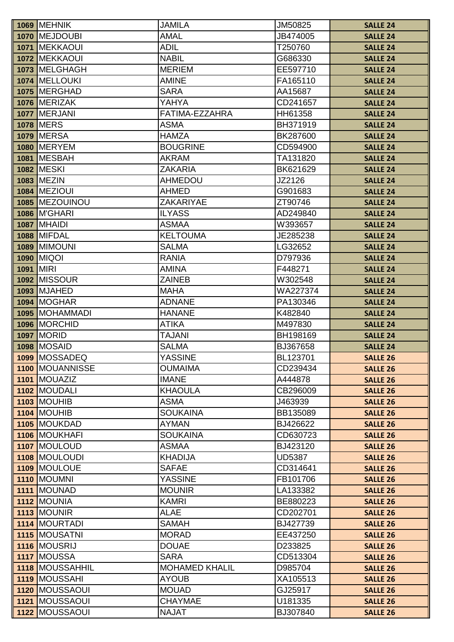| <b>AMAL</b><br>1070 MEJDOUBI<br>JB474005<br><b>SALLE 24</b><br><b>MEKKAOUI</b><br><b>ADIL</b><br>1071<br>T250760<br><b>SALLE 24</b><br><b>NABIL</b><br>1072 MEKKAOUI<br>G686330<br><b>SALLE 24</b><br>1073 MELGHAGH<br><b>MERIEM</b><br>EE597710<br><b>SALLE 24</b><br>1074 MELLOUKI<br><b>AMINE</b><br>FA165110<br><b>SALLE 24</b><br><b>SARA</b><br>1075 MERGHAD<br>AA15687<br><b>SALLE 24</b><br>1076 MERIZAK<br>YAHYA<br>CD241657<br><b>SALLE 24</b><br>1077 MERJANI<br>FATIMA-EZZAHRA<br>HH61358<br><b>SALLE 24</b><br><b>1078 MERS</b><br><b>ASMA</b><br>BH371919<br><b>SALLE 24</b><br><b>1079 MERSA</b><br><b>HAMZA</b><br>BK287600<br><b>SALLE 24</b><br><b>1080   MERYEM</b><br><b>BOUGRINE</b><br>CD594900<br><b>SALLE 24</b><br><b>MESBAH</b><br><b>AKRAM</b><br>TA131820<br>1081<br><b>SALLE 24</b><br><b>1082 MESKI</b><br><b>ZAKARIA</b><br>BK621629<br><b>SALLE 24</b><br><b>1083 MEZIN</b><br><b>AHMEDOU</b><br>JZ2126<br><b>SALLE 24</b> |  |
|------------------------------------------------------------------------------------------------------------------------------------------------------------------------------------------------------------------------------------------------------------------------------------------------------------------------------------------------------------------------------------------------------------------------------------------------------------------------------------------------------------------------------------------------------------------------------------------------------------------------------------------------------------------------------------------------------------------------------------------------------------------------------------------------------------------------------------------------------------------------------------------------------------------------------------------------------------|--|
|                                                                                                                                                                                                                                                                                                                                                                                                                                                                                                                                                                                                                                                                                                                                                                                                                                                                                                                                                            |  |
|                                                                                                                                                                                                                                                                                                                                                                                                                                                                                                                                                                                                                                                                                                                                                                                                                                                                                                                                                            |  |
|                                                                                                                                                                                                                                                                                                                                                                                                                                                                                                                                                                                                                                                                                                                                                                                                                                                                                                                                                            |  |
|                                                                                                                                                                                                                                                                                                                                                                                                                                                                                                                                                                                                                                                                                                                                                                                                                                                                                                                                                            |  |
|                                                                                                                                                                                                                                                                                                                                                                                                                                                                                                                                                                                                                                                                                                                                                                                                                                                                                                                                                            |  |
|                                                                                                                                                                                                                                                                                                                                                                                                                                                                                                                                                                                                                                                                                                                                                                                                                                                                                                                                                            |  |
|                                                                                                                                                                                                                                                                                                                                                                                                                                                                                                                                                                                                                                                                                                                                                                                                                                                                                                                                                            |  |
|                                                                                                                                                                                                                                                                                                                                                                                                                                                                                                                                                                                                                                                                                                                                                                                                                                                                                                                                                            |  |
|                                                                                                                                                                                                                                                                                                                                                                                                                                                                                                                                                                                                                                                                                                                                                                                                                                                                                                                                                            |  |
|                                                                                                                                                                                                                                                                                                                                                                                                                                                                                                                                                                                                                                                                                                                                                                                                                                                                                                                                                            |  |
|                                                                                                                                                                                                                                                                                                                                                                                                                                                                                                                                                                                                                                                                                                                                                                                                                                                                                                                                                            |  |
|                                                                                                                                                                                                                                                                                                                                                                                                                                                                                                                                                                                                                                                                                                                                                                                                                                                                                                                                                            |  |
|                                                                                                                                                                                                                                                                                                                                                                                                                                                                                                                                                                                                                                                                                                                                                                                                                                                                                                                                                            |  |
|                                                                                                                                                                                                                                                                                                                                                                                                                                                                                                                                                                                                                                                                                                                                                                                                                                                                                                                                                            |  |
| <b>1084 MEZIOUI</b><br><b>AHMED</b><br>G901683<br><b>SALLE 24</b>                                                                                                                                                                                                                                                                                                                                                                                                                                                                                                                                                                                                                                                                                                                                                                                                                                                                                          |  |
| 1085 MEZOUINOU<br><b>ZAKARIYAE</b><br>ZT90746<br><b>SALLE 24</b>                                                                                                                                                                                                                                                                                                                                                                                                                                                                                                                                                                                                                                                                                                                                                                                                                                                                                           |  |
| <b>1086 M'GHARI</b><br><b>ILYASS</b><br>AD249840<br><b>SALLE 24</b>                                                                                                                                                                                                                                                                                                                                                                                                                                                                                                                                                                                                                                                                                                                                                                                                                                                                                        |  |
| <b>1087 MHAIDI</b><br><b>ASMAA</b><br>W393657<br><b>SALLE 24</b>                                                                                                                                                                                                                                                                                                                                                                                                                                                                                                                                                                                                                                                                                                                                                                                                                                                                                           |  |
| <b>KELTOUMA</b><br><b>1088 MIFDAL</b><br>JE285238<br><b>SALLE 24</b>                                                                                                                                                                                                                                                                                                                                                                                                                                                                                                                                                                                                                                                                                                                                                                                                                                                                                       |  |
| <b>1089 MIMOUNI</b><br><b>SALMA</b><br>LG32652<br><b>SALLE 24</b>                                                                                                                                                                                                                                                                                                                                                                                                                                                                                                                                                                                                                                                                                                                                                                                                                                                                                          |  |
| <b>MIQOI</b><br><b>RANIA</b><br>1090<br>D797936<br><b>SALLE 24</b>                                                                                                                                                                                                                                                                                                                                                                                                                                                                                                                                                                                                                                                                                                                                                                                                                                                                                         |  |
| <b>MIRI</b><br><b>AMINA</b><br>F448271<br>1091<br><b>SALLE 24</b>                                                                                                                                                                                                                                                                                                                                                                                                                                                                                                                                                                                                                                                                                                                                                                                                                                                                                          |  |
| <b>1092 MISSOUR</b><br><b>ZAINEB</b><br>W302548<br><b>SALLE 24</b>                                                                                                                                                                                                                                                                                                                                                                                                                                                                                                                                                                                                                                                                                                                                                                                                                                                                                         |  |
| <b>MJAHED</b><br><b>MAHA</b><br>WA227374<br>1093<br><b>SALLE 24</b>                                                                                                                                                                                                                                                                                                                                                                                                                                                                                                                                                                                                                                                                                                                                                                                                                                                                                        |  |
| 1094 MOGHAR<br><b>ADNANE</b><br>PA130346<br><b>SALLE 24</b>                                                                                                                                                                                                                                                                                                                                                                                                                                                                                                                                                                                                                                                                                                                                                                                                                                                                                                |  |
| 1095 MOHAMMADI<br><b>HANANE</b><br>K482840<br><b>SALLE 24</b>                                                                                                                                                                                                                                                                                                                                                                                                                                                                                                                                                                                                                                                                                                                                                                                                                                                                                              |  |
| 1096 MORCHID<br><b>ATIKA</b><br>M497830<br><b>SALLE 24</b>                                                                                                                                                                                                                                                                                                                                                                                                                                                                                                                                                                                                                                                                                                                                                                                                                                                                                                 |  |
| <b>TAJANI</b><br><b>1097   MORID</b><br>BH198169<br><b>SALLE 24</b>                                                                                                                                                                                                                                                                                                                                                                                                                                                                                                                                                                                                                                                                                                                                                                                                                                                                                        |  |
| <b>1098 MOSAID</b><br><b>SALMA</b><br>BJ367658<br><b>SALLE 24</b>                                                                                                                                                                                                                                                                                                                                                                                                                                                                                                                                                                                                                                                                                                                                                                                                                                                                                          |  |
| 1099 MOSSADEQ<br><b>YASSINE</b><br>BL123701<br><b>SALLE 26</b>                                                                                                                                                                                                                                                                                                                                                                                                                                                                                                                                                                                                                                                                                                                                                                                                                                                                                             |  |
| <b>OUMAIMA</b><br><b>1100 MOUANNISSE</b><br>CD239434<br><b>SALLE 26</b>                                                                                                                                                                                                                                                                                                                                                                                                                                                                                                                                                                                                                                                                                                                                                                                                                                                                                    |  |
| <b>IMANE</b><br>1101 MOUAZIZ<br>A444878<br><b>SALLE 26</b>                                                                                                                                                                                                                                                                                                                                                                                                                                                                                                                                                                                                                                                                                                                                                                                                                                                                                                 |  |
| <b>KHAOULA</b><br>1102 MOUDALI<br>CB296009<br><b>SALLE 26</b>                                                                                                                                                                                                                                                                                                                                                                                                                                                                                                                                                                                                                                                                                                                                                                                                                                                                                              |  |
| <b>1103 MOUHIB</b><br><b>ASMA</b><br>J463939<br><b>SALLE 26</b>                                                                                                                                                                                                                                                                                                                                                                                                                                                                                                                                                                                                                                                                                                                                                                                                                                                                                            |  |
| <b>1104 MOUHIB</b><br><b>SOUKAINA</b><br>BB135089<br><b>SALLE 26</b>                                                                                                                                                                                                                                                                                                                                                                                                                                                                                                                                                                                                                                                                                                                                                                                                                                                                                       |  |
| 1105 MOUKDAD<br><b>AYMAN</b><br>BJ426622<br><b>SALLE 26</b>                                                                                                                                                                                                                                                                                                                                                                                                                                                                                                                                                                                                                                                                                                                                                                                                                                                                                                |  |
| <b>SOUKAINA</b><br>1106 MOUKHAFI<br>CD630723<br><b>SALLE 26</b>                                                                                                                                                                                                                                                                                                                                                                                                                                                                                                                                                                                                                                                                                                                                                                                                                                                                                            |  |
| 1107 MOULOUD<br><b>ASMAA</b><br>BJ423120<br><b>SALLE 26</b>                                                                                                                                                                                                                                                                                                                                                                                                                                                                                                                                                                                                                                                                                                                                                                                                                                                                                                |  |
| 1108 MOULOUDI<br><b>KHADIJA</b><br><b>UD5387</b><br><b>SALLE 26</b>                                                                                                                                                                                                                                                                                                                                                                                                                                                                                                                                                                                                                                                                                                                                                                                                                                                                                        |  |
| 1109 MOULOUE<br><b>SAFAE</b><br>CD314641<br><b>SALLE 26</b>                                                                                                                                                                                                                                                                                                                                                                                                                                                                                                                                                                                                                                                                                                                                                                                                                                                                                                |  |
| 1110 MOUMNI<br><b>YASSINE</b><br>FB101706<br><b>SALLE 26</b><br>1111 MOUNAD<br><b>MOUNIR</b><br>LA133382                                                                                                                                                                                                                                                                                                                                                                                                                                                                                                                                                                                                                                                                                                                                                                                                                                                   |  |
| <b>SALLE 26</b><br><b>KAMRI</b>                                                                                                                                                                                                                                                                                                                                                                                                                                                                                                                                                                                                                                                                                                                                                                                                                                                                                                                            |  |
| 1112 MOUNIA<br>BE880223<br><b>SALLE 26</b><br><b>ALAE</b><br>1113 MOUNIR<br>CD202701<br><b>SALLE 26</b>                                                                                                                                                                                                                                                                                                                                                                                                                                                                                                                                                                                                                                                                                                                                                                                                                                                    |  |
| 1114 MOURTADI<br><b>SAMAH</b><br>BJ427739<br><b>SALLE 26</b>                                                                                                                                                                                                                                                                                                                                                                                                                                                                                                                                                                                                                                                                                                                                                                                                                                                                                               |  |
| 1115 MOUSATNI<br><b>MORAD</b><br>EE437250<br><b>SALLE 26</b>                                                                                                                                                                                                                                                                                                                                                                                                                                                                                                                                                                                                                                                                                                                                                                                                                                                                                               |  |
| 1116 MOUSRIJ<br><b>DOUAE</b><br>D233825<br><b>SALLE 26</b>                                                                                                                                                                                                                                                                                                                                                                                                                                                                                                                                                                                                                                                                                                                                                                                                                                                                                                 |  |
| 1117 MOUSSA<br><b>SARA</b><br>CD513304<br><b>SALLE 26</b>                                                                                                                                                                                                                                                                                                                                                                                                                                                                                                                                                                                                                                                                                                                                                                                                                                                                                                  |  |
| 1118 MOUSSAHHIL<br><b>MOHAMED KHALIL</b><br>D985704<br><b>SALLE 26</b>                                                                                                                                                                                                                                                                                                                                                                                                                                                                                                                                                                                                                                                                                                                                                                                                                                                                                     |  |
| 1119 MOUSSAHI<br><b>AYOUB</b><br>XA105513<br><b>SALLE 26</b>                                                                                                                                                                                                                                                                                                                                                                                                                                                                                                                                                                                                                                                                                                                                                                                                                                                                                               |  |
| 1120 MOUSSAOUI<br><b>MOUAD</b><br>GJ25917<br><b>SALLE 26</b>                                                                                                                                                                                                                                                                                                                                                                                                                                                                                                                                                                                                                                                                                                                                                                                                                                                                                               |  |
| 1121 MOUSSAOUI<br><b>CHAYMAE</b><br>U181335<br><b>SALLE 26</b>                                                                                                                                                                                                                                                                                                                                                                                                                                                                                                                                                                                                                                                                                                                                                                                                                                                                                             |  |
| 1122 MOUSSAOUI<br><b>NAJAT</b><br>BJ307840<br><b>SALLE 26</b>                                                                                                                                                                                                                                                                                                                                                                                                                                                                                                                                                                                                                                                                                                                                                                                                                                                                                              |  |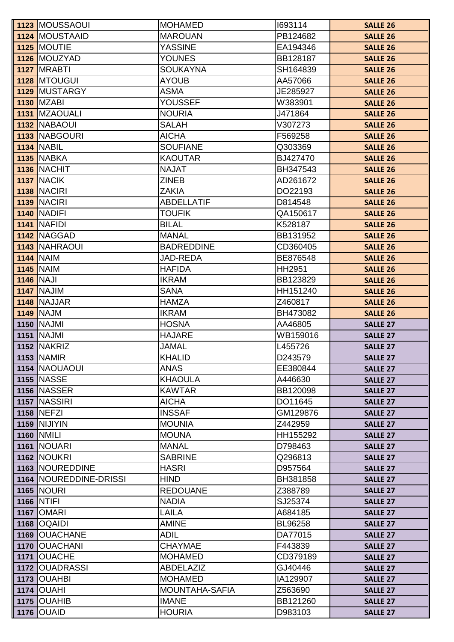|      | 1123 MOUSSAOUI           | <b>MOHAMED</b>    | 1693114  | <b>SALLE 26</b> |
|------|--------------------------|-------------------|----------|-----------------|
|      | 1124 MOUSTAAID           | <b>MAROUAN</b>    | PB124682 | <b>SALLE 26</b> |
|      | 1125 MOUTIE              | <b>YASSINE</b>    | EA194346 | <b>SALLE 26</b> |
|      | 1126 MOUZYAD             | <b>YOUNES</b>     | BB128187 | <b>SALLE 26</b> |
|      | <b>1127 MRABTI</b>       | <b>SOUKAYNA</b>   | SH164839 | <b>SALLE 26</b> |
|      | 1128 MTOUGUI             | <b>AYOUB</b>      | AA57066  | <b>SALLE 26</b> |
|      | 1129 MUSTARGY            | <b>ASMA</b>       | JE285927 | <b>SALLE 26</b> |
|      | <b>1130 MZABI</b>        | <b>YOUSSEF</b>    | W383901  | <b>SALLE 26</b> |
|      | 1131 MZAOUALI            | <b>NOURIA</b>     | J471864  | <b>SALLE 26</b> |
|      | 1132 NABAOUI             | <b>SALAH</b>      | V307273  | <b>SALLE 26</b> |
|      | 1133 NABGOURI            | <b>AICHA</b>      | F569258  | <b>SALLE 26</b> |
|      | <b>1134 NABIL</b>        | <b>SOUFIANE</b>   | Q303369  | <b>SALLE 26</b> |
|      | <b>1135 NABKA</b>        | <b>KAOUTAR</b>    | BJ427470 | <b>SALLE 26</b> |
|      | <b>1136 NACHIT</b>       | <b>NAJAT</b>      | BH347543 | <b>SALLE 26</b> |
|      | <b>1137 NACIK</b>        | <b>ZINEB</b>      | AD261672 | <b>SALLE 26</b> |
|      | <b>1138   NACIRI</b>     | <b>ZAKIA</b>      | DO22193  | <b>SALLE 26</b> |
|      | <b>1139 NACIRI</b>       | <b>ABDELLATIF</b> | D814548  | <b>SALLE 26</b> |
|      | <b>1140 NADIFI</b>       | <b>TOUFIK</b>     | QA150617 | <b>SALLE 26</b> |
|      | <b>1141 NAFIDI</b>       | <b>BILAL</b>      | K528187  | <b>SALLE 26</b> |
|      | 1142 NAGGAD              | <b>MANAL</b>      | BB131952 | <b>SALLE 26</b> |
|      | 1143 NAHRAOUI            | <b>BADREDDINE</b> | CD360405 | <b>SALLE 26</b> |
|      | <b>1144 NAIM</b>         | <b>JAD-REDA</b>   | BE876548 | <b>SALLE 26</b> |
|      | <b>1145 NAIM</b>         | <b>HAFIDA</b>     | HH2951   | <b>SALLE 26</b> |
|      | <b>1146 NAJI</b>         | <b>IKRAM</b>      | BB123829 | <b>SALLE 26</b> |
|      | 1147 NAJIM               | <b>SANA</b>       | HH151240 | <b>SALLE 26</b> |
|      | 1148 NAJJAR              | <b>HAMZA</b>      | Z460817  | <b>SALLE 26</b> |
|      | <b>1149 NAJM</b>         | <b>IKRAM</b>      | BH473082 | <b>SALLE 26</b> |
|      | <b>1150 NAJMI</b>        | <b>HOSNA</b>      | AA46805  | <b>SALLE 27</b> |
|      | <b>1151   NAJMI</b>      | <b>HAJARE</b>     | WB159016 | <b>SALLE 27</b> |
|      | <b>1152 NAKRIZ</b>       | <b>JAMAL</b>      | L455726  | <b>SALLE 27</b> |
|      | <b>1153 NAMIR</b>        | <b>KHALID</b>     | D243579  | <b>SALLE 27</b> |
|      | 1154 NAOUAOUI            | <b>ANAS</b>       | EE380844 | <b>SALLE 27</b> |
|      | <b>1155 NASSE</b>        | <b>KHAOULA</b>    | A446630  | <b>SALLE 27</b> |
|      | <b>1156 NASSER</b>       | <b>KAWTAR</b>     | BB120098 | <b>SALLE 27</b> |
|      | 1157 NASSIRI             | <b>AICHA</b>      | DO11645  | <b>SALLE 27</b> |
|      | <b>1158 NEFZI</b>        | <b>INSSAF</b>     | GM129876 | <b>SALLE 27</b> |
|      | <b>1159 NIJIYIN</b>      | <b>MOUNIA</b>     | Z442959  | <b>SALLE 27</b> |
|      | <b>1160 NMILI</b>        | <b>MOUNA</b>      | HH155292 | <b>SALLE 27</b> |
|      | 1161 NOUARI              | <b>MANAL</b>      | D798463  | <b>SALLE 27</b> |
|      | <b>1162 NOUKRI</b>       | <b>SABRINE</b>    | Q296813  | <b>SALLE 27</b> |
|      | 1163 NOUREDDINE          | <b>HASRI</b>      | D957564  | <b>SALLE 27</b> |
|      | 1164   NOUREDDINE-DRISSI | <b>HIND</b>       | BH381858 | <b>SALLE 27</b> |
|      | <b>1165 NOURI</b>        | <b>REDOUANE</b>   | Z388789  | <b>SALLE 27</b> |
|      | 1166 NTIFI               | <b>NADIA</b>      | SJ25374  | <b>SALLE 27</b> |
|      | <b>1167 OMARI</b>        | LAILA             | A684185  | <b>SALLE 27</b> |
|      | 1168   OQAIDI            | <b>AMINE</b>      | BL96258  | <b>SALLE 27</b> |
|      | 1169 OUACHANE            | <b>ADIL</b>       | DA77015  | <b>SALLE 27</b> |
| 1170 | <b>OUACHANI</b>          | <b>CHAYMAE</b>    | F443839  | <b>SALLE 27</b> |
| 1171 | <b>OUACHE</b>            | <b>MOHAMED</b>    | CD379189 | <b>SALLE 27</b> |
|      | 1172 OUADRASSI           | ABDELAZIZ         | GJ40446  | <b>SALLE 27</b> |
|      | 1173 OUAHBI              | <b>MOHAMED</b>    | IA129907 | <b>SALLE 27</b> |
|      | <b>1174 OUAHI</b>        | MOUNTAHA-SAFIA    | Z563690  | <b>SALLE 27</b> |
| 1175 | <b>OUAHIB</b>            | <b>IMANE</b>      | BB121260 | <b>SALLE 27</b> |
|      | <b>1176 OUAID</b>        | <b>HOURIA</b>     | D983103  | <b>SALLE 27</b> |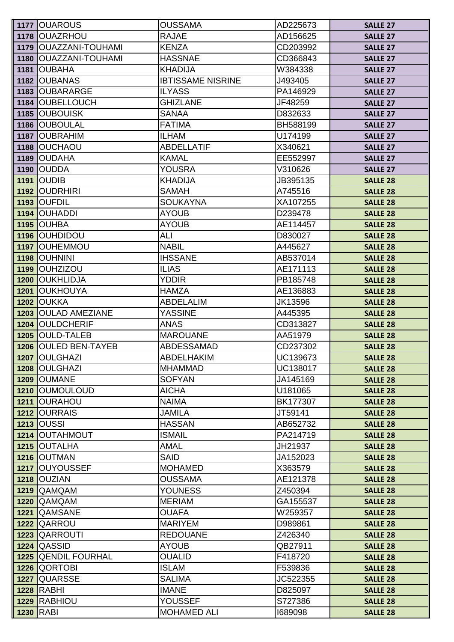|      | 1177 OUAROUS                  | <b>OUSSAMA</b>                | AD225673            | <b>SALLE 27</b>                    |
|------|-------------------------------|-------------------------------|---------------------|------------------------------------|
|      | 1178 OUAZRHOU                 | <b>RAJAE</b>                  | AD156625            | <b>SALLE 27</b>                    |
| 1179 | <b>OUAZZANI-TOUHAMI</b>       | <b>KENZA</b>                  | CD203992            | <b>SALLE 27</b>                    |
|      | 1180 OUAZZANI-TOUHAMI         | <b>HASSNAE</b>                | CD366843            | <b>SALLE 27</b>                    |
|      | 1181 OUBAHA                   | <b>KHADIJA</b>                | W384338             | <b>SALLE 27</b>                    |
|      | 1182 OUBANAS                  | <b>IBTISSAME NISRINE</b>      | J493405             | <b>SALLE 27</b>                    |
| 1183 | <b>OUBARARGE</b>              | <b>ILYASS</b>                 | PA146929            | <b>SALLE 27</b>                    |
| 1184 | <b>OUBELLOUCH</b>             | <b>GHIZLANE</b>               | JF48259             | <b>SALLE 27</b>                    |
|      | 1185 OUBOUISK                 | <b>SANAA</b>                  | D832633             | <b>SALLE 27</b>                    |
|      | 1186 OUBOULAL                 | <b>FATIMA</b>                 | BH588199            | <b>SALLE 27</b>                    |
|      | 1187   OUBRAHIM               | <b>ILHAM</b>                  | U174199             | <b>SALLE 27</b>                    |
|      | 1188 OUCHAOU                  | <b>ABDELLATIF</b>             | X340621             | <b>SALLE 27</b>                    |
| 1189 | <b>OUDAHA</b>                 | <b>KAMAL</b>                  | EE552997            | <b>SALLE 27</b>                    |
|      | <b>1190 OUDDA</b>             | <b>YOUSRA</b>                 | V310626             | <b>SALLE 27</b>                    |
| 1191 | <b>OUDIB</b>                  | <b>KHADIJA</b>                | JB395135            | <b>SALLE 28</b>                    |
|      | 1192 OUDRHIRI                 | <b>SAMAH</b>                  | A745516             | <b>SALLE 28</b>                    |
|      | <b>1193 OUFDIL</b>            | <b>SOUKAYNA</b>               | XA107255            | <b>SALLE 28</b>                    |
| 1194 | <b>OUHADDI</b>                | <b>AYOUB</b>                  | D239478             | <b>SALLE 28</b>                    |
|      | <b>1195 OUHBA</b>             | <b>AYOUB</b>                  | AE114457            | <b>SALLE 28</b>                    |
|      | 1196 OUHDIDOU                 | ALI                           | D830027             | <b>SALLE 28</b>                    |
|      | 1197 OUHEMMOU                 | <b>NABIL</b>                  | A445627             | <b>SALLE 28</b>                    |
| 1198 | <b>OUHNINI</b>                | <b>IHSSANE</b>                | AB537014            | <b>SALLE 28</b>                    |
| 1199 | <b>OUHZIZOU</b>               | <b>ILIAS</b>                  | AE171113            | <b>SALLE 28</b>                    |
| 1200 | <b>OUKHLIDJA</b>              | <b>YDDIR</b>                  | PB185748            | <b>SALLE 28</b>                    |
| 1201 | <b>OUKHOUYA</b>               | <b>HAMZA</b>                  | AE136883            | <b>SALLE 28</b>                    |
| 1202 | <b>OUKKA</b>                  | <b>ABDELALIM</b>              | JK13596             | <b>SALLE 28</b>                    |
| 1203 | <b>OULAD AMEZIANE</b>         | <b>YASSINE</b>                | A445395             | <b>SALLE 28</b>                    |
| 1204 | <b>OULDCHERIF</b>             | <b>ANAS</b>                   | CD313827            | <b>SALLE 28</b>                    |
| 1205 | <b>OULD-TALEB</b>             | <b>MAROUANE</b>               | AA51979             | <b>SALLE 28</b>                    |
|      | 1206 OULED BEN-TAYEB          | <b>ABDESSAMAD</b>             | CD237302            | <b>SALLE 28</b>                    |
|      | 1207 OULGHAZI                 | <b>ABDELHAKIM</b>             | UC139673            | <b>SALLE 28</b>                    |
|      | 1208 OULGHAZI                 | <b>MHAMMAD</b>                | UC138017            | <b>SALLE 28</b>                    |
|      | 1209 OUMANE                   | <b>SOFYAN</b>                 | JA145169            | <b>SALLE 28</b>                    |
|      | 1210 OUMOULOUD                | <b>AICHA</b>                  | U181065             | <b>SALLE 28</b>                    |
| 1211 | <b>OURAHOU</b>                | <b>NAIMA</b>                  | BK177307            | <b>SALLE 28</b>                    |
|      | 1212 OURRAIS                  | <b>JAMILA</b>                 | JT59141             | <b>SALLE 28</b>                    |
|      | <b>1213 OUSSI</b>             | <b>HASSAN</b>                 | AB652732            | <b>SALLE 28</b>                    |
|      | 1214 OUTAHMOUT                | <b>ISMAIL</b>                 | PA214719            | <b>SALLE 28</b>                    |
|      | 1215 OUTALHA                  | <b>AMAL</b>                   | JH21937             | <b>SALLE 28</b>                    |
|      | 1216 OUTMAN<br>1217 OUYOUSSEF | <b>SAID</b><br><b>MOHAMED</b> | JA152023<br>X363579 | <b>SALLE 28</b>                    |
|      | <b>1218 OUZIAN</b>            | <b>OUSSAMA</b>                | AE121378            | <b>SALLE 28</b>                    |
|      | 1219 QAMQAM                   | <b>YOUNESS</b>                | Z450394             | <b>SALLE 28</b><br><b>SALLE 28</b> |
| 1220 | QAMQAM                        | <b>MERIAM</b>                 | GA155537            | <b>SALLE 28</b>                    |
| 1221 | QAMSANE                       | <b>OUAFA</b>                  | W259357             | <b>SALLE 28</b>                    |
| 1222 | QARROU                        | <b>MARIYEM</b>                | D989861             | <b>SALLE 28</b>                    |
|      | 1223 QARROUTI                 | <b>REDOUANE</b>               | Z426340             | <b>SALLE 28</b>                    |
| 1224 | <b>QASSID</b>                 | <b>AYOUB</b>                  | QB27911             | <b>SALLE 28</b>                    |
| 1225 | <b>QENDIL FOURHAL</b>         | <b>OUALID</b>                 | F418720             | <b>SALLE 28</b>                    |
|      | 1226 QORTOBI                  | ISLAM                         | F539836             | <b>SALLE 28</b>                    |
| 1227 | <b>QUARSSE</b>                | <b>SALIMA</b>                 | JC522355            | <b>SALLE 28</b>                    |
|      | <b>1228 RABHI</b>             | <b>IMANE</b>                  | D825097             | <b>SALLE 28</b>                    |
|      | 1229 RABHIOU                  | <b>YOUSSEF</b>                | S727386             | <b>SALLE 28</b>                    |
|      | <b>1230 RABI</b>              | <b>MOHAMED ALI</b>            | 1689098             | <b>SALLE 28</b>                    |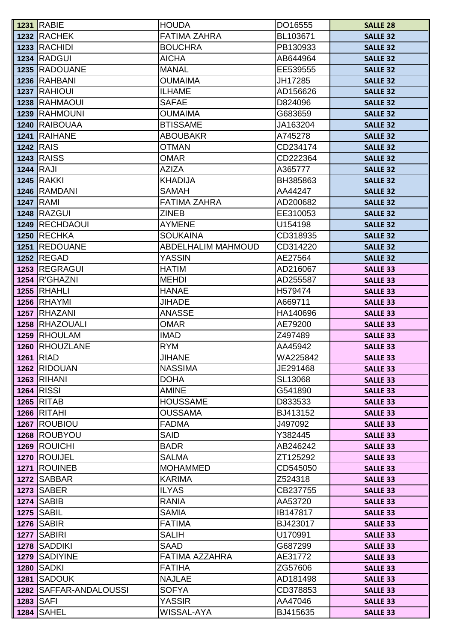|      | <b>1231 RABIE</b>      | <b>HOUDA</b>              | DO16555  | <b>SALLE 28</b> |
|------|------------------------|---------------------------|----------|-----------------|
|      | 1232 RACHEK            | <b>FATIMA ZAHRA</b>       | BL103671 | <b>SALLE 32</b> |
| 1233 | <b>RACHIDI</b>         | <b>BOUCHRA</b>            | PB130933 | <b>SALLE 32</b> |
|      | 1234 RADGUI            | <b>AICHA</b>              | AB644964 | <b>SALLE 32</b> |
|      | 1235 RADOUANE          | <b>MANAL</b>              | EE539555 | <b>SALLE 32</b> |
|      | 1236 RAHBANI           | <b>OUMAIMA</b>            | JH17285  | <b>SALLE 32</b> |
|      | 1237 RAHIOUI           | <b>ILHAME</b>             | AD156626 | <b>SALLE 32</b> |
|      | 1238 RAHMAOUI          | <b>SAFAE</b>              | D824096  | <b>SALLE 32</b> |
|      | 1239 RAHMOUNI          | <b>OUMAIMA</b>            | G683659  | <b>SALLE 32</b> |
|      | 1240 RAIBOUAA          | <b>BTISSAME</b>           | JA163204 | <b>SALLE 32</b> |
|      | 1241 RAIHANE           | <b>ABOUBAKR</b>           | A745278  | <b>SALLE 32</b> |
|      | <b>1242 RAIS</b>       | <b>OTMAN</b>              | CD234174 | <b>SALLE 32</b> |
|      | <b>1243 RAISS</b>      | <b>OMAR</b>               | CD222364 | <b>SALLE 32</b> |
|      | $1244$ RAJI            | <b>AZIZA</b>              | A365777  | <b>SALLE 32</b> |
|      | <b>1245 RAKKI</b>      | <b>KHADIJA</b>            | BH385863 | <b>SALLE 32</b> |
|      | 1246 RAMDANI           | <b>SAMAH</b>              | AA44247  | <b>SALLE 32</b> |
|      | <b>1247 RAMI</b>       | <b>FATIMA ZAHRA</b>       | AD200682 | <b>SALLE 32</b> |
|      | <b>1248 RAZGUI</b>     | <b>ZINEB</b>              | EE310053 | <b>SALLE 32</b> |
|      | 1249 RECHDAOUI         | <b>AYMENE</b>             | U154198  | <b>SALLE 32</b> |
|      | <b>1250 RECHKA</b>     | <b>SOUKAINA</b>           | CD318935 | <b>SALLE 32</b> |
|      | 1251 REDOUANE          | <b>ABDELHALIM MAHMOUD</b> | CD314220 | <b>SALLE 32</b> |
|      | <b>1252 REGAD</b>      | <b>YASSIN</b>             | AE27564  | <b>SALLE 32</b> |
|      | 1253 REGRAGUI          | <b>HATIM</b>              | AD216067 | <b>SALLE 33</b> |
|      | <b>1254 R'GHAZNI</b>   | <b>MEHDI</b>              | AD255587 | <b>SALLE 33</b> |
|      | 1255 RHAHLI            | <b>HANAE</b>              | H579474  | <b>SALLE 33</b> |
|      | <b>1256 RHAYMI</b>     | <b>JIHADE</b>             | A669711  | <b>SALLE 33</b> |
| 1257 | <b>RHAZANI</b>         | <b>ANASSE</b>             | HA140696 | <b>SALLE 33</b> |
|      | 1258 RHAZOUALI         | <b>OMAR</b>               | AE79200  | <b>SALLE 33</b> |
|      | 1259 RHOULAM           | <b>IMAD</b>               | Z497489  | <b>SALLE 33</b> |
| 1260 | RHOUZLANE              | <b>RYM</b>                | AA45942  | <b>SALLE 33</b> |
|      | 1261 RIAD              | <b>JIHANE</b>             | WA225842 | <b>SALLE 33</b> |
|      | 1262 RIDOUAN           | <b>NASSIMA</b>            | JE291468 | <b>SALLE 33</b> |
|      | <b>1263 RIHANI</b>     | <b>DOHA</b>               | SL13068  | <b>SALLE 33</b> |
|      | <b>1264 RISSI</b>      | <b>AMINE</b>              | G541890  | <b>SALLE 33</b> |
|      | 1265 RITAB             | <b>HOUSSAME</b>           | D833533  | <b>SALLE 33</b> |
|      | <b>1266 RITAHI</b>     | <b>OUSSAMA</b>            | BJ413152 | <b>SALLE 33</b> |
|      | 1267 ROUBIOU           | <b>FADMA</b>              | J497092  | <b>SALLE 33</b> |
|      | 1268 ROUBYOU           | <b>SAID</b>               | Y382445  | <b>SALLE 33</b> |
|      | 1269 ROUICHI           | <b>BADR</b>               | AB246242 | <b>SALLE 33</b> |
|      | 1270 ROUIJEL           | <b>SALMA</b>              | ZT125292 | <b>SALLE 33</b> |
|      | 1271 ROUINEB           | <b>MOHAMMED</b>           | CD545050 | <b>SALLE 33</b> |
|      | 1272 SABBAR            | <b>KARIMA</b>             | Z524318  | <b>SALLE 33</b> |
|      | <b>1273 SABER</b>      | <b>ILYAS</b>              | CB237755 | <b>SALLE 33</b> |
|      | <b>1274 SABIB</b>      | <b>RANIA</b>              | AA53720  | <b>SALLE 33</b> |
|      | <b>1275 SABIL</b>      | <b>SAMIA</b>              | IB147817 | <b>SALLE 33</b> |
|      | <b>1276 SABIR</b>      | <b>FATIMA</b>             | BJ423017 | <b>SALLE 33</b> |
|      | <b>1277 SABIRI</b>     | <b>SALIH</b>              | U170991  | <b>SALLE 33</b> |
|      | 1278 SADDIKI           | SAAD                      | G687299  | <b>SALLE 33</b> |
|      | 1279 SADIYINE          | FATIMA AZZAHRA            | AE31772  | <b>SALLE 33</b> |
|      | <b>1280 SADKI</b>      | <b>FATIHA</b>             | ZG57606  | <b>SALLE 33</b> |
|      | 1281 SADOUK            | <b>NAJLAE</b>             | AD181498 | <b>SALLE 33</b> |
|      | 1282 SAFFAR-ANDALOUSSI | <b>SOFYA</b>              | CD378853 | <b>SALLE 33</b> |
| 1283 | <b>SAFI</b>            | <b>YASSIR</b>             | AA47046  | <b>SALLE 33</b> |
|      | <b>1284 SAHEL</b>      | WISSAL-AYA                | BJ415635 | <b>SALLE 33</b> |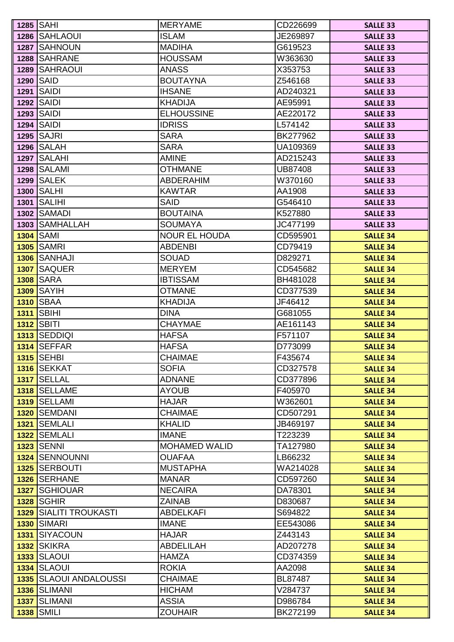|      | 1285   SAHI                       | <b>MERYAME</b>                       | CD226699            | <b>SALLE 33</b>                    |
|------|-----------------------------------|--------------------------------------|---------------------|------------------------------------|
|      | 1286 SAHLAOUI                     | <b>ISLAM</b>                         | JE269897            | <b>SALLE 33</b>                    |
|      | 1287 SAHNOUN                      | <b>MADIHA</b>                        | G619523             | <b>SALLE 33</b>                    |
|      | 1288 SAHRANE                      | <b>HOUSSAM</b>                       | W363630             | <b>SALLE 33</b>                    |
| 1289 | <b>SAHRAOUI</b>                   | <b>ANASS</b>                         | X353753             | <b>SALLE 33</b>                    |
| 1290 | <b>SAID</b>                       | <b>BOUTAYNA</b>                      | Z546168             | <b>SALLE 33</b>                    |
|      | <b>1291 SAIDI</b>                 | <b>IHSANE</b>                        | AD240321            | <b>SALLE 33</b>                    |
|      | <b>1292 SAIDI</b>                 | <b>KHADIJA</b>                       | AE95991             | <b>SALLE 33</b>                    |
|      | <b>1293 SAIDI</b>                 | <b>ELHOUSSINE</b>                    | AE220172            | <b>SALLE 33</b>                    |
|      | <b>1294 SAIDI</b>                 | <b>IDRISS</b>                        | L574142             | <b>SALLE 33</b>                    |
|      | <b>1295 SAJRI</b>                 | <b>SARA</b>                          | BK277962            | <b>SALLE 33</b>                    |
|      | <b>1296 SALAH</b>                 | <b>SARA</b>                          | UA109369            | <b>SALLE 33</b>                    |
|      | <b>1297 SALAHI</b>                | <b>AMINE</b>                         | AD215243            | <b>SALLE 33</b>                    |
|      | <b>1298 SALAMI</b>                | <b>OTHMANE</b>                       | UB87408             | <b>SALLE 33</b>                    |
|      | <b>1299 SALEK</b>                 | <b>ABDERAHIM</b>                     | W370160             | <b>SALLE 33</b>                    |
|      | <b>1300 SALHI</b>                 | <b>KAWTAR</b>                        | AA1908              | <b>SALLE 33</b>                    |
| 1301 | <b>SALIHI</b>                     | <b>SAID</b>                          | G546410             | <b>SALLE 33</b>                    |
|      | <b>1302 SAMADI</b>                | <b>BOUTAINA</b>                      | K527880             | <b>SALLE 33</b>                    |
|      | 1303 SAMHALLAH                    | <b>SOUMAYA</b>                       | JC477199            | <b>SALLE 33</b>                    |
|      | <b>1304 SAMI</b>                  | <b>NOUR EL HOUDA</b>                 | CD595901            | <b>SALLE 34</b>                    |
|      | <b>1305 SAMRI</b>                 | <b>ABDENBI</b>                       | CD79419             | <b>SALLE 34</b>                    |
|      | <b>1306 SANHAJI</b>               | <b>SOUAD</b>                         | D829271             | <b>SALLE 34</b>                    |
|      | 1307 SAQUER                       | <b>MERYEM</b>                        | CD545682            | <b>SALLE 34</b>                    |
| 1308 | <b>SARA</b>                       | <b>IBTISSAM</b>                      | BH481028            | <b>SALLE 34</b>                    |
| 1309 | SAYIH                             | <b>OTMANE</b>                        | CD377539            | <b>SALLE 34</b>                    |
| 1310 | <b>SBAA</b>                       | <b>KHADIJA</b>                       | JF46412             | <b>SALLE 34</b>                    |
|      | <b>1311 SBIHI</b>                 | <b>DINA</b>                          | G681055             | <b>SALLE 34</b>                    |
|      | <b>1312 SBITI</b>                 | <b>CHAYMAE</b>                       | AE161143            | <b>SALLE 34</b>                    |
|      | 1313 SEDDIQI                      | <b>HAFSA</b>                         | F571107             | <b>SALLE 34</b>                    |
|      | <b>1314 SEFFAR</b>                | <b>HAFSA</b>                         | D773099             | <b>SALLE 34</b>                    |
|      | 1315 SEHBI                        | <b>CHAIMAE</b>                       | F435674             | <b>SALLE 34</b>                    |
|      | 1316 SEKKAT                       | <b>SOFIA</b>                         | CD327578            | <b>SALLE 34</b>                    |
|      | <b>1317 SELLAL</b>                | <b>ADNANE</b>                        | CD377896            | <b>SALLE 34</b>                    |
|      | 1318 SELLAME                      | <b>AYOUB</b>                         | F405970             | <b>SALLE 34</b>                    |
|      | 1319 SELLAMI                      | <b>HAJAR</b>                         | W362601             | <b>SALLE 34</b>                    |
|      | <b>1320 SEMDANI</b>               | <b>CHAIMAE</b>                       | CD507291            | <b>SALLE 34</b>                    |
|      | <b>1321 SEMLALI</b>               | <b>KHALID</b>                        | JB469197            | <b>SALLE 34</b>                    |
|      | 1322 SEMLALI<br><b>1323 SENNI</b> | <b>IMANE</b><br><b>MOHAMED WALID</b> | T223239             | <b>SALLE 34</b>                    |
|      | <b>1324 SENNOUNNI</b>             | <b>OUAFAA</b>                        | TA127980<br>LB66232 | <b>SALLE 34</b><br><b>SALLE 34</b> |
|      | <b>1325 SERBOUTI</b>              | <b>MUSTAPHA</b>                      | WA214028            |                                    |
|      | <b>1326 SERHANE</b>               | <b>MANAR</b>                         | CD597260            | <b>SALLE 34</b><br><b>SALLE 34</b> |
|      | <b>1327 SGHIOUAR</b>              | <b>NECAIRA</b>                       | DA78301             | <b>SALLE 34</b>                    |
|      | <b>1328 SGHIR</b>                 | <b>ZAINAB</b>                        | D830687             | <b>SALLE 34</b>                    |
|      | 1329 SIALITI TROUKASTI            | <b>ABDELKAFI</b>                     | S694822             | <b>SALLE 34</b>                    |
|      | <b>1330 SIMARI</b>                | <b>IMANE</b>                         | EE543086            | <b>SALLE 34</b>                    |
|      | <b>1331 SIYACOUN</b>              | <b>HAJAR</b>                         | Z443143             | <b>SALLE 34</b>                    |
|      | 1332 SKIKRA                       | <b>ABDELILAH</b>                     | AD207278            | <b>SALLE 34</b>                    |
|      | <b>1333 SLAOUI</b>                | <b>HAMZA</b>                         | CD374359            | <b>SALLE 34</b>                    |
|      | <b>1334 SLAOUI</b>                | <b>ROKIA</b>                         | AA2098              | <b>SALLE 34</b>                    |
|      | <b>1335 SLAOUI ANDALOUSSI</b>     | <b>CHAIMAE</b>                       | BL87487             | <b>SALLE 34</b>                    |
|      | 1336 SLIMANI                      | <b>HICHAM</b>                        | V284737             | <b>SALLE 34</b>                    |
|      | <b>1337 SLIMANI</b>               | <b>ASSIA</b>                         | D986784             | <b>SALLE 34</b>                    |
|      | <b>1338 SMILI</b>                 | <b>ZOUHAIR</b>                       | BK272199            | <b>SALLE 34</b>                    |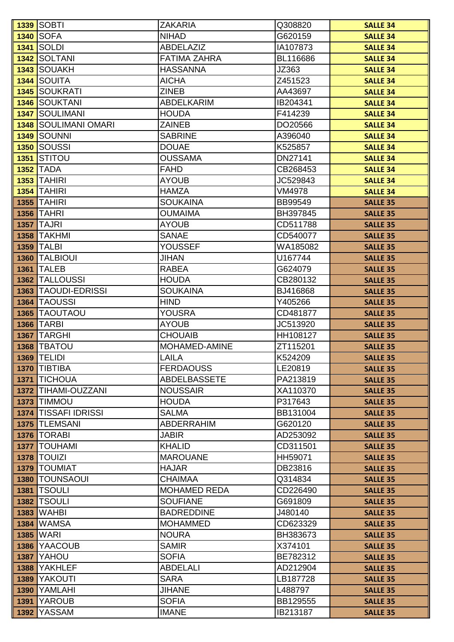|      | <b>1339 SOBTI</b>                    | <b>ZAKARIA</b>                   | Q308820             | <b>SALLE 34</b>                    |
|------|--------------------------------------|----------------------------------|---------------------|------------------------------------|
|      | <b>1340 SOFA</b>                     | <b>NIHAD</b>                     | G620159             | <b>SALLE 34</b>                    |
| 1341 | <b>SOLDI</b>                         | <b>ABDELAZIZ</b>                 | IA107873            | <b>SALLE 34</b>                    |
|      | 1342 SOLTANI                         | <b>FATIMA ZAHRA</b>              | BL116686            | <b>SALLE 34</b>                    |
|      | 1343 SOUAKH                          | <b>HASSANNA</b>                  | JZ363               | <b>SALLE 34</b>                    |
|      | <b>1344 SOUITA</b>                   | <b>AICHA</b>                     | Z451523             | <b>SALLE 34</b>                    |
| 1345 | <b>SOUKRATI</b>                      | <b>ZINEB</b>                     | AA43697             | <b>SALLE 34</b>                    |
| 1346 | <b>SOUKTANI</b>                      | <b>ABDELKARIM</b>                | IB204341            | <b>SALLE 34</b>                    |
| 1347 | <b>SOULIMANI</b>                     | <b>HOUDA</b>                     | F414239             | <b>SALLE 34</b>                    |
|      | <b>1348 SOULIMANI OMARI</b>          | <b>ZAINEB</b>                    | DO20566             | <b>SALLE 34</b>                    |
|      | <b>1349 SOUNNI</b>                   | <b>SABRINE</b>                   | A396040             | <b>SALLE 34</b>                    |
|      | 1350 SOUSSI                          | <b>DOUAE</b>                     | K525857             | <b>SALLE 34</b>                    |
| 1351 | <b>STITOU</b>                        | <b>OUSSAMA</b>                   | DN27141             | <b>SALLE 34</b>                    |
|      | <b>1352 TADA</b>                     | <b>FAHD</b>                      | CB268453            | <b>SALLE 34</b>                    |
|      | <b>1353 TAHIRI</b>                   | <b>AYOUB</b>                     | JC529843            | <b>SALLE 34</b>                    |
|      | <b>1354 TAHIRI</b>                   | <b>HAMZA</b>                     | <b>VM4978</b>       | <b>SALLE 34</b>                    |
|      | <b>1355 TAHIRI</b>                   | <b>SOUKAINA</b>                  | <b>BB99549</b>      | <b>SALLE 35</b>                    |
|      | <b>1356 TAHRI</b>                    | <b>OUMAIMA</b>                   | BH397845            | <b>SALLE 35</b>                    |
| 1357 | <b>TAJRI</b>                         | <b>AYOUB</b>                     | CD511788            | <b>SALLE 35</b>                    |
|      | <b>1358 TAKHMI</b>                   | <b>SANAE</b>                     | CD540077            | <b>SALLE 35</b>                    |
|      | <b>1359 TALBI</b>                    | <b>YOUSSEF</b>                   | WA185082            | <b>SALLE 35</b>                    |
| 1360 | <b>TALBIOUI</b>                      | <b>JIHAN</b>                     | U167744             | <b>SALLE 35</b>                    |
| 1361 | <b>TALEB</b>                         | <b>RABEA</b>                     | G624079             | <b>SALLE 35</b>                    |
|      | <b>1362 TALLOUSSI</b>                | <b>HOUDA</b>                     | CB280132            | <b>SALLE 35</b>                    |
| 1363 | <b>TAOUDI-EDRISSI</b>                | <b>SOUKAINA</b>                  | BJ416868            | <b>SALLE 35</b>                    |
| 1364 | <b>TAOUSSI</b>                       | <b>HIND</b>                      | Y405266             | <b>SALLE 35</b>                    |
| 1365 | <b>TAOUTAOU</b>                      | <b>YOUSRA</b>                    | CD481877            | <b>SALLE 35</b>                    |
|      | <b>1366 TARBI</b>                    | <b>AYOUB</b>                     | JC513920            | <b>SALLE 35</b>                    |
|      | <b>1367 TARGHI</b>                   | <b>CHOUAIB</b>                   | HH108127            | <b>SALLE 35</b>                    |
|      | <b>1368 TBATOU</b>                   | <b>MOHAMED-AMINE</b>             | ZT115201            | <b>SALLE 35</b>                    |
|      | <b>1369 TELIDI</b>                   | <b>LAILA</b>                     | K524209             | <b>SALLE 35</b>                    |
|      | 1370 TIBTIBA                         | <b>FERDAOUSS</b>                 | LE20819             | <b>SALLE 35</b>                    |
|      | 1371 TICHOUA                         | <b>ABDELBASSETE</b>              | PA213819            | <b>SALLE 35</b>                    |
| 1372 | TIHAMI-OUZZANI                       | <b>NOUSSAIR</b>                  | XA110370            | <b>SALLE 35</b>                    |
|      | <b>1373 TIMMOU</b>                   | <b>HOUDA</b>                     | P317643             | <b>SALLE 35</b>                    |
|      | <b>1374 TISSAFI IDRISSI</b>          | <b>SALMA</b>                     | BB131004            | <b>SALLE 35</b>                    |
|      | 1375 TLEMSANI                        | <b>ABDERRAHIM</b>                | G620120             | <b>SALLE 35</b>                    |
|      | <b>1376   TORABI</b>                 | <b>JABIR</b>                     | AD253092            | <b>SALLE 35</b>                    |
| 1377 | <b>TOUHAMI</b><br><b>1378 TOUIZI</b> | <b>KHALID</b><br><b>MAROUANE</b> | CD311501<br>HH59071 | <b>SALLE 35</b><br><b>SALLE 35</b> |
|      | 1379   TOUMIAT                       | <b>HAJAR</b>                     | DB23816             |                                    |
|      | <b>1380 TOUNSAOUI</b>                | <b>CHAIMAA</b>                   | Q314834             | <b>SALLE 35</b><br><b>SALLE 35</b> |
|      | <b>1381   TSOULI</b>                 | <b>MOHAMED REDA</b>              | CD226490            | <b>SALLE 35</b>                    |
| 1382 | <b>TSOULI</b>                        | <b>SOUFIANE</b>                  | G691809             | <b>SALLE 35</b>                    |
| 1383 | <b>WAHBI</b>                         | <b>BADREDDINE</b>                | J480140             | <b>SALLE 35</b>                    |
| 1384 | <b>WAMSA</b>                         | <b>MOHAMMED</b>                  | CD623329            | <b>SALLE 35</b>                    |
| 1385 | <b>WARI</b>                          | <b>NOURA</b>                     | BH383673            | <b>SALLE 35</b>                    |
| 1386 | <b>YAACOUB</b>                       | <b>SAMIR</b>                     | X374101             | <b>SALLE 35</b>                    |
| 1387 | YAHOU                                | <b>SOFIA</b>                     | BE782312            | <b>SALLE 35</b>                    |
| 1388 | <b>YAKHLEF</b>                       | <b>ABDELALI</b>                  | AD212904            | <b>SALLE 35</b>                    |
| 1389 | <b>YAKOUTI</b>                       | <b>SARA</b>                      | LB187728            | <b>SALLE 35</b>                    |
| 1390 | YAMLAHI                              | <b>JIHANE</b>                    | L488797             | <b>SALLE 35</b>                    |
| 1391 | <b>YAROUB</b>                        | <b>SOFIA</b>                     | BB129555            | <b>SALLE 35</b>                    |
| 1392 | <b>YASSAM</b>                        | <b>IMANE</b>                     | IB213187            | <b>SALLE 35</b>                    |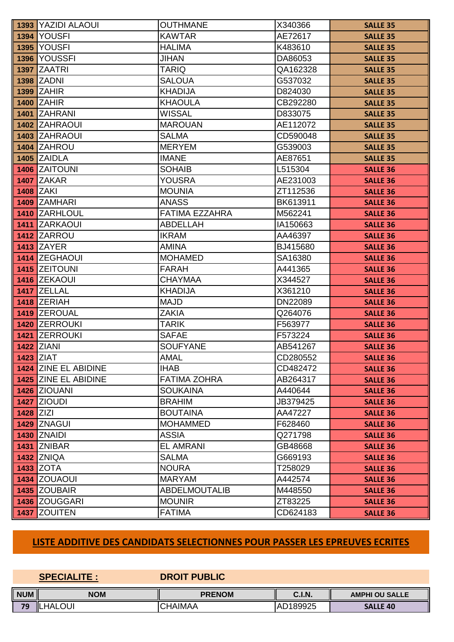|             | <b>1393 YAZIDI ALAOUI</b> | <b>OUTHMANE</b>       | X340366  | <b>SALLE 35</b> |
|-------------|---------------------------|-----------------------|----------|-----------------|
|             | <b>1394 YOUSFI</b>        | <b>KAWTAR</b>         | AE72617  | <b>SALLE 35</b> |
|             | <b>1395 YOUSFI</b>        | <b>HALIMA</b>         | K483610  | <b>SALLE 35</b> |
|             | 1396 YOUSSFI              | <b>JIHAN</b>          | DA86053  | <b>SALLE 35</b> |
|             | <b>1397 ZAATRI</b>        | <b>TARIQ</b>          | QA162328 | <b>SALLE 35</b> |
|             | <b>1398 ZADNI</b>         | <b>SALOUA</b>         | G537032  | <b>SALLE 35</b> |
|             | <b>1399 ZAHIR</b>         | <b>KHADIJA</b>        | D824030  | <b>SALLE 35</b> |
|             | <b>1400 ZAHIR</b>         | <b>KHAOULA</b>        | CB292280 | <b>SALLE 35</b> |
|             | 1401 ZAHRANI              | <b>WISSAL</b>         | D833075  | <b>SALLE 35</b> |
|             | <b>1402 ZAHRAOUI</b>      | <b>MAROUAN</b>        | AE112072 | <b>SALLE 35</b> |
|             | 1403 ZAHRAOUI             | <b>SALMA</b>          | CD590048 | <b>SALLE 35</b> |
|             | <b>1404 ZAHROU</b>        | <b>MERYEM</b>         | G539003  | <b>SALLE 35</b> |
|             | <b>1405 ZAIDLA</b>        | <b>IMANE</b>          | AE87651  | <b>SALLE 35</b> |
|             | 1406 ZAITOUNI             | <b>SOHAIB</b>         | L515304  | <b>SALLE 36</b> |
|             | <b>1407 ZAKAR</b>         | <b>YOUSRA</b>         | AE231003 | <b>SALLE 36</b> |
|             | <b>1408 ZAKI</b>          | <b>MOUNIA</b>         | ZT112536 | <b>SALLE 36</b> |
|             | 1409 ZAMHARI              | <b>ANASS</b>          | BK613911 | <b>SALLE 36</b> |
|             | 1410 ZARHLOUL             | <b>FATIMA EZZAHRA</b> | M562241  | <b>SALLE 36</b> |
|             | 1411 ZARKAOUI             | <b>ABDELLAH</b>       | IA150663 | <b>SALLE 36</b> |
|             | <b>1412 ZARROU</b>        | <b>IKRAM</b>          | AA46397  | <b>SALLE 36</b> |
|             | <b>1413 ZAYER</b>         | <b>AMINA</b>          | BJ415680 | <b>SALLE 36</b> |
|             | 1414 ZEGHAOUI             | <b>MOHAMED</b>        | SA16380  | <b>SALLE 36</b> |
|             | 1415 ZEITOUNI             | <b>FARAH</b>          | A441365  | <b>SALLE 36</b> |
|             | 1416 ZEKAOUI              | <b>CHAYMAA</b>        | X344527  | <b>SALLE 36</b> |
|             | 1417 ZELLAL               | <b>KHADIJA</b>        | X361210  | <b>SALLE 36</b> |
|             | <b>1418 ZERIAH</b>        | <b>MAJD</b>           | DN22089  | <b>SALLE 36</b> |
|             | 1419 ZEROUAL              | <b>ZAKIA</b>          | Q264076  | <b>SALLE 36</b> |
|             | 1420 ZERROUKI             | <b>TARIK</b>          | F563977  | <b>SALLE 36</b> |
|             | 1421 ZERROUKI             | <b>SAFAE</b>          | F573224  | <b>SALLE 36</b> |
|             | <b>1422 ZIANI</b>         | <b>SOUFYANE</b>       | AB541267 | <b>SALLE 36</b> |
|             | <b>1423 ZIAT</b>          | <b>AMAL</b>           | CD280552 | <b>SALLE 36</b> |
|             | 1424 ZINE EL ABIDINE      | <b>IHAB</b>           | CD482472 | <b>SALLE 36</b> |
|             | 1425 ZINE EL ABIDINE      | <b>FATIMA ZOHRA</b>   | AB264317 | <b>SALLE 36</b> |
|             | <b>1426 ZIOUANI</b>       | <b>SOUKAINA</b>       | A440644  | <b>SALLE 36</b> |
|             | <b>1427 ZIOUDI</b>        | <b>BRAHIM</b>         | JB379425 | <b>SALLE 36</b> |
| $1428$ ZIZI |                           | <b>BOUTAINA</b>       | AA47227  | <b>SALLE 36</b> |
|             | 1429 ZNAGUI               | <b>MOHAMMED</b>       | F628460  | <b>SALLE 36</b> |
|             | <b>1430 ZNAIDI</b>        | <b>ASSIA</b>          | Q271798  | <b>SALLE 36</b> |
|             | <b>1431 ZNIBAR</b>        | <b>EL AMRANI</b>      | GB48668  | <b>SALLE 36</b> |
|             | <b>1432 ZNIQA</b>         | <b>SALMA</b>          | G669193  | <b>SALLE 36</b> |
|             | <b>1433 ZOTA</b>          | <b>NOURA</b>          | T258029  | <b>SALLE 36</b> |
|             | <b>1434 ZOUAOUI</b>       | <b>MARYAM</b>         | A442574  | <b>SALLE 36</b> |
|             | 1435 ZOUBAIR              | <b>ABDELMOUTALIB</b>  | M448550  | <b>SALLE 36</b> |
|             | 1436 ZOUGGARI             | <b>MOUNIR</b>         | ZT83225  | <b>SALLE 36</b> |
| 1437        | <b>ZOUITEN</b>            | <b>FATIMA</b>         | CD624183 | <b>SALLE 36</b> |

# **LISTE ADDITIVE DES CANDIDATS SELECTIONNES POUR PASSER LES EPREUVES ECRITES**

|            | <b>SPECIALITE:</b> | <b>DROIT PUBLIC</b> |               |                       |
|------------|--------------------|---------------------|---------------|-----------------------|
| <b>NUM</b> | <b>NOM</b>         | <b>PRENOM</b>       | <b>C.I.N.</b> | <b>AMPHI OU SALLE</b> |
| 79         | <b>HALOUI</b>      | <b>CHAIMAA</b>      | AD189925      | <b>SALLE 40</b>       |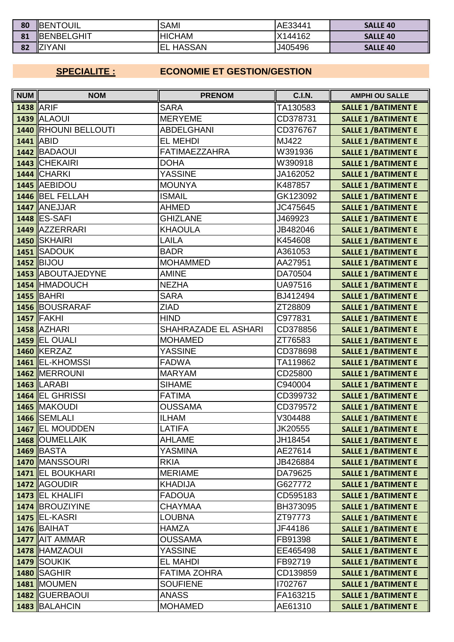| 80 | <b>IBENTOUIL</b>    | <b>SAMI</b>          | AE33441 | <b>SALLE 40</b> |
|----|---------------------|----------------------|---------|-----------------|
| 81 | <b>IBENBELGHIT</b>  | <b>HICHAM</b>        | X144162 | <b>SALLE 40</b> |
| 82 | <b>ZIYANI</b><br>۱Z | <b>HASSAN</b><br>'EL | J405496 | <b>SALLE 40</b> |

## **SPECIALITE :**

## **ECONOMIE ET GESTION/GESTION**

| <b>NUM</b> | <b>NOM</b>              | <b>PRENOM</b>        | <b>C.I.N.</b>  | <b>AMPHI OU SALLE</b>       |
|------------|-------------------------|----------------------|----------------|-----------------------------|
|            | 1438 ARIF               | <b>SARA</b>          | TA130583       | <b>SALLE 1 / BATIMENT E</b> |
|            | <b>1439 ALAOUI</b>      | <b>MERYEME</b>       | CD378731       | <b>SALLE 1 / BATIMENT E</b> |
|            | 1440 RHOUNI BELLOUTI    | <b>ABDELGHANI</b>    | CD376767       | <b>SALLE 1 / BATIMENT E</b> |
|            | <b>1441 ABID</b>        | <b>EL MEHDI</b>      | MJ422          | <b>SALLE 1 / BATIMENT E</b> |
|            | 1442 BADAOUI            | <b>FATIMAEZZAHRA</b> | W391936        | <b>SALLE 1 / BATIMENT E</b> |
|            | 1443 CHEKAIRI           | <b>DOHA</b>          | W390918        | <b>SALLE 1 / BATIMENT E</b> |
|            | <b>1444 CHARKI</b>      | <b>YASSINE</b>       | JA162052       | <b>SALLE 1 / BATIMENT E</b> |
|            | 1445 AEBIDOU            | <b>MOUNYA</b>        | K487857        | <b>SALLE 1 / BATIMENT E</b> |
|            | 1446 BEL FELLAH         | <b>ISMAIL</b>        | GK123092       | <b>SALLE 1 / BATIMENT E</b> |
|            | 1447 ANEJJAR            | <b>AHMED</b>         | JC475645       | <b>SALLE 1 / BATIMENT E</b> |
|            | <b>1448 ES-SAFI</b>     | <b>GHIZLANE</b>      | J469923        | <b>SALLE 1 / BATIMENT E</b> |
|            | 1449 AZZERRARI          | <b>KHAOULA</b>       | JB482046       | <b>SALLE 1 / BATIMENT E</b> |
|            | <b>1450 ISKHAIRI</b>    | LAILA                | K454608        | <b>SALLE 1 / BATIMENT E</b> |
|            | 1451 SADOUK             | <b>BADR</b>          | A361053        | <b>SALLE 1 / BATIMENT E</b> |
|            | <b>1452 BIJOU</b>       | <b>MOHAMMED</b>      | AA27951        | <b>SALLE 1 / BATIMENT E</b> |
|            | 1453 ABOUTAJEDYNE       | <b>AMINE</b>         | DA70504        | <b>SALLE 1 / BATIMENT E</b> |
|            | 1454 HMADOUCH           | <b>NEZHA</b>         | <b>UA97516</b> | <b>SALLE 1 / BATIMENT E</b> |
|            | <b>1455 BAHRI</b>       | <b>SARA</b>          | BJ412494       | <b>SALLE 1 / BATIMENT E</b> |
|            | <b>1456 BOUSRARAF</b>   | <b>ZIAD</b>          | ZT28809        | <b>SALLE 1 / BATIMENT E</b> |
|            | <b>1457 FAKHI</b>       | <b>HIND</b>          | C977831        | <b>SALLE 1 / BATIMENT E</b> |
|            | <b>1458 AZHARI</b>      | SHAHRAZADE EL ASHARI | CD378856       | <b>SALLE 1 / BATIMENT E</b> |
|            | <b>1459 EL OUALI</b>    | <b>MOHAMED</b>       | ZT76583        | <b>SALLE 1 / BATIMENT E</b> |
|            | 1460 KERZAZ             | <b>YASSINE</b>       | CD378698       | <b>SALLE 1 / BATIMENT E</b> |
|            | 1461 EL-KHOMSSI         | <b>FADWA</b>         | TA119862       | <b>SALLE 1 / BATIMENT E</b> |
|            | 1462 MERROUNI           | <b>MARYAM</b>        | CD25800        | <b>SALLE 1 / BATIMENT E</b> |
|            | <b>1463 LARABI</b>      | <b>SIHAME</b>        | C940004        | <b>SALLE 1 / BATIMENT E</b> |
|            | 1464 EL GHRISSI         | <b>FATIMA</b>        | CD399732       | <b>SALLE 1 / BATIMENT E</b> |
|            | 1465 MAKOUDI            | <b>OUSSAMA</b>       | CD379572       | <b>SALLE 1 / BATIMENT E</b> |
|            | 1466 SEMLALI            | <b>ILHAM</b>         | V304488        | <b>SALLE 1 / BATIMENT E</b> |
|            | 1467 EL MOUDDEN         | <b>LATIFA</b>        | JK20555        | <b>SALLE 1 / BATIMENT E</b> |
|            | 1468 OUMELLAIK          | <b>AHLAME</b>        | JH18454        | <b>SALLE 1 / BATIMENT E</b> |
|            | <b>1469 BASTA</b>       | YASMINA              | AE27614        | <b>SALLE 1 / BATIMENT E</b> |
|            | 1470 MANSSOURI          | <b>RKIA</b>          | JB426884       | <b>SALLE 1 / BATIMENT E</b> |
|            | 1471 EL BOUKHARI        | <b>MERIAME</b>       | DA79625        | <b>SALLE 1 / BATIMENT E</b> |
|            | 1472 AGOUDIR            | <b>KHADIJA</b>       | G627772        | <b>SALLE 1 / BATIMENT E</b> |
|            | 1473 <b>IEL KHALIFI</b> | <b>FADOUA</b>        | CD595183       | <b>SALLE 1 / BATIMENT E</b> |
|            | 1474 BROUZIYINE         | CHAYMAA              | BH373095       | <b>SALLE 1 / BATIMENT E</b> |
|            | <b>1475 EL-KASRI</b>    | LOUBNA               | ZT97773        | <b>SALLE 1 / BATIMENT E</b> |
|            | <b>1476 BAIHAT</b>      | <b>HAMZA</b>         | JF44186        | <b>SALLE 1 / BATIMENT E</b> |
|            | 1477 AIT AMMAR          | OUSSAMA              | FB91398        | <b>SALLE 1 / BATIMENT E</b> |
|            | 1478 HAMZAOUI           | <b>YASSINE</b>       | EE465498       | <b>SALLE 1 / BATIMENT E</b> |
|            | <b>1479 SOUKIK</b>      | <b>EL MAHDI</b>      | FB92719        | <b>SALLE 1 / BATIMENT E</b> |
|            | <b>1480 SAGHIR</b>      | <b>FATIMA ZOHRA</b>  | CD139859       | <b>SALLE 1 / BATIMENT E</b> |
|            | <b>1481 MOUMEN</b>      | <b>SOUFIENE</b>      | 1702767        | <b>SALLE 1 / BATIMENT E</b> |
|            | 1482 GUERBAOUI          | <b>ANASS</b>         | FA163215       | <b>SALLE 1 / BATIMENT E</b> |
|            | 1483 BALAHCIN           | <b>MOHAMED</b>       | AE61310        | <b>SALLE 1 / BATIMENT E</b> |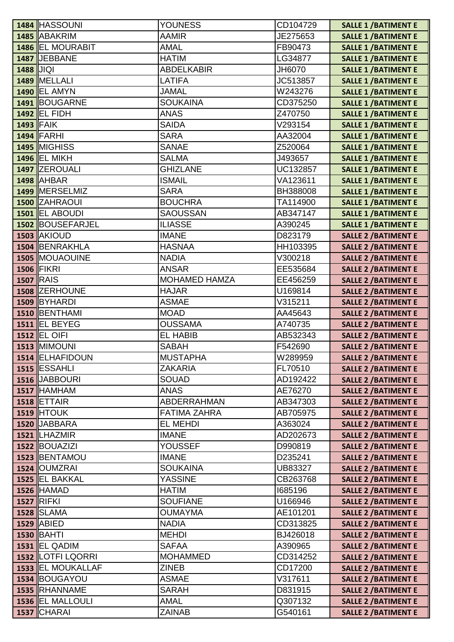| <b>AAMIR</b><br>1485 ABAKRIM<br>JE275653<br><b>SALLE 1 / BATIMENT E</b><br><b>1486 EL MOURABIT</b><br><b>AMAL</b><br>FB90473<br><b>SALLE 1 / BATIMENT E</b><br>1487 JEBBANE<br><b>HATIM</b><br>LG34877<br><b>SALLE 1 / BATIMENT E</b><br><b>ABDELKABIR</b><br>1488 JIQI<br>JH6070<br><b>SALLE 1 / BATIMENT E</b><br>1489 MELLALI<br><b>LATIFA</b><br>JC513857<br><b>SALLE 1 / BATIMENT E</b><br><b>JAMAL</b><br><b>1490 EL AMYN</b><br>W243276<br><b>SALLE 1 / BATIMENT E</b><br>1491 BOUGARNE<br><b>SOUKAINA</b><br>CD375250<br><b>SALLE 1 / BATIMENT E</b><br><b>1492 EL FIDH</b><br><b>ANAS</b><br>Z470750<br><b>SALLE 1 / BATIMENT E</b><br>$1493$ FAIK<br><b>SAIDA</b><br>V293154<br><b>SALLE 1 / BATIMENT E</b><br><b>1494 FARHI</b><br><b>SARA</b><br>AA32004<br><b>SALLE 1/BATIMENT E</b><br><b>1495 MIGHISS</b><br><b>SANAE</b><br>Z520064<br><b>SALLE 1 / BATIMENT E</b><br><b>1496 EL MIKH</b><br><b>SALMA</b><br>J493657<br><b>SALLE 1 / BATIMENT E</b><br>1497 ZEROUALI<br><b>GHIZLANE</b><br>UC132857<br><b>SALLE 1 / BATIMENT E</b><br><b>1498 AHBAR</b><br><b>ISMAIL</b><br>VA123611<br><b>SALLE 1/BATIMENT E</b><br>1499 MERSELMIZ<br><b>SARA</b><br>BH388008<br><b>SALLE 1 / BATIMENT E</b><br><b>BOUCHRA</b><br>1500 ZAHRAOUI<br>TA114900<br><b>SALLE 1 / BATIMENT E</b><br><b>1501 EL ABOUDI</b><br><b>SAOUSSAN</b><br>AB347147<br><b>SALLE 1 / BATIMENT E</b><br><b>ILIASSE</b><br>1502 BOUSEFARJEL<br>A390245<br><b>SALLE 1 / BATIMENT E</b><br><b>1503 AKIOUD</b><br><b>IMANE</b><br>D823179<br><b>SALLE 2 / BATIMENT E</b><br>1504 BENRAKHLA<br><b>HASNAA</b><br>HH103395<br><b>SALLE 2 / BATIMENT E</b><br><b>1505 MOUAOUINE</b><br><b>NADIA</b><br>V300218<br><b>SALLE 2 / BATIMENT E</b><br><b>1506 FIKRI</b><br><b>ANSAR</b><br>EE535684<br><b>SALLE 2 / BATIMENT E</b><br><b>MOHAMED HAMZA</b><br><b>1507 RAIS</b><br>EE456259<br><b>SALLE 2 / BATIMENT E</b><br>1508 ZERHOUNE<br><b>HAJAR</b><br>U169814<br><b>SALLE 2 / BATIMENT E</b><br><b>ASMAE</b><br>1509 BYHARDI<br>V315211<br><b>SALLE 2 / BATIMENT E</b><br>1510 BENTHAMI<br><b>MOAD</b><br>AA45643<br><b>SALLE 2 / BATIMENT E</b><br>1511 <b>IEL BEYEG</b><br><b>OUSSAMA</b><br>A740735<br><b>SALLE 2 / BATIMENT E</b><br><b>1512 EL OIFI</b><br><b>EL HABIB</b><br>AB532343<br><b>SALLE 2 / BATIMENT E</b><br><b>1513 MIMOUNI</b><br>F542690<br><b>SABAH</b><br><b>SALLE 2 / BATIMENT E</b><br>1514 ELHAFIDOUN<br><b>MUSTAPHA</b><br>W289959<br><b>SALLE 2 / BATIMENT E</b><br>1515 ESSAHLI<br><b>ZAKARIA</b><br>FL70510<br><b>SALLE 2 / BATIMENT E</b><br>1516 JABBOURI<br><b>SOUAD</b><br>AD192422<br><b>SALLE 2 / BATIMENT E</b><br><b>ANAS</b><br>1517 HAMHAM<br>AE76270<br><b>SALLE 2 / BATIMENT E</b><br><b>ABDERRAHMAN</b><br><b>1518 ETTAIR</b><br>AB347303<br><b>SALLE 2 / BATIMENT E</b><br>$1519$ HTOUK<br><b>FATIMA ZAHRA</b><br>AB705975<br><b>SALLE 2 / BATIMENT E</b><br>1520 JABBARA<br><b>EL MEHDI</b><br>A363024<br><b>SALLE 2 / BATIMENT E</b><br>1521 LHAZMIR<br><b>IMANE</b><br>AD202673<br><b>SALLE 2 / BATIMENT E</b><br><b>YOUSSEF</b><br>1522 BOUAZIZI<br>D990819<br><b>SALLE 2 / BATIMENT E</b><br>1523 BENTAMOU<br><b>IMANE</b><br>D235241<br><b>SALLE 2 / BATIMENT E</b><br>1524 OUMZRAI<br><b>SOUKAINA</b><br>UB83327<br><b>SALLE 2 / BATIMENT E</b><br><b>YASSINE</b><br>1525 EL BAKKAL<br>CB263768<br><b>SALLE 2 / BATIMENT E</b><br><b>1526 HAMAD</b><br><b>HATIM</b><br>1685196<br><b>SALLE 2 / BATIMENT E</b><br><b>1527 RIFKI</b><br><b>SOUFIANE</b><br>U166946<br><b>SALLE 2 / BATIMENT E</b><br><b>OUMAYMA</b><br><b>1528 SLAMA</b><br>AE101201<br><b>SALLE 2 / BATIMENT E</b><br>1529 ABIED<br><b>NADIA</b><br>CD313825<br><b>SALLE 2 / BATIMENT E</b><br>1530 BAHTI<br><b>MEHDI</b><br>BJ426018<br><b>SALLE 2 / BATIMENT E</b><br><b>1531 EL QADIM</b><br><b>SAFAA</b><br>A390965<br><b>SALLE 2 / BATIMENT E</b><br>1532 LOTFI LQORRI<br><b>MOHAMMED</b><br>CD314252<br><b>SALLE 2 / BATIMENT E</b><br>1533 EL MOUKALLAF<br><b>ZINEB</b><br>CD17200<br><b>SALLE 2 / BATIMENT E</b><br>1534 BOUGAYOU<br>V317611<br><b>ASMAE</b><br><b>SALLE 2 / BATIMENT E</b><br>1535 RHANNAME<br><b>SARAH</b><br>D831915<br><b>SALLE 2 / BATIMENT E</b><br>1536 EL MALLOULI<br><b>AMAL</b><br>Q307132<br><b>SALLE 2 / BATIMENT E</b> | 1484 HASSOUNI      | <b>YOUNESS</b> | CD104729 | <b>SALLE 1 / BATIMENT E</b> |
|-------------------------------------------------------------------------------------------------------------------------------------------------------------------------------------------------------------------------------------------------------------------------------------------------------------------------------------------------------------------------------------------------------------------------------------------------------------------------------------------------------------------------------------------------------------------------------------------------------------------------------------------------------------------------------------------------------------------------------------------------------------------------------------------------------------------------------------------------------------------------------------------------------------------------------------------------------------------------------------------------------------------------------------------------------------------------------------------------------------------------------------------------------------------------------------------------------------------------------------------------------------------------------------------------------------------------------------------------------------------------------------------------------------------------------------------------------------------------------------------------------------------------------------------------------------------------------------------------------------------------------------------------------------------------------------------------------------------------------------------------------------------------------------------------------------------------------------------------------------------------------------------------------------------------------------------------------------------------------------------------------------------------------------------------------------------------------------------------------------------------------------------------------------------------------------------------------------------------------------------------------------------------------------------------------------------------------------------------------------------------------------------------------------------------------------------------------------------------------------------------------------------------------------------------------------------------------------------------------------------------------------------------------------------------------------------------------------------------------------------------------------------------------------------------------------------------------------------------------------------------------------------------------------------------------------------------------------------------------------------------------------------------------------------------------------------------------------------------------------------------------------------------------------------------------------------------------------------------------------------------------------------------------------------------------------------------------------------------------------------------------------------------------------------------------------------------------------------------------------------------------------------------------------------------------------------------------------------------------------------------------------------------------------------------------------------------------------------------------------------------------------------------------------------------------------------------------------------------------------------------------------------------------------------------------------------------------------------------------------------------------------------------------------------------------------------------------------------------------------------------------------------------------------------------------------------------------------------------------------------------------|--------------------|----------------|----------|-----------------------------|
|                                                                                                                                                                                                                                                                                                                                                                                                                                                                                                                                                                                                                                                                                                                                                                                                                                                                                                                                                                                                                                                                                                                                                                                                                                                                                                                                                                                                                                                                                                                                                                                                                                                                                                                                                                                                                                                                                                                                                                                                                                                                                                                                                                                                                                                                                                                                                                                                                                                                                                                                                                                                                                                                                                                                                                                                                                                                                                                                                                                                                                                                                                                                                                                                                                                                                                                                                                                                                                                                                                                                                                                                                                                                                                                                                                                                                                                                                                                                                                                                                                                                                                                                                                                                                                                       |                    |                |          |                             |
|                                                                                                                                                                                                                                                                                                                                                                                                                                                                                                                                                                                                                                                                                                                                                                                                                                                                                                                                                                                                                                                                                                                                                                                                                                                                                                                                                                                                                                                                                                                                                                                                                                                                                                                                                                                                                                                                                                                                                                                                                                                                                                                                                                                                                                                                                                                                                                                                                                                                                                                                                                                                                                                                                                                                                                                                                                                                                                                                                                                                                                                                                                                                                                                                                                                                                                                                                                                                                                                                                                                                                                                                                                                                                                                                                                                                                                                                                                                                                                                                                                                                                                                                                                                                                                                       |                    |                |          |                             |
|                                                                                                                                                                                                                                                                                                                                                                                                                                                                                                                                                                                                                                                                                                                                                                                                                                                                                                                                                                                                                                                                                                                                                                                                                                                                                                                                                                                                                                                                                                                                                                                                                                                                                                                                                                                                                                                                                                                                                                                                                                                                                                                                                                                                                                                                                                                                                                                                                                                                                                                                                                                                                                                                                                                                                                                                                                                                                                                                                                                                                                                                                                                                                                                                                                                                                                                                                                                                                                                                                                                                                                                                                                                                                                                                                                                                                                                                                                                                                                                                                                                                                                                                                                                                                                                       |                    |                |          |                             |
|                                                                                                                                                                                                                                                                                                                                                                                                                                                                                                                                                                                                                                                                                                                                                                                                                                                                                                                                                                                                                                                                                                                                                                                                                                                                                                                                                                                                                                                                                                                                                                                                                                                                                                                                                                                                                                                                                                                                                                                                                                                                                                                                                                                                                                                                                                                                                                                                                                                                                                                                                                                                                                                                                                                                                                                                                                                                                                                                                                                                                                                                                                                                                                                                                                                                                                                                                                                                                                                                                                                                                                                                                                                                                                                                                                                                                                                                                                                                                                                                                                                                                                                                                                                                                                                       |                    |                |          |                             |
|                                                                                                                                                                                                                                                                                                                                                                                                                                                                                                                                                                                                                                                                                                                                                                                                                                                                                                                                                                                                                                                                                                                                                                                                                                                                                                                                                                                                                                                                                                                                                                                                                                                                                                                                                                                                                                                                                                                                                                                                                                                                                                                                                                                                                                                                                                                                                                                                                                                                                                                                                                                                                                                                                                                                                                                                                                                                                                                                                                                                                                                                                                                                                                                                                                                                                                                                                                                                                                                                                                                                                                                                                                                                                                                                                                                                                                                                                                                                                                                                                                                                                                                                                                                                                                                       |                    |                |          |                             |
|                                                                                                                                                                                                                                                                                                                                                                                                                                                                                                                                                                                                                                                                                                                                                                                                                                                                                                                                                                                                                                                                                                                                                                                                                                                                                                                                                                                                                                                                                                                                                                                                                                                                                                                                                                                                                                                                                                                                                                                                                                                                                                                                                                                                                                                                                                                                                                                                                                                                                                                                                                                                                                                                                                                                                                                                                                                                                                                                                                                                                                                                                                                                                                                                                                                                                                                                                                                                                                                                                                                                                                                                                                                                                                                                                                                                                                                                                                                                                                                                                                                                                                                                                                                                                                                       |                    |                |          |                             |
|                                                                                                                                                                                                                                                                                                                                                                                                                                                                                                                                                                                                                                                                                                                                                                                                                                                                                                                                                                                                                                                                                                                                                                                                                                                                                                                                                                                                                                                                                                                                                                                                                                                                                                                                                                                                                                                                                                                                                                                                                                                                                                                                                                                                                                                                                                                                                                                                                                                                                                                                                                                                                                                                                                                                                                                                                                                                                                                                                                                                                                                                                                                                                                                                                                                                                                                                                                                                                                                                                                                                                                                                                                                                                                                                                                                                                                                                                                                                                                                                                                                                                                                                                                                                                                                       |                    |                |          |                             |
|                                                                                                                                                                                                                                                                                                                                                                                                                                                                                                                                                                                                                                                                                                                                                                                                                                                                                                                                                                                                                                                                                                                                                                                                                                                                                                                                                                                                                                                                                                                                                                                                                                                                                                                                                                                                                                                                                                                                                                                                                                                                                                                                                                                                                                                                                                                                                                                                                                                                                                                                                                                                                                                                                                                                                                                                                                                                                                                                                                                                                                                                                                                                                                                                                                                                                                                                                                                                                                                                                                                                                                                                                                                                                                                                                                                                                                                                                                                                                                                                                                                                                                                                                                                                                                                       |                    |                |          |                             |
|                                                                                                                                                                                                                                                                                                                                                                                                                                                                                                                                                                                                                                                                                                                                                                                                                                                                                                                                                                                                                                                                                                                                                                                                                                                                                                                                                                                                                                                                                                                                                                                                                                                                                                                                                                                                                                                                                                                                                                                                                                                                                                                                                                                                                                                                                                                                                                                                                                                                                                                                                                                                                                                                                                                                                                                                                                                                                                                                                                                                                                                                                                                                                                                                                                                                                                                                                                                                                                                                                                                                                                                                                                                                                                                                                                                                                                                                                                                                                                                                                                                                                                                                                                                                                                                       |                    |                |          |                             |
|                                                                                                                                                                                                                                                                                                                                                                                                                                                                                                                                                                                                                                                                                                                                                                                                                                                                                                                                                                                                                                                                                                                                                                                                                                                                                                                                                                                                                                                                                                                                                                                                                                                                                                                                                                                                                                                                                                                                                                                                                                                                                                                                                                                                                                                                                                                                                                                                                                                                                                                                                                                                                                                                                                                                                                                                                                                                                                                                                                                                                                                                                                                                                                                                                                                                                                                                                                                                                                                                                                                                                                                                                                                                                                                                                                                                                                                                                                                                                                                                                                                                                                                                                                                                                                                       |                    |                |          |                             |
|                                                                                                                                                                                                                                                                                                                                                                                                                                                                                                                                                                                                                                                                                                                                                                                                                                                                                                                                                                                                                                                                                                                                                                                                                                                                                                                                                                                                                                                                                                                                                                                                                                                                                                                                                                                                                                                                                                                                                                                                                                                                                                                                                                                                                                                                                                                                                                                                                                                                                                                                                                                                                                                                                                                                                                                                                                                                                                                                                                                                                                                                                                                                                                                                                                                                                                                                                                                                                                                                                                                                                                                                                                                                                                                                                                                                                                                                                                                                                                                                                                                                                                                                                                                                                                                       |                    |                |          |                             |
|                                                                                                                                                                                                                                                                                                                                                                                                                                                                                                                                                                                                                                                                                                                                                                                                                                                                                                                                                                                                                                                                                                                                                                                                                                                                                                                                                                                                                                                                                                                                                                                                                                                                                                                                                                                                                                                                                                                                                                                                                                                                                                                                                                                                                                                                                                                                                                                                                                                                                                                                                                                                                                                                                                                                                                                                                                                                                                                                                                                                                                                                                                                                                                                                                                                                                                                                                                                                                                                                                                                                                                                                                                                                                                                                                                                                                                                                                                                                                                                                                                                                                                                                                                                                                                                       |                    |                |          |                             |
|                                                                                                                                                                                                                                                                                                                                                                                                                                                                                                                                                                                                                                                                                                                                                                                                                                                                                                                                                                                                                                                                                                                                                                                                                                                                                                                                                                                                                                                                                                                                                                                                                                                                                                                                                                                                                                                                                                                                                                                                                                                                                                                                                                                                                                                                                                                                                                                                                                                                                                                                                                                                                                                                                                                                                                                                                                                                                                                                                                                                                                                                                                                                                                                                                                                                                                                                                                                                                                                                                                                                                                                                                                                                                                                                                                                                                                                                                                                                                                                                                                                                                                                                                                                                                                                       |                    |                |          |                             |
|                                                                                                                                                                                                                                                                                                                                                                                                                                                                                                                                                                                                                                                                                                                                                                                                                                                                                                                                                                                                                                                                                                                                                                                                                                                                                                                                                                                                                                                                                                                                                                                                                                                                                                                                                                                                                                                                                                                                                                                                                                                                                                                                                                                                                                                                                                                                                                                                                                                                                                                                                                                                                                                                                                                                                                                                                                                                                                                                                                                                                                                                                                                                                                                                                                                                                                                                                                                                                                                                                                                                                                                                                                                                                                                                                                                                                                                                                                                                                                                                                                                                                                                                                                                                                                                       |                    |                |          |                             |
|                                                                                                                                                                                                                                                                                                                                                                                                                                                                                                                                                                                                                                                                                                                                                                                                                                                                                                                                                                                                                                                                                                                                                                                                                                                                                                                                                                                                                                                                                                                                                                                                                                                                                                                                                                                                                                                                                                                                                                                                                                                                                                                                                                                                                                                                                                                                                                                                                                                                                                                                                                                                                                                                                                                                                                                                                                                                                                                                                                                                                                                                                                                                                                                                                                                                                                                                                                                                                                                                                                                                                                                                                                                                                                                                                                                                                                                                                                                                                                                                                                                                                                                                                                                                                                                       |                    |                |          |                             |
|                                                                                                                                                                                                                                                                                                                                                                                                                                                                                                                                                                                                                                                                                                                                                                                                                                                                                                                                                                                                                                                                                                                                                                                                                                                                                                                                                                                                                                                                                                                                                                                                                                                                                                                                                                                                                                                                                                                                                                                                                                                                                                                                                                                                                                                                                                                                                                                                                                                                                                                                                                                                                                                                                                                                                                                                                                                                                                                                                                                                                                                                                                                                                                                                                                                                                                                                                                                                                                                                                                                                                                                                                                                                                                                                                                                                                                                                                                                                                                                                                                                                                                                                                                                                                                                       |                    |                |          |                             |
|                                                                                                                                                                                                                                                                                                                                                                                                                                                                                                                                                                                                                                                                                                                                                                                                                                                                                                                                                                                                                                                                                                                                                                                                                                                                                                                                                                                                                                                                                                                                                                                                                                                                                                                                                                                                                                                                                                                                                                                                                                                                                                                                                                                                                                                                                                                                                                                                                                                                                                                                                                                                                                                                                                                                                                                                                                                                                                                                                                                                                                                                                                                                                                                                                                                                                                                                                                                                                                                                                                                                                                                                                                                                                                                                                                                                                                                                                                                                                                                                                                                                                                                                                                                                                                                       |                    |                |          |                             |
|                                                                                                                                                                                                                                                                                                                                                                                                                                                                                                                                                                                                                                                                                                                                                                                                                                                                                                                                                                                                                                                                                                                                                                                                                                                                                                                                                                                                                                                                                                                                                                                                                                                                                                                                                                                                                                                                                                                                                                                                                                                                                                                                                                                                                                                                                                                                                                                                                                                                                                                                                                                                                                                                                                                                                                                                                                                                                                                                                                                                                                                                                                                                                                                                                                                                                                                                                                                                                                                                                                                                                                                                                                                                                                                                                                                                                                                                                                                                                                                                                                                                                                                                                                                                                                                       |                    |                |          |                             |
|                                                                                                                                                                                                                                                                                                                                                                                                                                                                                                                                                                                                                                                                                                                                                                                                                                                                                                                                                                                                                                                                                                                                                                                                                                                                                                                                                                                                                                                                                                                                                                                                                                                                                                                                                                                                                                                                                                                                                                                                                                                                                                                                                                                                                                                                                                                                                                                                                                                                                                                                                                                                                                                                                                                                                                                                                                                                                                                                                                                                                                                                                                                                                                                                                                                                                                                                                                                                                                                                                                                                                                                                                                                                                                                                                                                                                                                                                                                                                                                                                                                                                                                                                                                                                                                       |                    |                |          |                             |
|                                                                                                                                                                                                                                                                                                                                                                                                                                                                                                                                                                                                                                                                                                                                                                                                                                                                                                                                                                                                                                                                                                                                                                                                                                                                                                                                                                                                                                                                                                                                                                                                                                                                                                                                                                                                                                                                                                                                                                                                                                                                                                                                                                                                                                                                                                                                                                                                                                                                                                                                                                                                                                                                                                                                                                                                                                                                                                                                                                                                                                                                                                                                                                                                                                                                                                                                                                                                                                                                                                                                                                                                                                                                                                                                                                                                                                                                                                                                                                                                                                                                                                                                                                                                                                                       |                    |                |          |                             |
|                                                                                                                                                                                                                                                                                                                                                                                                                                                                                                                                                                                                                                                                                                                                                                                                                                                                                                                                                                                                                                                                                                                                                                                                                                                                                                                                                                                                                                                                                                                                                                                                                                                                                                                                                                                                                                                                                                                                                                                                                                                                                                                                                                                                                                                                                                                                                                                                                                                                                                                                                                                                                                                                                                                                                                                                                                                                                                                                                                                                                                                                                                                                                                                                                                                                                                                                                                                                                                                                                                                                                                                                                                                                                                                                                                                                                                                                                                                                                                                                                                                                                                                                                                                                                                                       |                    |                |          |                             |
|                                                                                                                                                                                                                                                                                                                                                                                                                                                                                                                                                                                                                                                                                                                                                                                                                                                                                                                                                                                                                                                                                                                                                                                                                                                                                                                                                                                                                                                                                                                                                                                                                                                                                                                                                                                                                                                                                                                                                                                                                                                                                                                                                                                                                                                                                                                                                                                                                                                                                                                                                                                                                                                                                                                                                                                                                                                                                                                                                                                                                                                                                                                                                                                                                                                                                                                                                                                                                                                                                                                                                                                                                                                                                                                                                                                                                                                                                                                                                                                                                                                                                                                                                                                                                                                       |                    |                |          |                             |
|                                                                                                                                                                                                                                                                                                                                                                                                                                                                                                                                                                                                                                                                                                                                                                                                                                                                                                                                                                                                                                                                                                                                                                                                                                                                                                                                                                                                                                                                                                                                                                                                                                                                                                                                                                                                                                                                                                                                                                                                                                                                                                                                                                                                                                                                                                                                                                                                                                                                                                                                                                                                                                                                                                                                                                                                                                                                                                                                                                                                                                                                                                                                                                                                                                                                                                                                                                                                                                                                                                                                                                                                                                                                                                                                                                                                                                                                                                                                                                                                                                                                                                                                                                                                                                                       |                    |                |          |                             |
|                                                                                                                                                                                                                                                                                                                                                                                                                                                                                                                                                                                                                                                                                                                                                                                                                                                                                                                                                                                                                                                                                                                                                                                                                                                                                                                                                                                                                                                                                                                                                                                                                                                                                                                                                                                                                                                                                                                                                                                                                                                                                                                                                                                                                                                                                                                                                                                                                                                                                                                                                                                                                                                                                                                                                                                                                                                                                                                                                                                                                                                                                                                                                                                                                                                                                                                                                                                                                                                                                                                                                                                                                                                                                                                                                                                                                                                                                                                                                                                                                                                                                                                                                                                                                                                       |                    |                |          |                             |
|                                                                                                                                                                                                                                                                                                                                                                                                                                                                                                                                                                                                                                                                                                                                                                                                                                                                                                                                                                                                                                                                                                                                                                                                                                                                                                                                                                                                                                                                                                                                                                                                                                                                                                                                                                                                                                                                                                                                                                                                                                                                                                                                                                                                                                                                                                                                                                                                                                                                                                                                                                                                                                                                                                                                                                                                                                                                                                                                                                                                                                                                                                                                                                                                                                                                                                                                                                                                                                                                                                                                                                                                                                                                                                                                                                                                                                                                                                                                                                                                                                                                                                                                                                                                                                                       |                    |                |          |                             |
|                                                                                                                                                                                                                                                                                                                                                                                                                                                                                                                                                                                                                                                                                                                                                                                                                                                                                                                                                                                                                                                                                                                                                                                                                                                                                                                                                                                                                                                                                                                                                                                                                                                                                                                                                                                                                                                                                                                                                                                                                                                                                                                                                                                                                                                                                                                                                                                                                                                                                                                                                                                                                                                                                                                                                                                                                                                                                                                                                                                                                                                                                                                                                                                                                                                                                                                                                                                                                                                                                                                                                                                                                                                                                                                                                                                                                                                                                                                                                                                                                                                                                                                                                                                                                                                       |                    |                |          |                             |
|                                                                                                                                                                                                                                                                                                                                                                                                                                                                                                                                                                                                                                                                                                                                                                                                                                                                                                                                                                                                                                                                                                                                                                                                                                                                                                                                                                                                                                                                                                                                                                                                                                                                                                                                                                                                                                                                                                                                                                                                                                                                                                                                                                                                                                                                                                                                                                                                                                                                                                                                                                                                                                                                                                                                                                                                                                                                                                                                                                                                                                                                                                                                                                                                                                                                                                                                                                                                                                                                                                                                                                                                                                                                                                                                                                                                                                                                                                                                                                                                                                                                                                                                                                                                                                                       |                    |                |          |                             |
|                                                                                                                                                                                                                                                                                                                                                                                                                                                                                                                                                                                                                                                                                                                                                                                                                                                                                                                                                                                                                                                                                                                                                                                                                                                                                                                                                                                                                                                                                                                                                                                                                                                                                                                                                                                                                                                                                                                                                                                                                                                                                                                                                                                                                                                                                                                                                                                                                                                                                                                                                                                                                                                                                                                                                                                                                                                                                                                                                                                                                                                                                                                                                                                                                                                                                                                                                                                                                                                                                                                                                                                                                                                                                                                                                                                                                                                                                                                                                                                                                                                                                                                                                                                                                                                       |                    |                |          |                             |
|                                                                                                                                                                                                                                                                                                                                                                                                                                                                                                                                                                                                                                                                                                                                                                                                                                                                                                                                                                                                                                                                                                                                                                                                                                                                                                                                                                                                                                                                                                                                                                                                                                                                                                                                                                                                                                                                                                                                                                                                                                                                                                                                                                                                                                                                                                                                                                                                                                                                                                                                                                                                                                                                                                                                                                                                                                                                                                                                                                                                                                                                                                                                                                                                                                                                                                                                                                                                                                                                                                                                                                                                                                                                                                                                                                                                                                                                                                                                                                                                                                                                                                                                                                                                                                                       |                    |                |          |                             |
|                                                                                                                                                                                                                                                                                                                                                                                                                                                                                                                                                                                                                                                                                                                                                                                                                                                                                                                                                                                                                                                                                                                                                                                                                                                                                                                                                                                                                                                                                                                                                                                                                                                                                                                                                                                                                                                                                                                                                                                                                                                                                                                                                                                                                                                                                                                                                                                                                                                                                                                                                                                                                                                                                                                                                                                                                                                                                                                                                                                                                                                                                                                                                                                                                                                                                                                                                                                                                                                                                                                                                                                                                                                                                                                                                                                                                                                                                                                                                                                                                                                                                                                                                                                                                                                       |                    |                |          |                             |
|                                                                                                                                                                                                                                                                                                                                                                                                                                                                                                                                                                                                                                                                                                                                                                                                                                                                                                                                                                                                                                                                                                                                                                                                                                                                                                                                                                                                                                                                                                                                                                                                                                                                                                                                                                                                                                                                                                                                                                                                                                                                                                                                                                                                                                                                                                                                                                                                                                                                                                                                                                                                                                                                                                                                                                                                                                                                                                                                                                                                                                                                                                                                                                                                                                                                                                                                                                                                                                                                                                                                                                                                                                                                                                                                                                                                                                                                                                                                                                                                                                                                                                                                                                                                                                                       |                    |                |          |                             |
|                                                                                                                                                                                                                                                                                                                                                                                                                                                                                                                                                                                                                                                                                                                                                                                                                                                                                                                                                                                                                                                                                                                                                                                                                                                                                                                                                                                                                                                                                                                                                                                                                                                                                                                                                                                                                                                                                                                                                                                                                                                                                                                                                                                                                                                                                                                                                                                                                                                                                                                                                                                                                                                                                                                                                                                                                                                                                                                                                                                                                                                                                                                                                                                                                                                                                                                                                                                                                                                                                                                                                                                                                                                                                                                                                                                                                                                                                                                                                                                                                                                                                                                                                                                                                                                       |                    |                |          |                             |
|                                                                                                                                                                                                                                                                                                                                                                                                                                                                                                                                                                                                                                                                                                                                                                                                                                                                                                                                                                                                                                                                                                                                                                                                                                                                                                                                                                                                                                                                                                                                                                                                                                                                                                                                                                                                                                                                                                                                                                                                                                                                                                                                                                                                                                                                                                                                                                                                                                                                                                                                                                                                                                                                                                                                                                                                                                                                                                                                                                                                                                                                                                                                                                                                                                                                                                                                                                                                                                                                                                                                                                                                                                                                                                                                                                                                                                                                                                                                                                                                                                                                                                                                                                                                                                                       |                    |                |          |                             |
|                                                                                                                                                                                                                                                                                                                                                                                                                                                                                                                                                                                                                                                                                                                                                                                                                                                                                                                                                                                                                                                                                                                                                                                                                                                                                                                                                                                                                                                                                                                                                                                                                                                                                                                                                                                                                                                                                                                                                                                                                                                                                                                                                                                                                                                                                                                                                                                                                                                                                                                                                                                                                                                                                                                                                                                                                                                                                                                                                                                                                                                                                                                                                                                                                                                                                                                                                                                                                                                                                                                                                                                                                                                                                                                                                                                                                                                                                                                                                                                                                                                                                                                                                                                                                                                       |                    |                |          |                             |
|                                                                                                                                                                                                                                                                                                                                                                                                                                                                                                                                                                                                                                                                                                                                                                                                                                                                                                                                                                                                                                                                                                                                                                                                                                                                                                                                                                                                                                                                                                                                                                                                                                                                                                                                                                                                                                                                                                                                                                                                                                                                                                                                                                                                                                                                                                                                                                                                                                                                                                                                                                                                                                                                                                                                                                                                                                                                                                                                                                                                                                                                                                                                                                                                                                                                                                                                                                                                                                                                                                                                                                                                                                                                                                                                                                                                                                                                                                                                                                                                                                                                                                                                                                                                                                                       |                    |                |          |                             |
|                                                                                                                                                                                                                                                                                                                                                                                                                                                                                                                                                                                                                                                                                                                                                                                                                                                                                                                                                                                                                                                                                                                                                                                                                                                                                                                                                                                                                                                                                                                                                                                                                                                                                                                                                                                                                                                                                                                                                                                                                                                                                                                                                                                                                                                                                                                                                                                                                                                                                                                                                                                                                                                                                                                                                                                                                                                                                                                                                                                                                                                                                                                                                                                                                                                                                                                                                                                                                                                                                                                                                                                                                                                                                                                                                                                                                                                                                                                                                                                                                                                                                                                                                                                                                                                       |                    |                |          |                             |
|                                                                                                                                                                                                                                                                                                                                                                                                                                                                                                                                                                                                                                                                                                                                                                                                                                                                                                                                                                                                                                                                                                                                                                                                                                                                                                                                                                                                                                                                                                                                                                                                                                                                                                                                                                                                                                                                                                                                                                                                                                                                                                                                                                                                                                                                                                                                                                                                                                                                                                                                                                                                                                                                                                                                                                                                                                                                                                                                                                                                                                                                                                                                                                                                                                                                                                                                                                                                                                                                                                                                                                                                                                                                                                                                                                                                                                                                                                                                                                                                                                                                                                                                                                                                                                                       |                    |                |          |                             |
|                                                                                                                                                                                                                                                                                                                                                                                                                                                                                                                                                                                                                                                                                                                                                                                                                                                                                                                                                                                                                                                                                                                                                                                                                                                                                                                                                                                                                                                                                                                                                                                                                                                                                                                                                                                                                                                                                                                                                                                                                                                                                                                                                                                                                                                                                                                                                                                                                                                                                                                                                                                                                                                                                                                                                                                                                                                                                                                                                                                                                                                                                                                                                                                                                                                                                                                                                                                                                                                                                                                                                                                                                                                                                                                                                                                                                                                                                                                                                                                                                                                                                                                                                                                                                                                       |                    |                |          |                             |
|                                                                                                                                                                                                                                                                                                                                                                                                                                                                                                                                                                                                                                                                                                                                                                                                                                                                                                                                                                                                                                                                                                                                                                                                                                                                                                                                                                                                                                                                                                                                                                                                                                                                                                                                                                                                                                                                                                                                                                                                                                                                                                                                                                                                                                                                                                                                                                                                                                                                                                                                                                                                                                                                                                                                                                                                                                                                                                                                                                                                                                                                                                                                                                                                                                                                                                                                                                                                                                                                                                                                                                                                                                                                                                                                                                                                                                                                                                                                                                                                                                                                                                                                                                                                                                                       |                    |                |          |                             |
|                                                                                                                                                                                                                                                                                                                                                                                                                                                                                                                                                                                                                                                                                                                                                                                                                                                                                                                                                                                                                                                                                                                                                                                                                                                                                                                                                                                                                                                                                                                                                                                                                                                                                                                                                                                                                                                                                                                                                                                                                                                                                                                                                                                                                                                                                                                                                                                                                                                                                                                                                                                                                                                                                                                                                                                                                                                                                                                                                                                                                                                                                                                                                                                                                                                                                                                                                                                                                                                                                                                                                                                                                                                                                                                                                                                                                                                                                                                                                                                                                                                                                                                                                                                                                                                       |                    |                |          |                             |
|                                                                                                                                                                                                                                                                                                                                                                                                                                                                                                                                                                                                                                                                                                                                                                                                                                                                                                                                                                                                                                                                                                                                                                                                                                                                                                                                                                                                                                                                                                                                                                                                                                                                                                                                                                                                                                                                                                                                                                                                                                                                                                                                                                                                                                                                                                                                                                                                                                                                                                                                                                                                                                                                                                                                                                                                                                                                                                                                                                                                                                                                                                                                                                                                                                                                                                                                                                                                                                                                                                                                                                                                                                                                                                                                                                                                                                                                                                                                                                                                                                                                                                                                                                                                                                                       |                    |                |          |                             |
|                                                                                                                                                                                                                                                                                                                                                                                                                                                                                                                                                                                                                                                                                                                                                                                                                                                                                                                                                                                                                                                                                                                                                                                                                                                                                                                                                                                                                                                                                                                                                                                                                                                                                                                                                                                                                                                                                                                                                                                                                                                                                                                                                                                                                                                                                                                                                                                                                                                                                                                                                                                                                                                                                                                                                                                                                                                                                                                                                                                                                                                                                                                                                                                                                                                                                                                                                                                                                                                                                                                                                                                                                                                                                                                                                                                                                                                                                                                                                                                                                                                                                                                                                                                                                                                       |                    |                |          |                             |
|                                                                                                                                                                                                                                                                                                                                                                                                                                                                                                                                                                                                                                                                                                                                                                                                                                                                                                                                                                                                                                                                                                                                                                                                                                                                                                                                                                                                                                                                                                                                                                                                                                                                                                                                                                                                                                                                                                                                                                                                                                                                                                                                                                                                                                                                                                                                                                                                                                                                                                                                                                                                                                                                                                                                                                                                                                                                                                                                                                                                                                                                                                                                                                                                                                                                                                                                                                                                                                                                                                                                                                                                                                                                                                                                                                                                                                                                                                                                                                                                                                                                                                                                                                                                                                                       |                    |                |          |                             |
|                                                                                                                                                                                                                                                                                                                                                                                                                                                                                                                                                                                                                                                                                                                                                                                                                                                                                                                                                                                                                                                                                                                                                                                                                                                                                                                                                                                                                                                                                                                                                                                                                                                                                                                                                                                                                                                                                                                                                                                                                                                                                                                                                                                                                                                                                                                                                                                                                                                                                                                                                                                                                                                                                                                                                                                                                                                                                                                                                                                                                                                                                                                                                                                                                                                                                                                                                                                                                                                                                                                                                                                                                                                                                                                                                                                                                                                                                                                                                                                                                                                                                                                                                                                                                                                       |                    |                |          |                             |
|                                                                                                                                                                                                                                                                                                                                                                                                                                                                                                                                                                                                                                                                                                                                                                                                                                                                                                                                                                                                                                                                                                                                                                                                                                                                                                                                                                                                                                                                                                                                                                                                                                                                                                                                                                                                                                                                                                                                                                                                                                                                                                                                                                                                                                                                                                                                                                                                                                                                                                                                                                                                                                                                                                                                                                                                                                                                                                                                                                                                                                                                                                                                                                                                                                                                                                                                                                                                                                                                                                                                                                                                                                                                                                                                                                                                                                                                                                                                                                                                                                                                                                                                                                                                                                                       |                    |                |          |                             |
|                                                                                                                                                                                                                                                                                                                                                                                                                                                                                                                                                                                                                                                                                                                                                                                                                                                                                                                                                                                                                                                                                                                                                                                                                                                                                                                                                                                                                                                                                                                                                                                                                                                                                                                                                                                                                                                                                                                                                                                                                                                                                                                                                                                                                                                                                                                                                                                                                                                                                                                                                                                                                                                                                                                                                                                                                                                                                                                                                                                                                                                                                                                                                                                                                                                                                                                                                                                                                                                                                                                                                                                                                                                                                                                                                                                                                                                                                                                                                                                                                                                                                                                                                                                                                                                       |                    |                |          |                             |
|                                                                                                                                                                                                                                                                                                                                                                                                                                                                                                                                                                                                                                                                                                                                                                                                                                                                                                                                                                                                                                                                                                                                                                                                                                                                                                                                                                                                                                                                                                                                                                                                                                                                                                                                                                                                                                                                                                                                                                                                                                                                                                                                                                                                                                                                                                                                                                                                                                                                                                                                                                                                                                                                                                                                                                                                                                                                                                                                                                                                                                                                                                                                                                                                                                                                                                                                                                                                                                                                                                                                                                                                                                                                                                                                                                                                                                                                                                                                                                                                                                                                                                                                                                                                                                                       |                    |                |          |                             |
|                                                                                                                                                                                                                                                                                                                                                                                                                                                                                                                                                                                                                                                                                                                                                                                                                                                                                                                                                                                                                                                                                                                                                                                                                                                                                                                                                                                                                                                                                                                                                                                                                                                                                                                                                                                                                                                                                                                                                                                                                                                                                                                                                                                                                                                                                                                                                                                                                                                                                                                                                                                                                                                                                                                                                                                                                                                                                                                                                                                                                                                                                                                                                                                                                                                                                                                                                                                                                                                                                                                                                                                                                                                                                                                                                                                                                                                                                                                                                                                                                                                                                                                                                                                                                                                       |                    |                |          |                             |
|                                                                                                                                                                                                                                                                                                                                                                                                                                                                                                                                                                                                                                                                                                                                                                                                                                                                                                                                                                                                                                                                                                                                                                                                                                                                                                                                                                                                                                                                                                                                                                                                                                                                                                                                                                                                                                                                                                                                                                                                                                                                                                                                                                                                                                                                                                                                                                                                                                                                                                                                                                                                                                                                                                                                                                                                                                                                                                                                                                                                                                                                                                                                                                                                                                                                                                                                                                                                                                                                                                                                                                                                                                                                                                                                                                                                                                                                                                                                                                                                                                                                                                                                                                                                                                                       |                    |                |          |                             |
|                                                                                                                                                                                                                                                                                                                                                                                                                                                                                                                                                                                                                                                                                                                                                                                                                                                                                                                                                                                                                                                                                                                                                                                                                                                                                                                                                                                                                                                                                                                                                                                                                                                                                                                                                                                                                                                                                                                                                                                                                                                                                                                                                                                                                                                                                                                                                                                                                                                                                                                                                                                                                                                                                                                                                                                                                                                                                                                                                                                                                                                                                                                                                                                                                                                                                                                                                                                                                                                                                                                                                                                                                                                                                                                                                                                                                                                                                                                                                                                                                                                                                                                                                                                                                                                       |                    |                |          |                             |
|                                                                                                                                                                                                                                                                                                                                                                                                                                                                                                                                                                                                                                                                                                                                                                                                                                                                                                                                                                                                                                                                                                                                                                                                                                                                                                                                                                                                                                                                                                                                                                                                                                                                                                                                                                                                                                                                                                                                                                                                                                                                                                                                                                                                                                                                                                                                                                                                                                                                                                                                                                                                                                                                                                                                                                                                                                                                                                                                                                                                                                                                                                                                                                                                                                                                                                                                                                                                                                                                                                                                                                                                                                                                                                                                                                                                                                                                                                                                                                                                                                                                                                                                                                                                                                                       |                    |                |          |                             |
|                                                                                                                                                                                                                                                                                                                                                                                                                                                                                                                                                                                                                                                                                                                                                                                                                                                                                                                                                                                                                                                                                                                                                                                                                                                                                                                                                                                                                                                                                                                                                                                                                                                                                                                                                                                                                                                                                                                                                                                                                                                                                                                                                                                                                                                                                                                                                                                                                                                                                                                                                                                                                                                                                                                                                                                                                                                                                                                                                                                                                                                                                                                                                                                                                                                                                                                                                                                                                                                                                                                                                                                                                                                                                                                                                                                                                                                                                                                                                                                                                                                                                                                                                                                                                                                       | <b>1537 CHARAI</b> | <b>ZAINAB</b>  | G540161  | <b>SALLE 2 / BATIMENT E</b> |